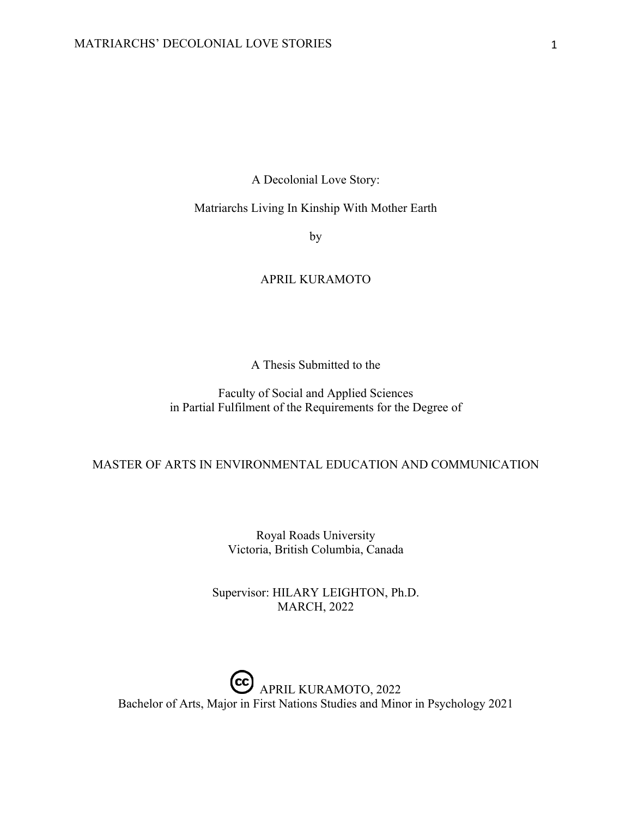A Decolonial Love Story:

## Matriarchs Living In Kinship With Mother Earth

by

# APRIL KURAMOTO

A Thesis Submitted to the

Faculty of Social and Applied Sciences in Partial Fulfilment of the Requirements for the Degree of

## MASTER OF ARTS IN ENVIRONMENTAL EDUCATION AND COMMUNICATION

Royal Roads University Victoria, British Columbia, Canada

Supervisor: HILARY LEIGHTON, Ph.D. MARCH, 2022

CC APRIL KURAMOTO, 2022 Bachelor of Arts, Major in First Nations Studies and Minor in Psychology 2021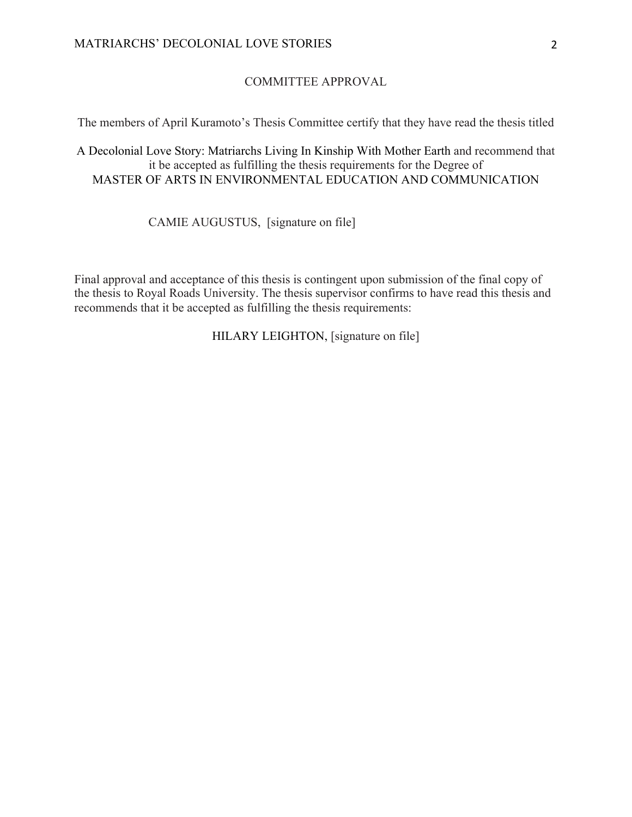# COMMITTEE APPROVAL

The members of April Kuramoto's Thesis Committee certify that they have read the thesis titled

A Decolonial Love Story: Matriarchs Living In Kinship With Mother Earth and recommend that it be accepted as fulfilling the thesis requirements for the Degree of MASTER OF ARTS IN ENVIRONMENTAL EDUCATION AND COMMUNICATION

CAMIE AUGUSTUS, [signature on file]

Final approval and acceptance of this thesis is contingent upon submission of the final copy of the thesis to Royal Roads University. The thesis supervisor confirms to have read this thesis and recommends that it be accepted as fulfilling the thesis requirements:

HILARY LEIGHTON, [signature on file]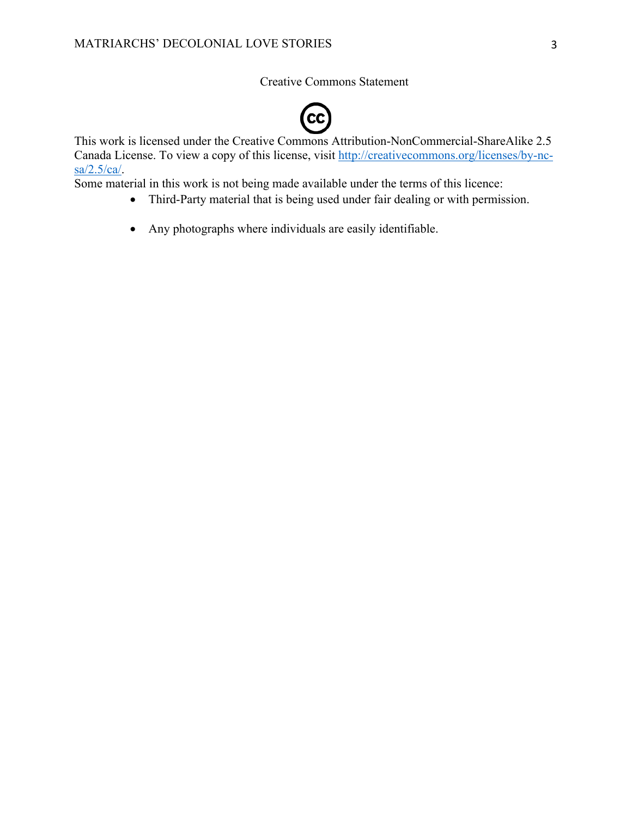Creative Commons Statement



This work is licensed under the Creative Commons Attribution-NonCommercial-ShareAlike 2.5 Canada License. To view a copy of this license, visit http://creativecommons.org/licenses/by-ncsa/2.5/ca/.

Some material in this work is not being made available under the terms of this licence:

- Third-Party material that is being used under fair dealing or with permission.
- Any photographs where individuals are easily identifiable.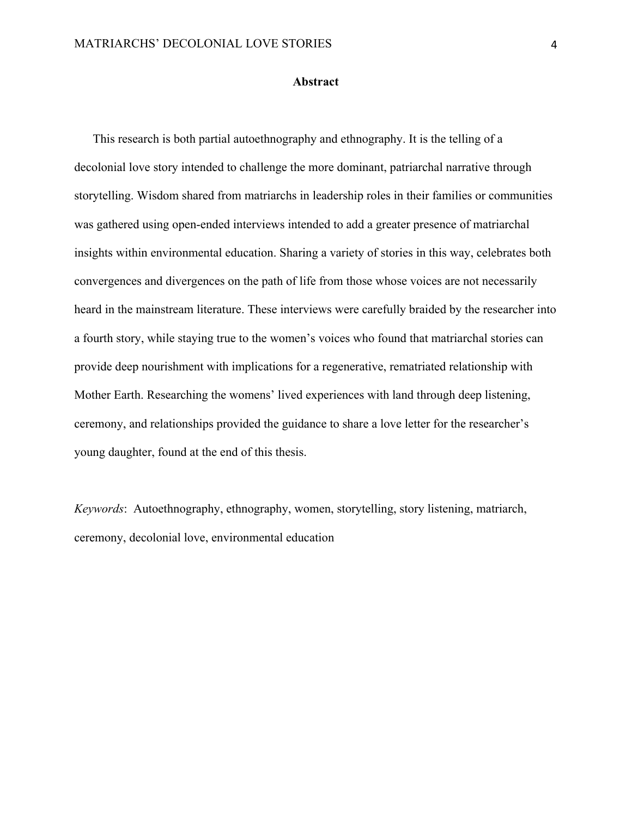#### **Abstract**

This research is both partial autoethnography and ethnography. It is the telling of a decolonial love story intended to challenge the more dominant, patriarchal narrative through storytelling. Wisdom shared from matriarchs in leadership roles in their families or communities was gathered using open-ended interviews intended to add a greater presence of matriarchal insights within environmental education. Sharing a variety of stories in this way, celebrates both convergences and divergences on the path of life from those whose voices are not necessarily heard in the mainstream literature. These interviews were carefully braided by the researcher into a fourth story, while staying true to the women's voices who found that matriarchal stories can provide deep nourishment with implications for a regenerative, rematriated relationship with Mother Earth. Researching the womens' lived experiences with land through deep listening, ceremony, and relationships provided the guidance to share a love letter for the researcher's young daughter, found at the end of this thesis.

*Keywords*: Autoethnography, ethnography, women, storytelling, story listening, matriarch, ceremony, decolonial love, environmental education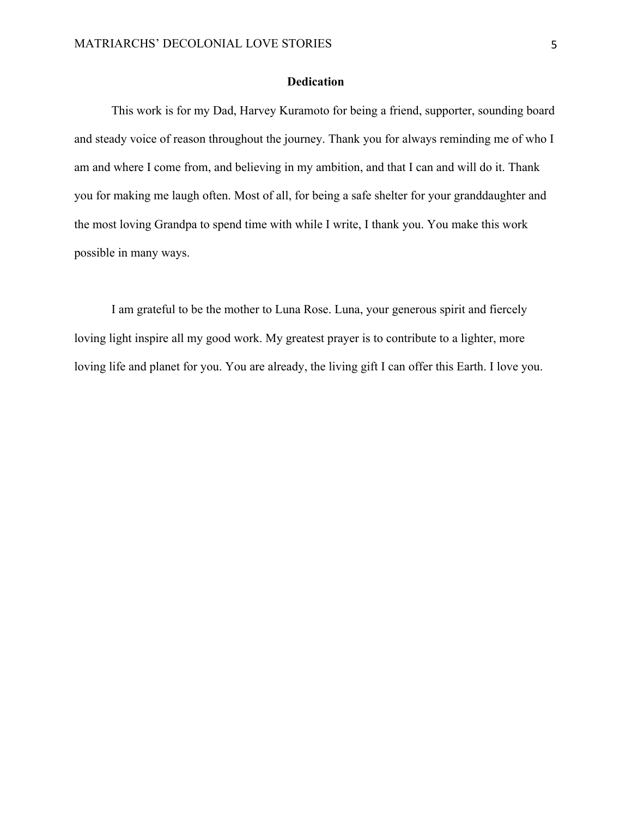## **Dedication**

This work is for my Dad, Harvey Kuramoto for being a friend, supporter, sounding board and steady voice of reason throughout the journey. Thank you for always reminding me of who I am and where I come from, and believing in my ambition, and that I can and will do it. Thank you for making me laugh often. Most of all, for being a safe shelter for your granddaughter and the most loving Grandpa to spend time with while I write, I thank you. You make this work possible in many ways.

I am grateful to be the mother to Luna Rose. Luna, your generous spirit and fiercely loving light inspire all my good work. My greatest prayer is to contribute to a lighter, more loving life and planet for you. You are already, the living gift I can offer this Earth. I love you.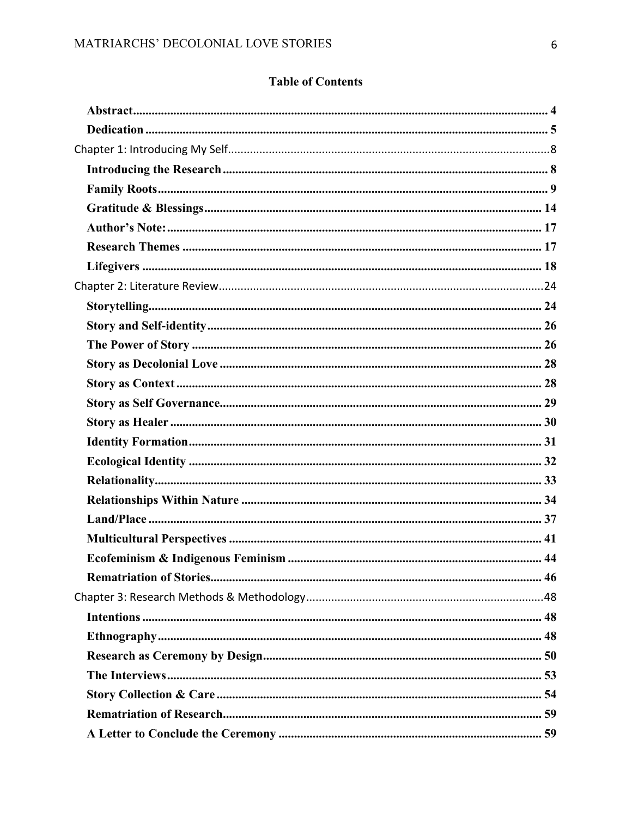# **Table of Contents**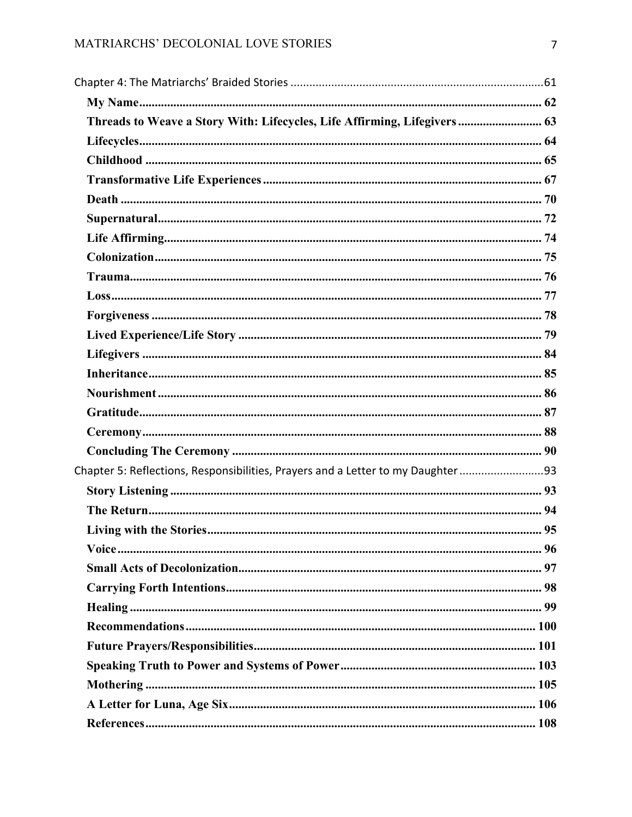| Threads to Weave a Story With: Lifecycles, Life Affirming, Lifegivers  63       |  |
|---------------------------------------------------------------------------------|--|
|                                                                                 |  |
|                                                                                 |  |
|                                                                                 |  |
|                                                                                 |  |
|                                                                                 |  |
|                                                                                 |  |
|                                                                                 |  |
|                                                                                 |  |
|                                                                                 |  |
|                                                                                 |  |
|                                                                                 |  |
|                                                                                 |  |
|                                                                                 |  |
|                                                                                 |  |
|                                                                                 |  |
|                                                                                 |  |
|                                                                                 |  |
| Chapter 5: Reflections, Responsibilities, Prayers and a Letter to my Daughter93 |  |
|                                                                                 |  |
|                                                                                 |  |
|                                                                                 |  |
|                                                                                 |  |
|                                                                                 |  |
|                                                                                 |  |
|                                                                                 |  |
|                                                                                 |  |
|                                                                                 |  |
|                                                                                 |  |
|                                                                                 |  |
|                                                                                 |  |
|                                                                                 |  |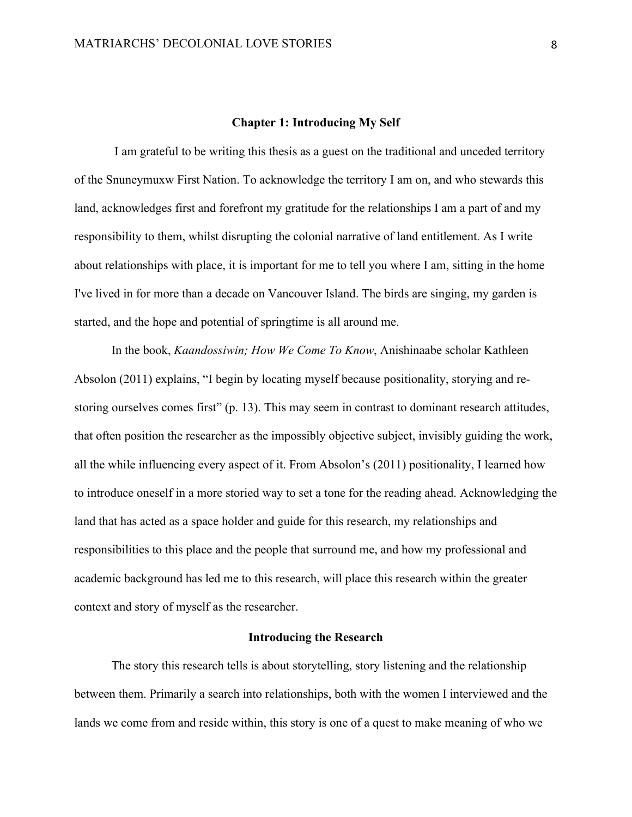#### **Chapter 1: Introducing My Self**

I am grateful to be writing this thesis as a guest on the traditional and unceded territory of the Snuneymuxw First Nation. To acknowledge the territory I am on, and who stewards this land, acknowledges first and forefront my gratitude for the relationships I am a part of and my responsibility to them, whilst disrupting the colonial narrative of land entitlement. As I write about relationships with place, it is important for me to tell you where I am, sitting in the home I've lived in for more than a decade on Vancouver Island. The birds are singing, my garden is started, and the hope and potential of springtime is all around me.

In the book, *Kaandossiwin; How We Come To Know*, Anishinaabe scholar Kathleen Absolon (2011) explains, "I begin by locating myself because positionality, storying and restoring ourselves comes first" (p. 13). This may seem in contrast to dominant research attitudes, that often position the researcher as the impossibly objective subject, invisibly guiding the work, all the while influencing every aspect of it. From Absolon's (2011) positionality, I learned how to introduce oneself in a more storied way to set a tone for the reading ahead. Acknowledging the land that has acted as a space holder and guide for this research, my relationships and responsibilities to this place and the people that surround me, and how my professional and academic background has led me to this research, will place this research within the greater context and story of myself as the researcher.

## **Introducing the Research**

The story this research tells is about storytelling, story listening and the relationship between them. Primarily a search into relationships, both with the women I interviewed and the lands we come from and reside within, this story is one of a quest to make meaning of who we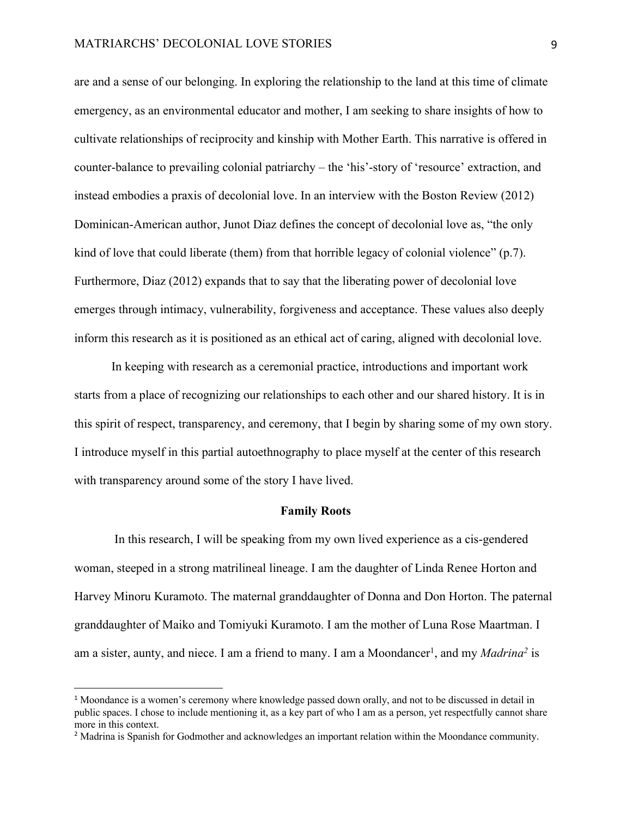are and a sense of our belonging. In exploring the relationship to the land at this time of climate emergency, as an environmental educator and mother, I am seeking to share insights of how to cultivate relationships of reciprocity and kinship with Mother Earth. This narrative is offered in counter-balance to prevailing colonial patriarchy – the 'his'-story of 'resource' extraction, and instead embodies a praxis of decolonial love. In an interview with the Boston Review (2012) Dominican-American author, Junot Diaz defines the concept of decolonial love as, "the only kind of love that could liberate (them) from that horrible legacy of colonial violence" (p.7). Furthermore, Diaz (2012) expands that to say that the liberating power of decolonial love emerges through intimacy, vulnerability, forgiveness and acceptance. These values also deeply inform this research as it is positioned as an ethical act of caring, aligned with decolonial love.

In keeping with research as a ceremonial practice, introductions and important work starts from a place of recognizing our relationships to each other and our shared history. It is in this spirit of respect, transparency, and ceremony, that I begin by sharing some of my own story. I introduce myself in this partial autoethnography to place myself at the center of this research with transparency around some of the story I have lived.

## **Family Roots**

In this research, I will be speaking from my own lived experience as a cis-gendered woman, steeped in a strong matrilineal lineage. I am the daughter of Linda Renee Horton and Harvey Minoru Kuramoto. The maternal granddaughter of Donna and Don Horton. The paternal granddaughter of Maiko and Tomiyuki Kuramoto. I am the mother of Luna Rose Maartman. I am a sister, aunty, and niece. I am a friend to many. I am a Moondancer<sup>1</sup>, and my *Madrina<sup>2</sup>* is

<sup>&</sup>lt;sup>1</sup> Moondance is a women's ceremony where knowledge passed down orally, and not to be discussed in detail in public spaces. I chose to include mentioning it, as a key part of who I am as a person, yet respectfully cannot share more in this context.

<sup>&</sup>lt;sup>2</sup> Madrina is Spanish for Godmother and acknowledges an important relation within the Moondance community.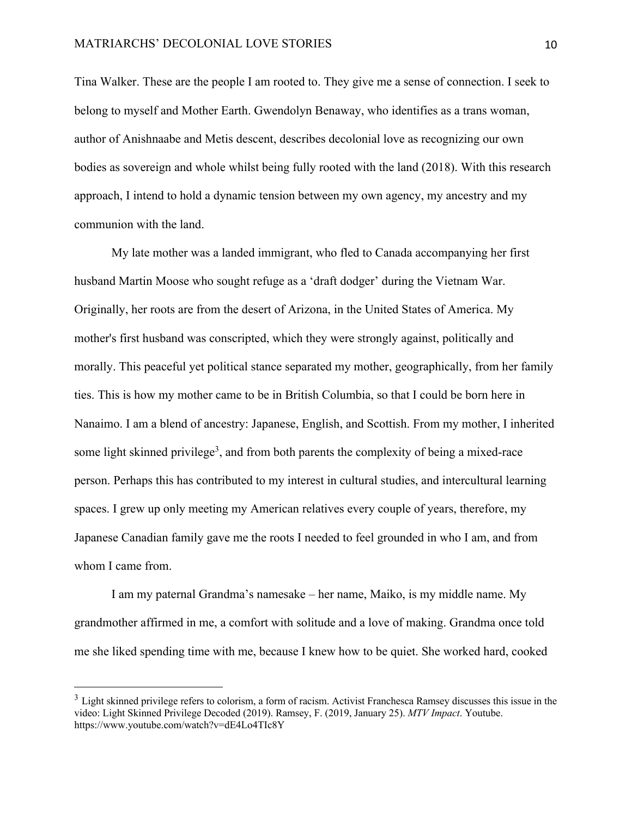Tina Walker. These are the people I am rooted to. They give me a sense of connection. I seek to belong to myself and Mother Earth. Gwendolyn Benaway, who identifies as a trans woman, author of Anishnaabe and Metis descent, describes decolonial love as recognizing our own bodies as sovereign and whole whilst being fully rooted with the land (2018). With this research approach, I intend to hold a dynamic tension between my own agency, my ancestry and my communion with the land.

My late mother was a landed immigrant, who fled to Canada accompanying her first husband Martin Moose who sought refuge as a 'draft dodger' during the Vietnam War. Originally, her roots are from the desert of Arizona, in the United States of America. My mother's first husband was conscripted, which they were strongly against, politically and morally. This peaceful yet political stance separated my mother, geographically, from her family ties. This is how my mother came to be in British Columbia, so that I could be born here in Nanaimo. I am a blend of ancestry: Japanese, English, and Scottish. From my mother, I inherited some light skinned privilege<sup>3</sup>, and from both parents the complexity of being a mixed-race person. Perhaps this has contributed to my interest in cultural studies, and intercultural learning spaces. I grew up only meeting my American relatives every couple of years, therefore, my Japanese Canadian family gave me the roots I needed to feel grounded in who I am, and from whom I came from.

I am my paternal Grandma's namesake – her name, Maiko, is my middle name. My grandmother affirmed in me, a comfort with solitude and a love of making. Grandma once told me she liked spending time with me, because I knew how to be quiet. She worked hard, cooked

 $3$  Light skinned privilege refers to colorism, a form of racism. Activist Franchesca Ramsey discusses this issue in the video: Light Skinned Privilege Decoded (2019). Ramsey, F. (2019, January 25). *MTV Impact*. Youtube. https://www.youtube.com/watch?v=dE4Lo4TIc8Y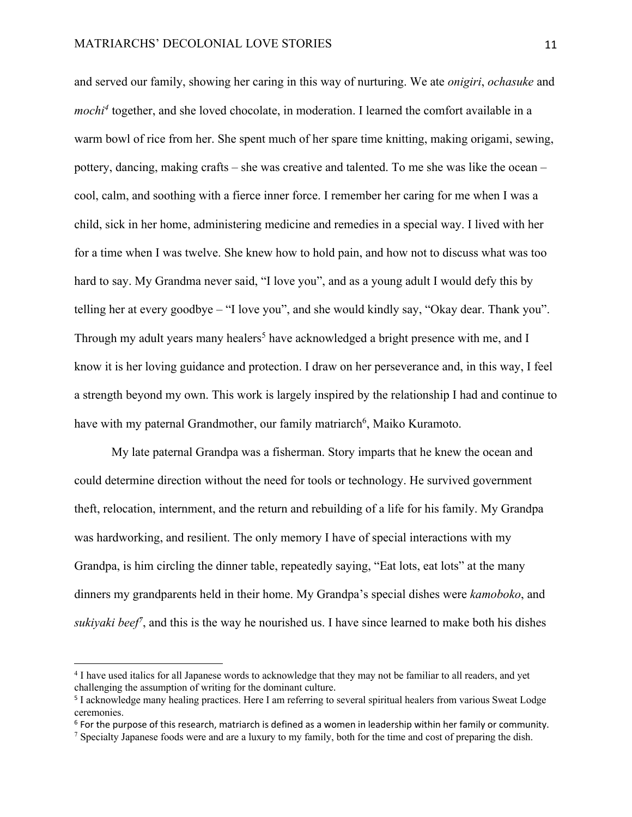and served our family, showing her caring in this way of nurturing. We ate *onigiri*, *ochasuke* and *mochi<sup>4</sup>* together, and she loved chocolate, in moderation. I learned the comfort available in a warm bowl of rice from her. She spent much of her spare time knitting, making origami, sewing, pottery, dancing, making crafts – she was creative and talented. To me she was like the ocean – cool, calm, and soothing with a fierce inner force. I remember her caring for me when I was a child, sick in her home, administering medicine and remedies in a special way. I lived with her for a time when I was twelve. She knew how to hold pain, and how not to discuss what was too hard to say. My Grandma never said, "I love you", and as a young adult I would defy this by telling her at every goodbye – "I love you", and she would kindly say, "Okay dear. Thank you". Through my adult years many healers<sup>5</sup> have acknowledged a bright presence with me, and I know it is her loving guidance and protection. I draw on her perseverance and, in this way, I feel a strength beyond my own. This work is largely inspired by the relationship I had and continue to have with my paternal Grandmother, our family matriarch<sup>6</sup>, Maiko Kuramoto.

My late paternal Grandpa was a fisherman. Story imparts that he knew the ocean and could determine direction without the need for tools or technology. He survived government theft, relocation, internment, and the return and rebuilding of a life for his family. My Grandpa was hardworking, and resilient. The only memory I have of special interactions with my Grandpa, is him circling the dinner table, repeatedly saying, "Eat lots, eat lots" at the many dinners my grandparents held in their home. My Grandpa's special dishes were *kamoboko*, and sukiyaki beef<sup>7</sup>, and this is the way he nourished us. I have since learned to make both his dishes

<sup>4</sup> I have used italics for all Japanese words to acknowledge that they may not be familiar to all readers, and yet challenging the assumption of writing for the dominant culture.

<sup>5</sup> I acknowledge many healing practices. Here I am referring to several spiritual healers from various Sweat Lodge ceremonies.

 $6$  For the purpose of this research, matriarch is defined as a women in leadership within her family or community.

<sup>&</sup>lt;sup>7</sup> Specialty Japanese foods were and are a luxury to my family, both for the time and cost of preparing the dish.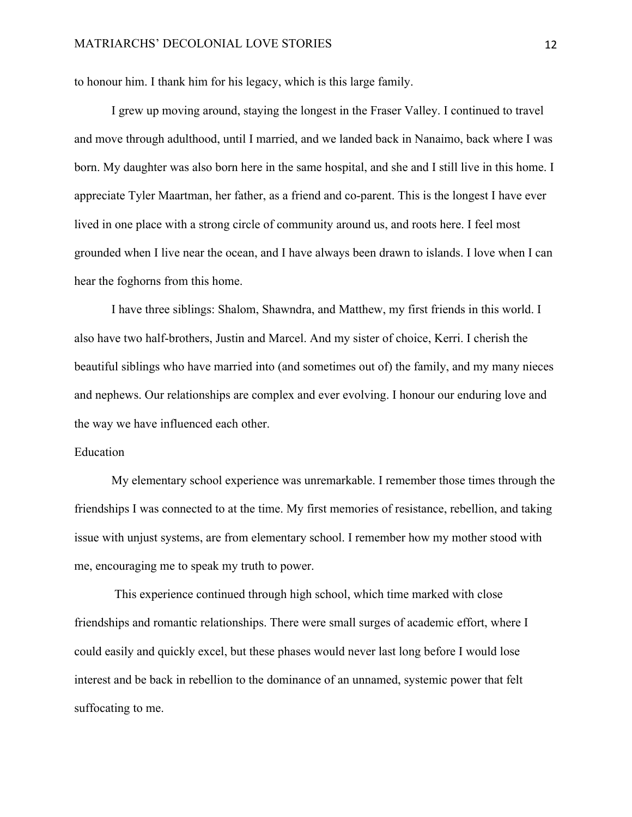to honour him. I thank him for his legacy, which is this large family.

I grew up moving around, staying the longest in the Fraser Valley. I continued to travel and move through adulthood, until I married, and we landed back in Nanaimo, back where I was born. My daughter was also born here in the same hospital, and she and I still live in this home. I appreciate Tyler Maartman, her father, as a friend and co-parent. This is the longest I have ever lived in one place with a strong circle of community around us, and roots here. I feel most grounded when I live near the ocean, and I have always been drawn to islands. I love when I can hear the foghorns from this home.

I have three siblings: Shalom, Shawndra, and Matthew, my first friends in this world. I also have two half-brothers, Justin and Marcel. And my sister of choice, Kerri. I cherish the beautiful siblings who have married into (and sometimes out of) the family, and my many nieces and nephews. Our relationships are complex and ever evolving. I honour our enduring love and the way we have influenced each other.

## Education

My elementary school experience was unremarkable. I remember those times through the friendships I was connected to at the time. My first memories of resistance, rebellion, and taking issue with unjust systems, are from elementary school. I remember how my mother stood with me, encouraging me to speak my truth to power.

This experience continued through high school, which time marked with close friendships and romantic relationships. There were small surges of academic effort, where I could easily and quickly excel, but these phases would never last long before I would lose interest and be back in rebellion to the dominance of an unnamed, systemic power that felt suffocating to me.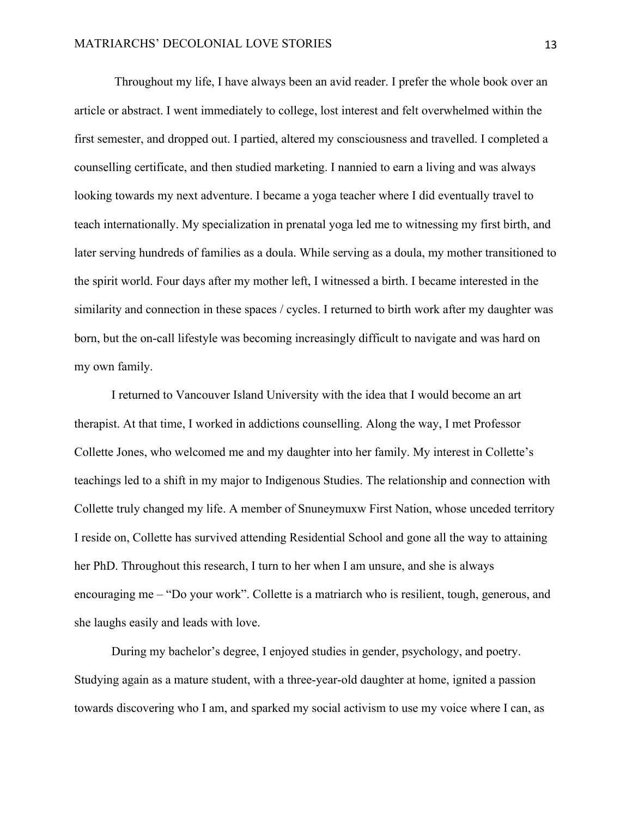Throughout my life, I have always been an avid reader. I prefer the whole book over an article or abstract. I went immediately to college, lost interest and felt overwhelmed within the first semester, and dropped out. I partied, altered my consciousness and travelled. I completed a counselling certificate, and then studied marketing. I nannied to earn a living and was always looking towards my next adventure. I became a yoga teacher where I did eventually travel to teach internationally. My specialization in prenatal yoga led me to witnessing my first birth, and later serving hundreds of families as a doula. While serving as a doula, my mother transitioned to the spirit world. Four days after my mother left, I witnessed a birth. I became interested in the similarity and connection in these spaces / cycles. I returned to birth work after my daughter was born, but the on-call lifestyle was becoming increasingly difficult to navigate and was hard on my own family.

I returned to Vancouver Island University with the idea that I would become an art therapist. At that time, I worked in addictions counselling. Along the way, I met Professor Collette Jones, who welcomed me and my daughter into her family. My interest in Collette's teachings led to a shift in my major to Indigenous Studies. The relationship and connection with Collette truly changed my life. A member of Snuneymuxw First Nation, whose unceded territory I reside on, Collette has survived attending Residential School and gone all the way to attaining her PhD. Throughout this research, I turn to her when I am unsure, and she is always encouraging me – "Do your work". Collette is a matriarch who is resilient, tough, generous, and she laughs easily and leads with love.

During my bachelor's degree, I enjoyed studies in gender, psychology, and poetry. Studying again as a mature student, with a three-year-old daughter at home, ignited a passion towards discovering who I am, and sparked my social activism to use my voice where I can, as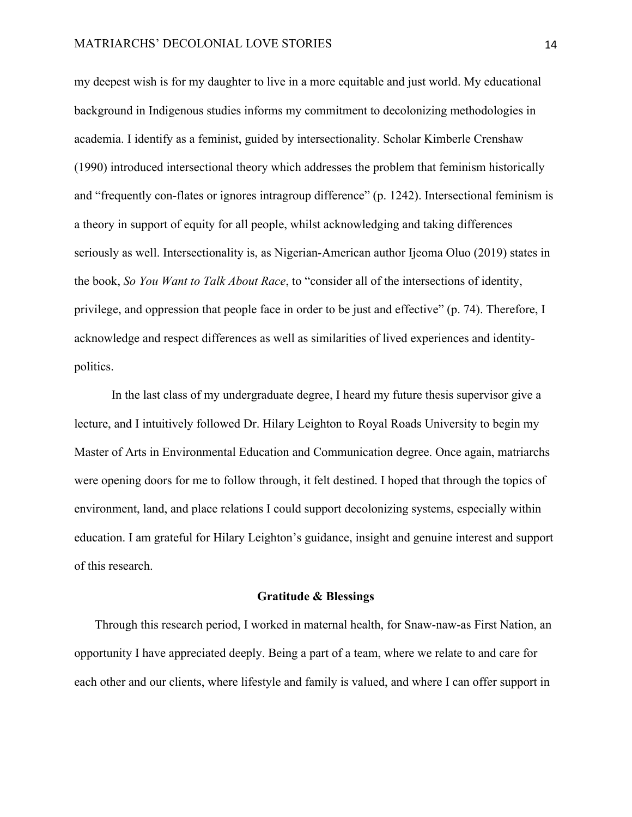my deepest wish is for my daughter to live in a more equitable and just world. My educational background in Indigenous studies informs my commitment to decolonizing methodologies in academia. I identify as a feminist, guided by intersectionality. Scholar Kimberle Crenshaw (1990) introduced intersectional theory which addresses the problem that feminism historically and "frequently con-flates or ignores intragroup difference" (p. 1242). Intersectional feminism is a theory in support of equity for all people, whilst acknowledging and taking differences seriously as well. Intersectionality is, as Nigerian-American author Ijeoma Oluo (2019) states in the book, *So You Want to Talk About Race*, to "consider all of the intersections of identity, privilege, and oppression that people face in order to be just and effective" (p. 74). Therefore, I acknowledge and respect differences as well as similarities of lived experiences and identitypolitics.

In the last class of my undergraduate degree, I heard my future thesis supervisor give a lecture, and I intuitively followed Dr. Hilary Leighton to Royal Roads University to begin my Master of Arts in Environmental Education and Communication degree. Once again, matriarchs were opening doors for me to follow through, it felt destined. I hoped that through the topics of environment, land, and place relations I could support decolonizing systems, especially within education. I am grateful for Hilary Leighton's guidance, insight and genuine interest and support of this research.

#### **Gratitude & Blessings**

Through this research period, I worked in maternal health, for Snaw-naw-as First Nation, an opportunity I have appreciated deeply. Being a part of a team, where we relate to and care for each other and our clients, where lifestyle and family is valued, and where I can offer support in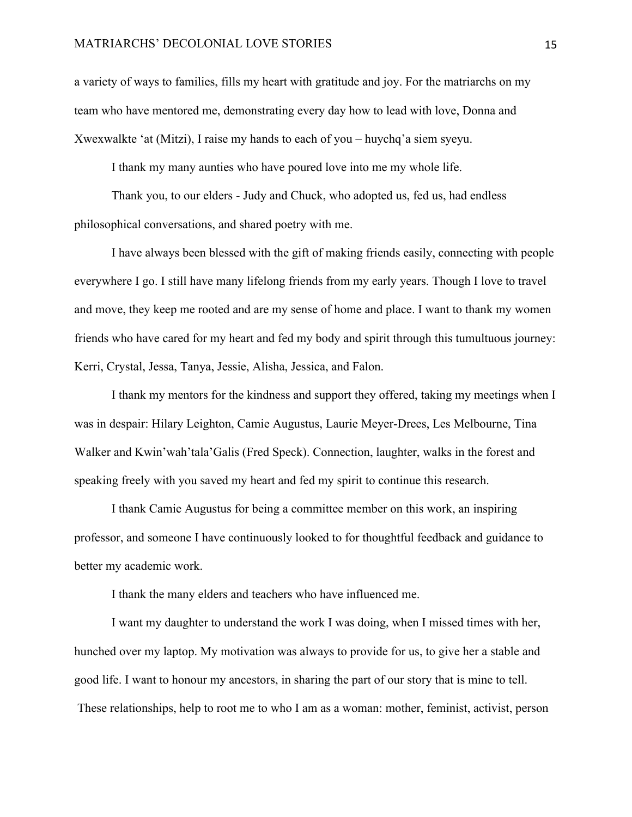#### MATRIARCHS' DECOLONIAL LOVE STORIES 15

a variety of ways to families, fills my heart with gratitude and joy. For the matriarchs on my team who have mentored me, demonstrating every day how to lead with love, Donna and Xwexwalkte 'at (Mitzi), I raise my hands to each of you – huychq'a siem syeyu.

I thank my many aunties who have poured love into me my whole life.

Thank you, to our elders - Judy and Chuck, who adopted us, fed us, had endless philosophical conversations, and shared poetry with me.

I have always been blessed with the gift of making friends easily, connecting with people everywhere I go. I still have many lifelong friends from my early years. Though I love to travel and move, they keep me rooted and are my sense of home and place. I want to thank my women friends who have cared for my heart and fed my body and spirit through this tumultuous journey: Kerri, Crystal, Jessa, Tanya, Jessie, Alisha, Jessica, and Falon.

I thank my mentors for the kindness and support they offered, taking my meetings when I was in despair: Hilary Leighton, Camie Augustus, Laurie Meyer-Drees, Les Melbourne, Tina Walker and Kwin'wah'tala'Galis (Fred Speck). Connection, laughter, walks in the forest and speaking freely with you saved my heart and fed my spirit to continue this research.

I thank Camie Augustus for being a committee member on this work, an inspiring professor, and someone I have continuously looked to for thoughtful feedback and guidance to better my academic work.

I thank the many elders and teachers who have influenced me.

I want my daughter to understand the work I was doing, when I missed times with her, hunched over my laptop. My motivation was always to provide for us, to give her a stable and good life. I want to honour my ancestors, in sharing the part of our story that is mine to tell. These relationships, help to root me to who I am as a woman: mother, feminist, activist, person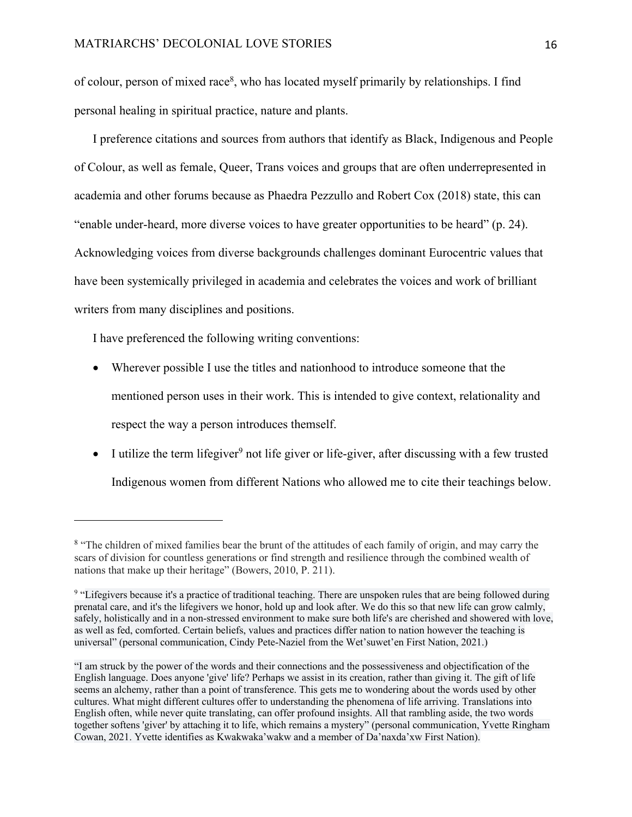of colour, person of mixed race<sup>8</sup>, who has located myself primarily by relationships. I find personal healing in spiritual practice, nature and plants.

I preference citations and sources from authors that identify as Black, Indigenous and People of Colour, as well as female, Queer, Trans voices and groups that are often underrepresented in academia and other forums because as Phaedra Pezzullo and Robert Cox (2018) state, this can "enable under-heard, more diverse voices to have greater opportunities to be heard" (p. 24). Acknowledging voices from diverse backgrounds challenges dominant Eurocentric values that have been systemically privileged in academia and celebrates the voices and work of brilliant writers from many disciplines and positions.

I have preferenced the following writing conventions:

- Wherever possible I use the titles and nationhood to introduce someone that the mentioned person uses in their work. This is intended to give context, relationality and respect the way a person introduces themself.
- I utilize the term lifegiver<sup>9</sup> not life giver or life-giver, after discussing with a few trusted Indigenous women from different Nations who allowed me to cite their teachings below.

<sup>&</sup>lt;sup>8</sup> "The children of mixed families bear the brunt of the attitudes of each family of origin, and may carry the scars of division for countless generations or find strength and resilience through the combined wealth of nations that make up their heritage" (Bowers, 2010, P. 211).

<sup>&</sup>lt;sup>9</sup> "Lifegivers because it's a practice of traditional teaching. There are unspoken rules that are being followed during prenatal care, and it's the lifegivers we honor, hold up and look after. We do this so that new life can grow calmly, safely, holistically and in a non-stressed environment to make sure both life's are cherished and showered with love, as well as fed, comforted. Certain beliefs, values and practices differ nation to nation however the teaching is universal" (personal communication, Cindy Pete-Naziel from the Wet'suwet'en First Nation, 2021.)

<sup>&</sup>quot;I am struck by the power of the words and their connections and the possessiveness and objectification of the English language. Does anyone 'give' life? Perhaps we assist in its creation, rather than giving it. The gift of life seems an alchemy, rather than a point of transference. This gets me to wondering about the words used by other cultures. What might different cultures offer to understanding the phenomena of life arriving. Translations into English often, while never quite translating, can offer profound insights. All that rambling aside, the two words together softens 'giver' by attaching it to life, which remains a mystery" (personal communication, Yvette Ringham Cowan, 2021. Yvette identifies as Kwakwaka'wakw and a member of Da'naxda'xw First Nation).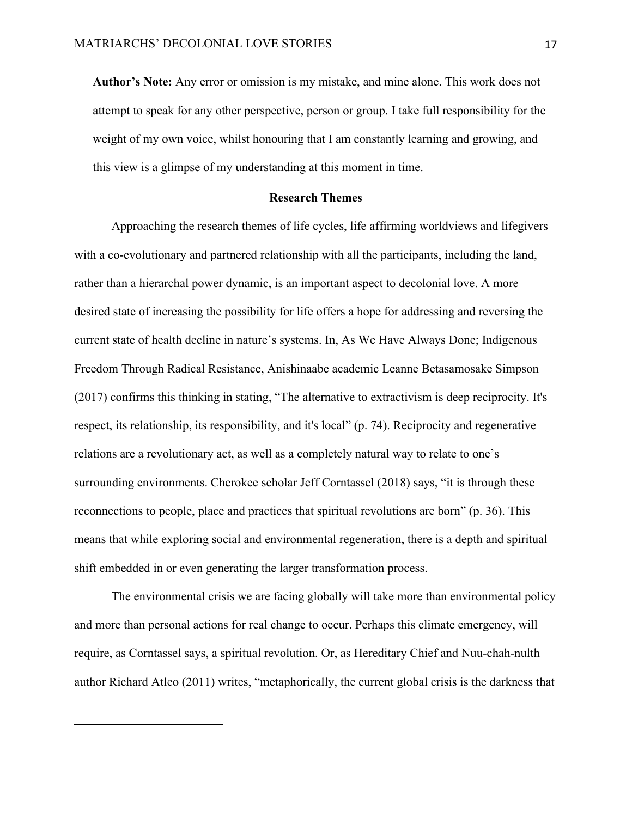**Author's Note:** Any error or omission is my mistake, and mine alone. This work does not attempt to speak for any other perspective, person or group. I take full responsibility for the weight of my own voice, whilst honouring that I am constantly learning and growing, and this view is a glimpse of my understanding at this moment in time.

## **Research Themes**

Approaching the research themes of life cycles, life affirming worldviews and lifegivers with a co-evolutionary and partnered relationship with all the participants, including the land, rather than a hierarchal power dynamic, is an important aspect to decolonial love. A more desired state of increasing the possibility for life offers a hope for addressing and reversing the current state of health decline in nature's systems. In, As We Have Always Done; Indigenous Freedom Through Radical Resistance, Anishinaabe academic Leanne Betasamosake Simpson (2017) confirms this thinking in stating, "The alternative to extractivism is deep reciprocity. It's respect, its relationship, its responsibility, and it's local" (p. 74). Reciprocity and regenerative relations are a revolutionary act, as well as a completely natural way to relate to one's surrounding environments. Cherokee scholar Jeff Corntassel (2018) says, "it is through these reconnections to people, place and practices that spiritual revolutions are born" (p. 36). This means that while exploring social and environmental regeneration, there is a depth and spiritual shift embedded in or even generating the larger transformation process.

The environmental crisis we are facing globally will take more than environmental policy and more than personal actions for real change to occur. Perhaps this climate emergency, will require, as Corntassel says, a spiritual revolution. Or, as Hereditary Chief and Nuu-chah-nulth author Richard Atleo (2011) writes, "metaphorically, the current global crisis is the darkness that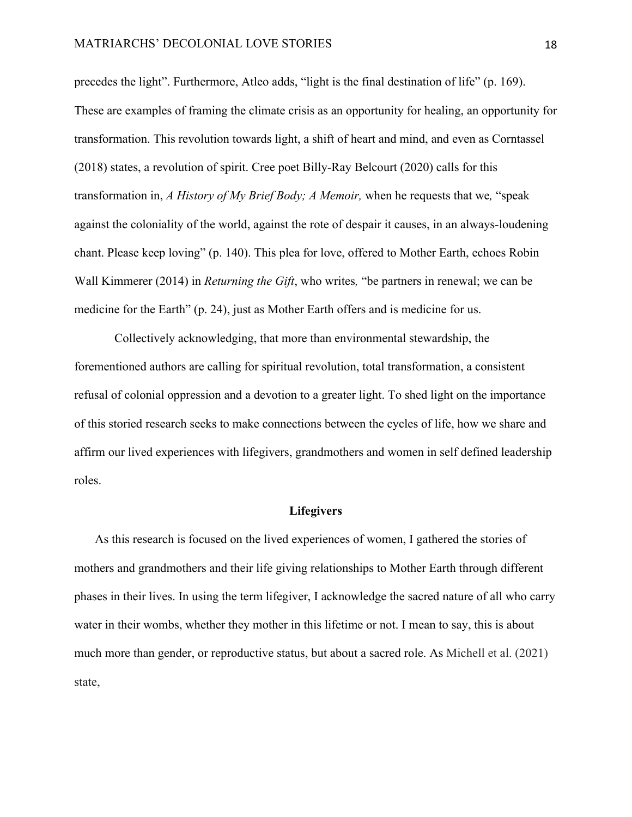precedes the light". Furthermore, Atleo adds, "light is the final destination of life" (p. 169). These are examples of framing the climate crisis as an opportunity for healing, an opportunity for transformation. This revolution towards light, a shift of heart and mind, and even as Corntassel (2018) states, a revolution of spirit. Cree poet Billy-Ray Belcourt (2020) calls for this transformation in, *A History of My Brief Body; A Memoir,* when he requests that we*,* "speak against the coloniality of the world, against the rote of despair it causes, in an always-loudening chant. Please keep loving" (p. 140). This plea for love, offered to Mother Earth, echoes Robin Wall Kimmerer (2014) in *Returning the Gift*, who writes*,* "be partners in renewal; we can be medicine for the Earth" (p. 24), just as Mother Earth offers and is medicine for us.

Collectively acknowledging, that more than environmental stewardship, the forementioned authors are calling for spiritual revolution, total transformation, a consistent refusal of colonial oppression and a devotion to a greater light. To shed light on the importance of this storied research seeks to make connections between the cycles of life, how we share and affirm our lived experiences with lifegivers, grandmothers and women in self defined leadership roles.

#### **Lifegivers**

As this research is focused on the lived experiences of women, I gathered the stories of mothers and grandmothers and their life giving relationships to Mother Earth through different phases in their lives. In using the term lifegiver, I acknowledge the sacred nature of all who carry water in their wombs, whether they mother in this lifetime or not. I mean to say, this is about much more than gender, or reproductive status, but about a sacred role. As Michell et al. (2021) state,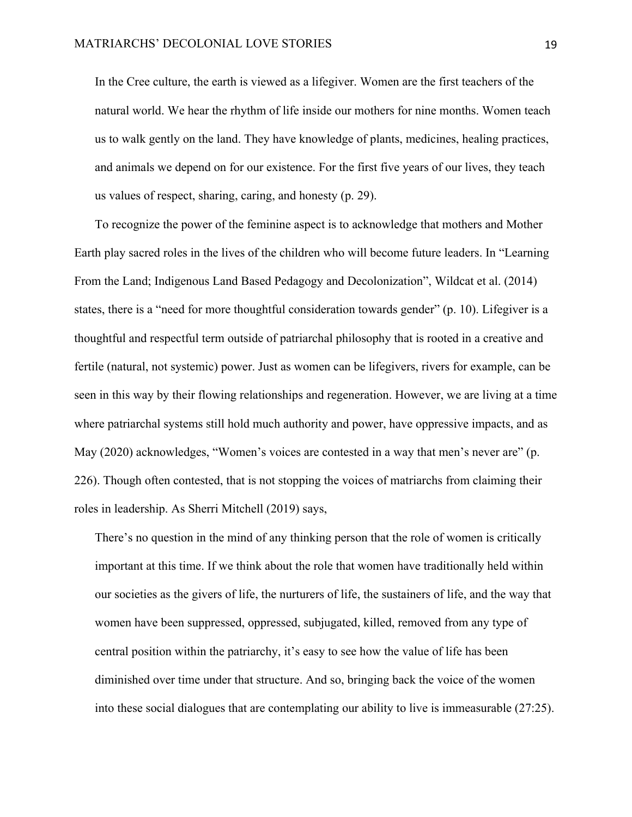In the Cree culture, the earth is viewed as a lifegiver. Women are the first teachers of the natural world. We hear the rhythm of life inside our mothers for nine months. Women teach us to walk gently on the land. They have knowledge of plants, medicines, healing practices, and animals we depend on for our existence. For the first five years of our lives, they teach us values of respect, sharing, caring, and honesty (p. 29).

To recognize the power of the feminine aspect is to acknowledge that mothers and Mother Earth play sacred roles in the lives of the children who will become future leaders. In "Learning From the Land; Indigenous Land Based Pedagogy and Decolonization", Wildcat et al. (2014) states, there is a "need for more thoughtful consideration towards gender" (p. 10). Lifegiver is a thoughtful and respectful term outside of patriarchal philosophy that is rooted in a creative and fertile (natural, not systemic) power. Just as women can be lifegivers, rivers for example, can be seen in this way by their flowing relationships and regeneration. However, we are living at a time where patriarchal systems still hold much authority and power, have oppressive impacts, and as May (2020) acknowledges, "Women's voices are contested in a way that men's never are" (p. 226). Though often contested, that is not stopping the voices of matriarchs from claiming their roles in leadership. As Sherri Mitchell (2019) says,

There's no question in the mind of any thinking person that the role of women is critically important at this time. If we think about the role that women have traditionally held within our societies as the givers of life, the nurturers of life, the sustainers of life, and the way that women have been suppressed, oppressed, subjugated, killed, removed from any type of central position within the patriarchy, it's easy to see how the value of life has been diminished over time under that structure. And so, bringing back the voice of the women into these social dialogues that are contemplating our ability to live is immeasurable (27:25).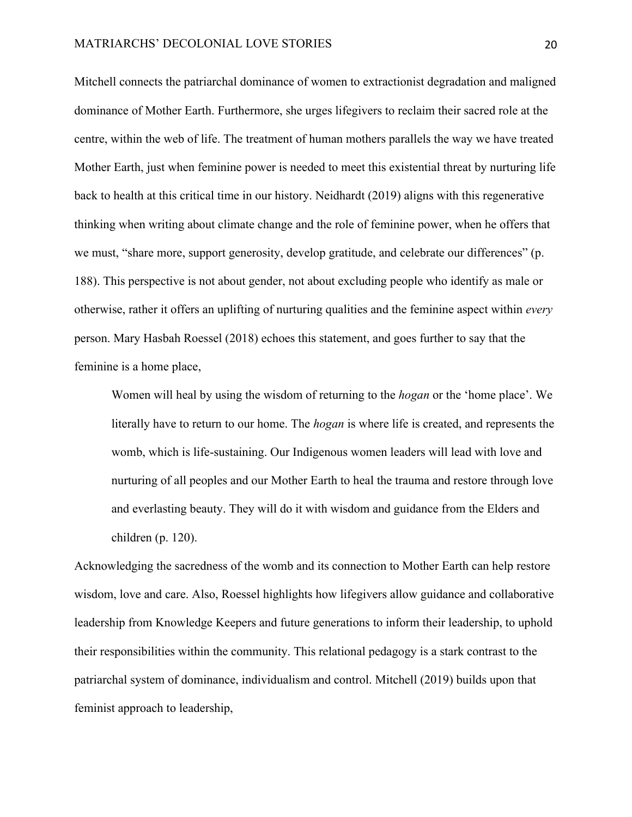Mitchell connects the patriarchal dominance of women to extractionist degradation and maligned dominance of Mother Earth. Furthermore, she urges lifegivers to reclaim their sacred role at the centre, within the web of life. The treatment of human mothers parallels the way we have treated Mother Earth, just when feminine power is needed to meet this existential threat by nurturing life back to health at this critical time in our history. Neidhardt (2019) aligns with this regenerative thinking when writing about climate change and the role of feminine power, when he offers that we must, "share more, support generosity, develop gratitude, and celebrate our differences" (p. 188). This perspective is not about gender, not about excluding people who identify as male or otherwise, rather it offers an uplifting of nurturing qualities and the feminine aspect within *every* person. Mary Hasbah Roessel (2018) echoes this statement, and goes further to say that the feminine is a home place,

Women will heal by using the wisdom of returning to the *hogan* or the 'home place'. We literally have to return to our home. The *hogan* is where life is created, and represents the womb, which is life-sustaining. Our Indigenous women leaders will lead with love and nurturing of all peoples and our Mother Earth to heal the trauma and restore through love and everlasting beauty. They will do it with wisdom and guidance from the Elders and children (p. 120).

Acknowledging the sacredness of the womb and its connection to Mother Earth can help restore wisdom, love and care. Also, Roessel highlights how lifegivers allow guidance and collaborative leadership from Knowledge Keepers and future generations to inform their leadership, to uphold their responsibilities within the community. This relational pedagogy is a stark contrast to the patriarchal system of dominance, individualism and control. Mitchell (2019) builds upon that feminist approach to leadership,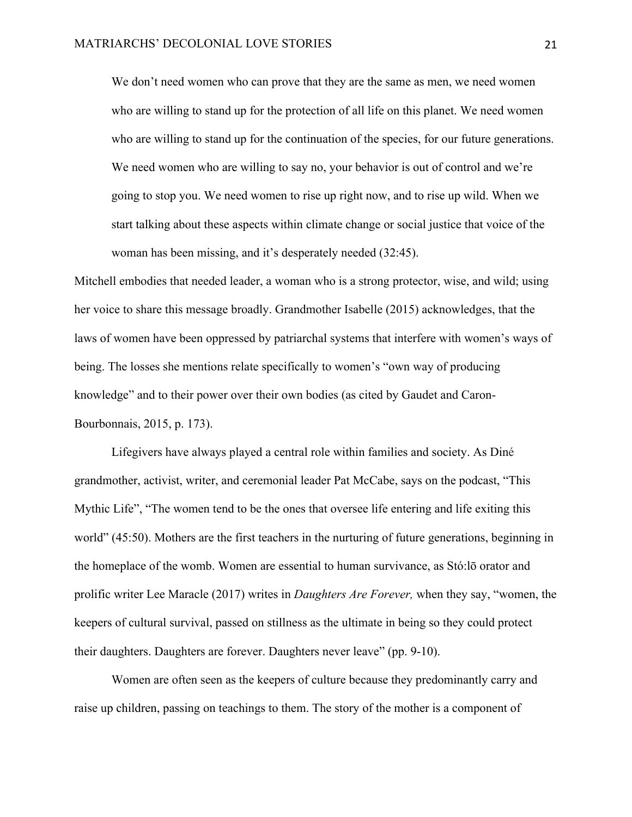We don't need women who can prove that they are the same as men, we need women who are willing to stand up for the protection of all life on this planet. We need women who are willing to stand up for the continuation of the species, for our future generations. We need women who are willing to say no, your behavior is out of control and we're going to stop you. We need women to rise up right now, and to rise up wild. When we start talking about these aspects within climate change or social justice that voice of the woman has been missing, and it's desperately needed (32:45).

Mitchell embodies that needed leader, a woman who is a strong protector, wise, and wild; using her voice to share this message broadly. Grandmother Isabelle (2015) acknowledges, that the laws of women have been oppressed by patriarchal systems that interfere with women's ways of being. The losses she mentions relate specifically to women's "own way of producing knowledge" and to their power over their own bodies (as cited by Gaudet and Caron-Bourbonnais, 2015, p. 173).

Lifegivers have always played a central role within families and society. As Diné grandmother, activist, writer, and ceremonial leader Pat McCabe, says on the podcast, "This Mythic Life", "The women tend to be the ones that oversee life entering and life exiting this world" (45:50). Mothers are the first teachers in the nurturing of future generations, beginning in the homeplace of the womb. Women are essential to human survivance, as Stó:lō orator and prolific writer Lee Maracle (2017) writes in *Daughters Are Forever,* when they say, "women, the keepers of cultural survival, passed on stillness as the ultimate in being so they could protect their daughters. Daughters are forever. Daughters never leave" (pp. 9-10).

Women are often seen as the keepers of culture because they predominantly carry and raise up children, passing on teachings to them. The story of the mother is a component of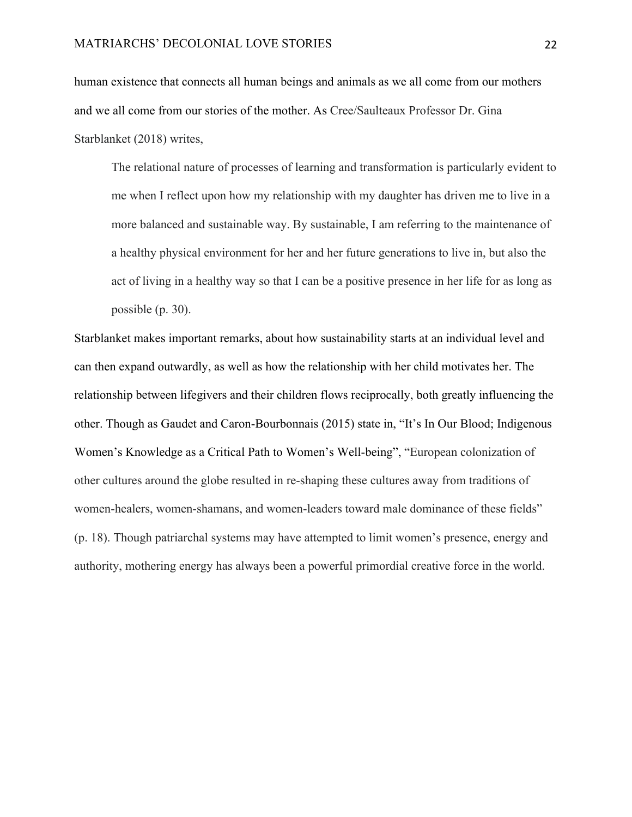human existence that connects all human beings and animals as we all come from our mothers and we all come from our stories of the mother. As Cree/Saulteaux Professor Dr. Gina Starblanket (2018) writes,

The relational nature of processes of learning and transformation is particularly evident to me when I reflect upon how my relationship with my daughter has driven me to live in a more balanced and sustainable way. By sustainable, I am referring to the maintenance of a healthy physical environment for her and her future generations to live in, but also the act of living in a healthy way so that I can be a positive presence in her life for as long as possible (p. 30).

Starblanket makes important remarks, about how sustainability starts at an individual level and can then expand outwardly, as well as how the relationship with her child motivates her. The relationship between lifegivers and their children flows reciprocally, both greatly influencing the other. Though as Gaudet and Caron-Bourbonnais (2015) state in, "It's In Our Blood; Indigenous Women's Knowledge as a Critical Path to Women's Well-being", "European colonization of other cultures around the globe resulted in re-shaping these cultures away from traditions of women-healers, women-shamans, and women-leaders toward male dominance of these fields" (p. 18). Though patriarchal systems may have attempted to limit women's presence, energy and authority, mothering energy has always been a powerful primordial creative force in the world.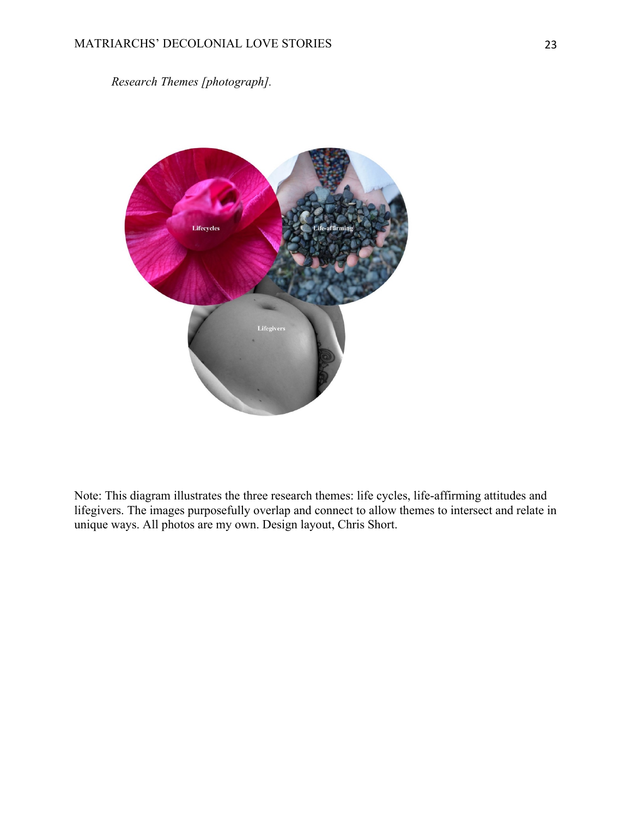*Research Themes [photograph].*



Note: This diagram illustrates the three research themes: life cycles, life-affirming attitudes and lifegivers. The images purposefully overlap and connect to allow themes to intersect and relate in unique ways. All photos are my own. Design layout, Chris Short.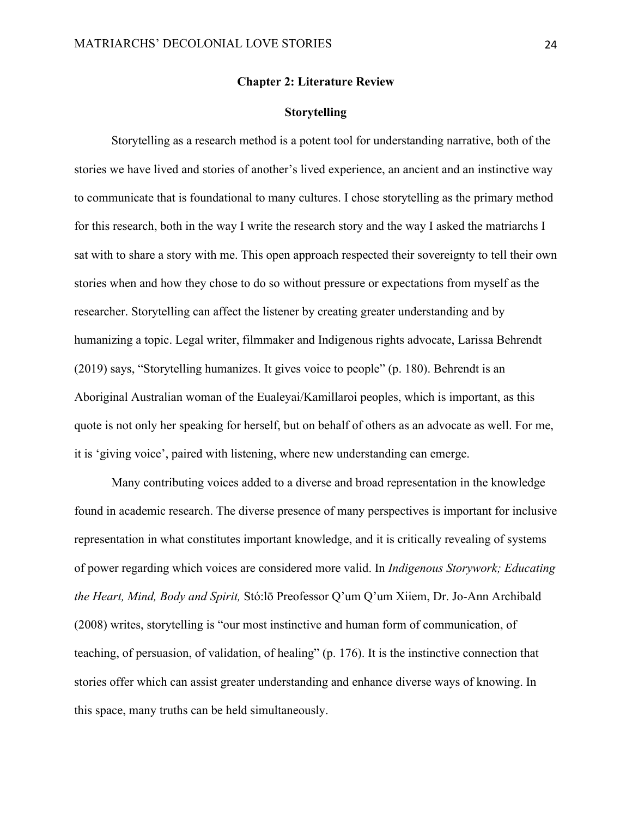#### **Chapter 2: Literature Review**

#### **Storytelling**

Storytelling as a research method is a potent tool for understanding narrative, both of the stories we have lived and stories of another's lived experience, an ancient and an instinctive way to communicate that is foundational to many cultures. I chose storytelling as the primary method for this research, both in the way I write the research story and the way I asked the matriarchs I sat with to share a story with me. This open approach respected their sovereignty to tell their own stories when and how they chose to do so without pressure or expectations from myself as the researcher. Storytelling can affect the listener by creating greater understanding and by humanizing a topic. Legal writer, filmmaker and Indigenous rights advocate, Larissa Behrendt (2019) says, "Storytelling humanizes. It gives voice to people" (p. 180). Behrendt is an Aboriginal Australian woman of the Eualeyai/Kamillaroi peoples, which is important, as this quote is not only her speaking for herself, but on behalf of others as an advocate as well. For me, it is 'giving voice', paired with listening, where new understanding can emerge.

Many contributing voices added to a diverse and broad representation in the knowledge found in academic research. The diverse presence of many perspectives is important for inclusive representation in what constitutes important knowledge, and it is critically revealing of systems of power regarding which voices are considered more valid. In *Indigenous Storywork; Educating the Heart, Mind, Body and Spirit,* Stó:lō Preofessor Q'um Q'um Xiiem, Dr. Jo-Ann Archibald (2008) writes, storytelling is "our most instinctive and human form of communication, of teaching, of persuasion, of validation, of healing" (p. 176). It is the instinctive connection that stories offer which can assist greater understanding and enhance diverse ways of knowing. In this space, many truths can be held simultaneously.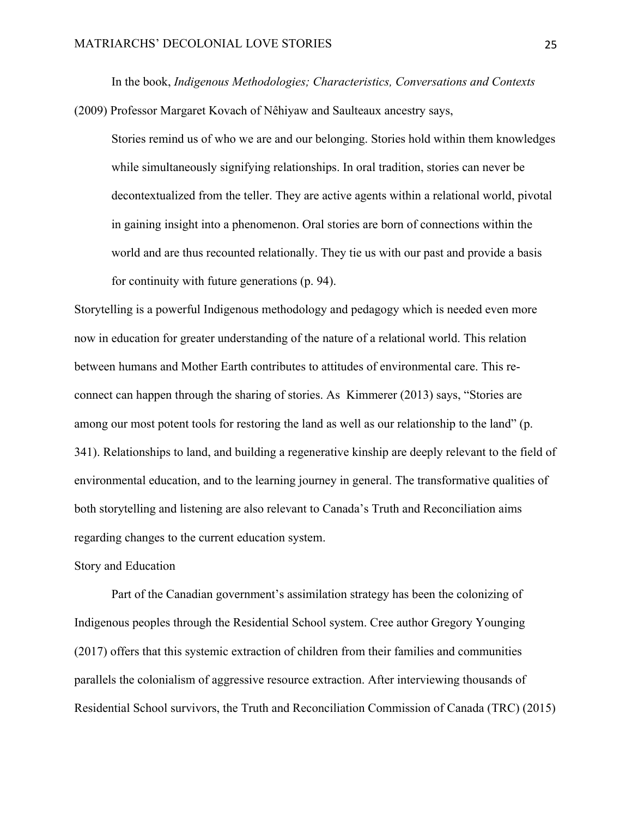In the book, *Indigenous Methodologies; Characteristics, Conversations and Contexts*  (2009) Professor Margaret Kovach of Nêhiyaw and Saulteaux ancestry says,

Stories remind us of who we are and our belonging. Stories hold within them knowledges while simultaneously signifying relationships. In oral tradition, stories can never be decontextualized from the teller. They are active agents within a relational world, pivotal in gaining insight into a phenomenon. Oral stories are born of connections within the world and are thus recounted relationally. They tie us with our past and provide a basis for continuity with future generations (p. 94).

Storytelling is a powerful Indigenous methodology and pedagogy which is needed even more now in education for greater understanding of the nature of a relational world. This relation between humans and Mother Earth contributes to attitudes of environmental care. This reconnect can happen through the sharing of stories. As Kimmerer (2013) says, "Stories are among our most potent tools for restoring the land as well as our relationship to the land" (p. 341). Relationships to land, and building a regenerative kinship are deeply relevant to the field of environmental education, and to the learning journey in general. The transformative qualities of both storytelling and listening are also relevant to Canada's Truth and Reconciliation aims regarding changes to the current education system.

#### Story and Education

Part of the Canadian government's assimilation strategy has been the colonizing of Indigenous peoples through the Residential School system. Cree author Gregory Younging (2017) offers that this systemic extraction of children from their families and communities parallels the colonialism of aggressive resource extraction. After interviewing thousands of Residential School survivors, the Truth and Reconciliation Commission of Canada (TRC) (2015)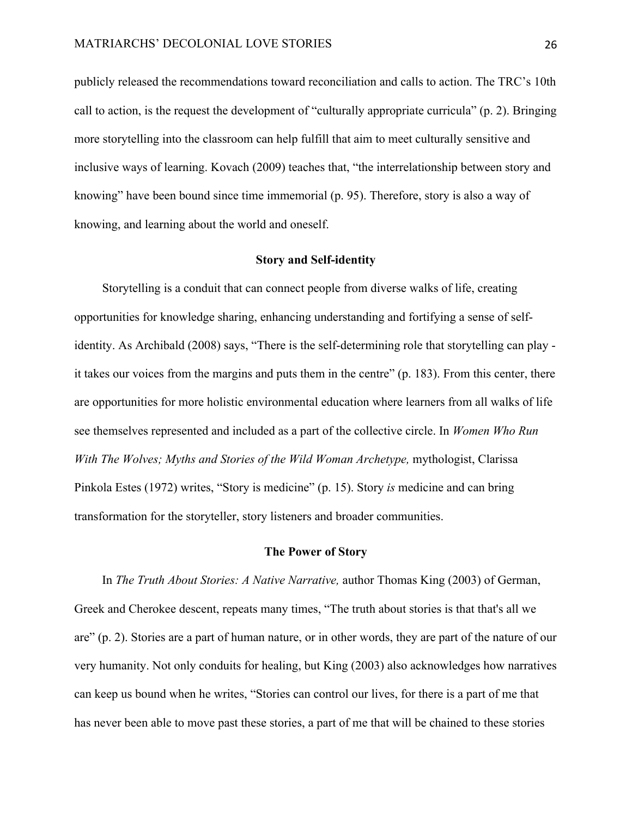publicly released the recommendations toward reconciliation and calls to action. The TRC's 10th call to action, is the request the development of "culturally appropriate curricula" (p. 2). Bringing more storytelling into the classroom can help fulfill that aim to meet culturally sensitive and inclusive ways of learning. Kovach (2009) teaches that, "the interrelationship between story and knowing" have been bound since time immemorial (p. 95). Therefore, story is also a way of knowing, and learning about the world and oneself.

#### **Story and Self-identity**

Storytelling is a conduit that can connect people from diverse walks of life, creating opportunities for knowledge sharing, enhancing understanding and fortifying a sense of selfidentity. As Archibald (2008) says, "There is the self-determining role that storytelling can play it takes our voices from the margins and puts them in the centre" (p. 183). From this center, there are opportunities for more holistic environmental education where learners from all walks of life see themselves represented and included as a part of the collective circle. In *Women Who Run With The Wolves; Myths and Stories of the Wild Woman Archetype, mythologist, Clarissa* Pinkola Estes (1972) writes, "Story is medicine" (p. 15). Story *is* medicine and can bring transformation for the storyteller, story listeners and broader communities.

## **The Power of Story**

In *The Truth About Stories: A Native Narrative,* author Thomas King (2003) of German, Greek and Cherokee descent, repeats many times, "The truth about stories is that that's all we are" (p. 2). Stories are a part of human nature, or in other words, they are part of the nature of our very humanity. Not only conduits for healing, but King (2003) also acknowledges how narratives can keep us bound when he writes, "Stories can control our lives, for there is a part of me that has never been able to move past these stories, a part of me that will be chained to these stories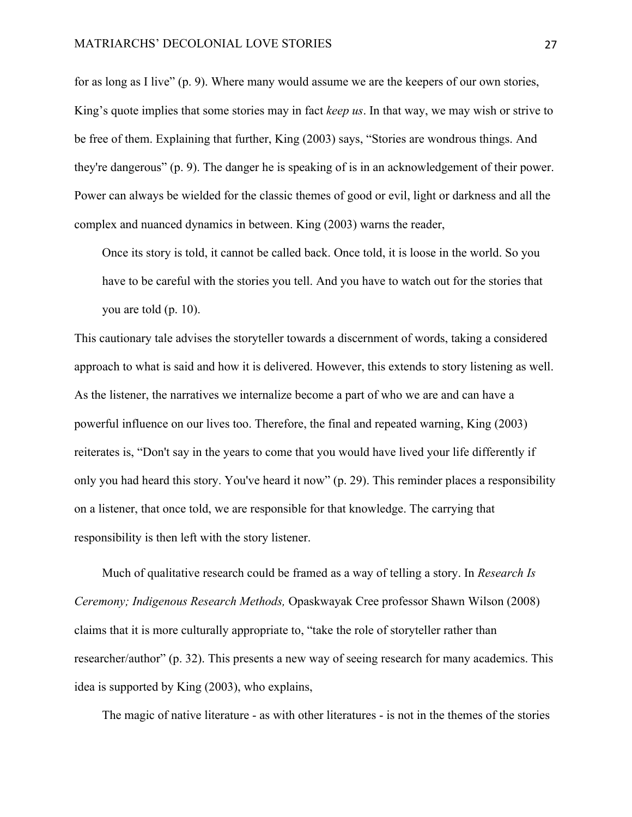for as long as I live" (p. 9). Where many would assume we are the keepers of our own stories, King's quote implies that some stories may in fact *keep us*. In that way, we may wish or strive to be free of them. Explaining that further, King (2003) says, "Stories are wondrous things. And they're dangerous" (p. 9). The danger he is speaking of is in an acknowledgement of their power. Power can always be wielded for the classic themes of good or evil, light or darkness and all the complex and nuanced dynamics in between. King (2003) warns the reader,

Once its story is told, it cannot be called back. Once told, it is loose in the world. So you have to be careful with the stories you tell. And you have to watch out for the stories that you are told (p. 10).

This cautionary tale advises the storyteller towards a discernment of words, taking a considered approach to what is said and how it is delivered. However, this extends to story listening as well. As the listener, the narratives we internalize become a part of who we are and can have a powerful influence on our lives too. Therefore, the final and repeated warning, King (2003) reiterates is, "Don't say in the years to come that you would have lived your life differently if only you had heard this story. You've heard it now" (p. 29). This reminder places a responsibility on a listener, that once told, we are responsible for that knowledge. The carrying that responsibility is then left with the story listener.

Much of qualitative research could be framed as a way of telling a story. In *Research Is Ceremony; Indigenous Research Methods,* Opaskwayak Cree professor Shawn Wilson (2008) claims that it is more culturally appropriate to, "take the role of storyteller rather than researcher/author" (p. 32). This presents a new way of seeing research for many academics. This idea is supported by King (2003), who explains,

The magic of native literature - as with other literatures - is not in the themes of the stories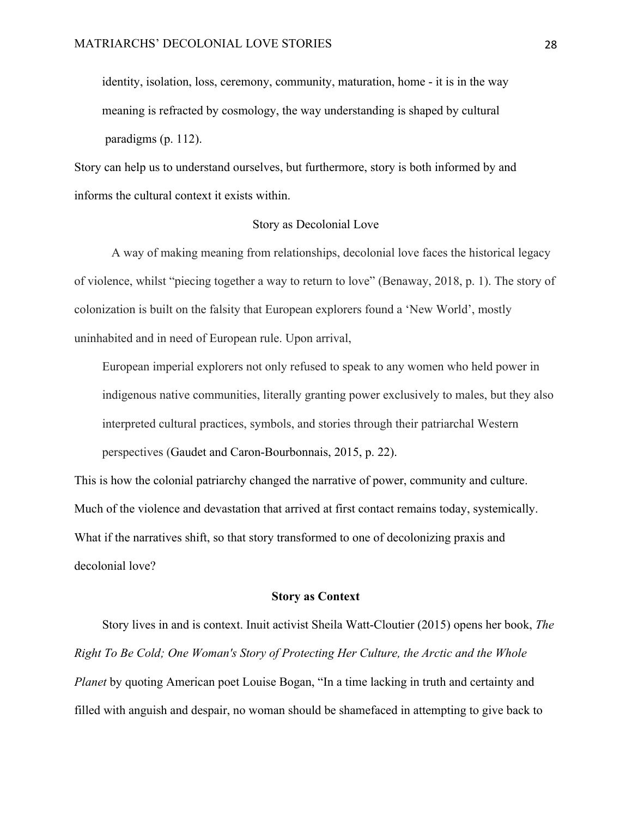identity, isolation, loss, ceremony, community, maturation, home - it is in the way meaning is refracted by cosmology, the way understanding is shaped by cultural paradigms (p. 112).

Story can help us to understand ourselves, but furthermore, story is both informed by and informs the cultural context it exists within.

## Story as Decolonial Love

A way of making meaning from relationships, decolonial love faces the historical legacy of violence, whilst "piecing together a way to return to love" (Benaway, 2018, p. 1). The story of colonization is built on the falsity that European explorers found a 'New World', mostly uninhabited and in need of European rule. Upon arrival,

European imperial explorers not only refused to speak to any women who held power in indigenous native communities, literally granting power exclusively to males, but they also interpreted cultural practices, symbols, and stories through their patriarchal Western perspectives (Gaudet and Caron-Bourbonnais, 2015, p. 22).

This is how the colonial patriarchy changed the narrative of power, community and culture. Much of the violence and devastation that arrived at first contact remains today, systemically. What if the narratives shift, so that story transformed to one of decolonizing praxis and decolonial love?

## **Story as Context**

Story lives in and is context. Inuit activist Sheila Watt-Cloutier (2015) opens her book, *The Right To Be Cold; One Woman's Story of Protecting Her Culture, the Arctic and the Whole Planet* by quoting American poet Louise Bogan, "In a time lacking in truth and certainty and filled with anguish and despair, no woman should be shamefaced in attempting to give back to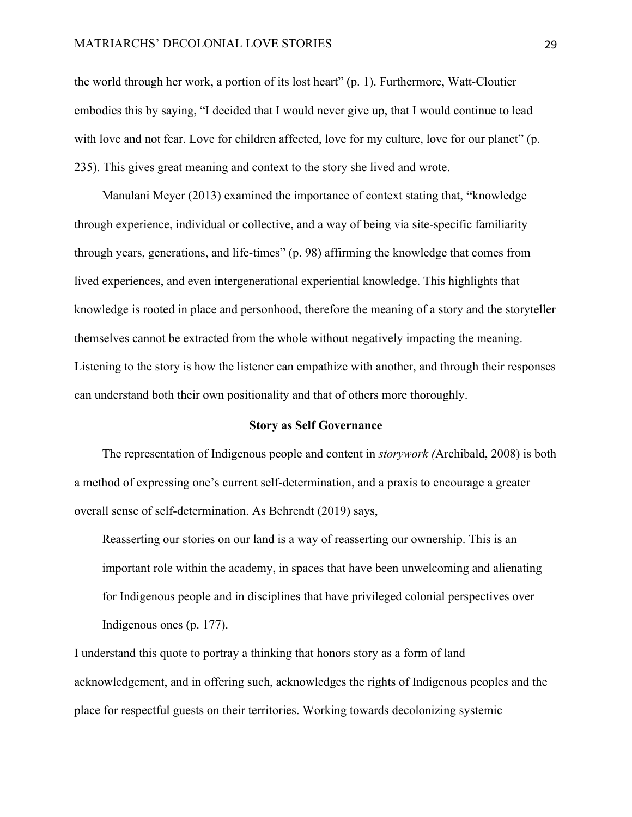#### MATRIARCHS' DECOLONIAL LOVE STORIES 29

the world through her work, a portion of its lost heart" (p. 1). Furthermore, Watt-Cloutier embodies this by saying, "I decided that I would never give up, that I would continue to lead with love and not fear. Love for children affected, love for my culture, love for our planet" (p. 235). This gives great meaning and context to the story she lived and wrote.

Manulani Meyer (2013) examined the importance of context stating that, **"**knowledge through experience, individual or collective, and a way of being via site-specific familiarity through years, generations, and life-times" (p. 98) affirming the knowledge that comes from lived experiences, and even intergenerational experiential knowledge. This highlights that knowledge is rooted in place and personhood, therefore the meaning of a story and the storyteller themselves cannot be extracted from the whole without negatively impacting the meaning. Listening to the story is how the listener can empathize with another, and through their responses can understand both their own positionality and that of others more thoroughly.

#### **Story as Self Governance**

The representation of Indigenous people and content in *storywork (*Archibald, 2008) is both a method of expressing one's current self-determination, and a praxis to encourage a greater overall sense of self-determination. As Behrendt (2019) says,

Reasserting our stories on our land is a way of reasserting our ownership. This is an important role within the academy, in spaces that have been unwelcoming and alienating for Indigenous people and in disciplines that have privileged colonial perspectives over Indigenous ones (p. 177).

I understand this quote to portray a thinking that honors story as a form of land acknowledgement, and in offering such, acknowledges the rights of Indigenous peoples and the place for respectful guests on their territories. Working towards decolonizing systemic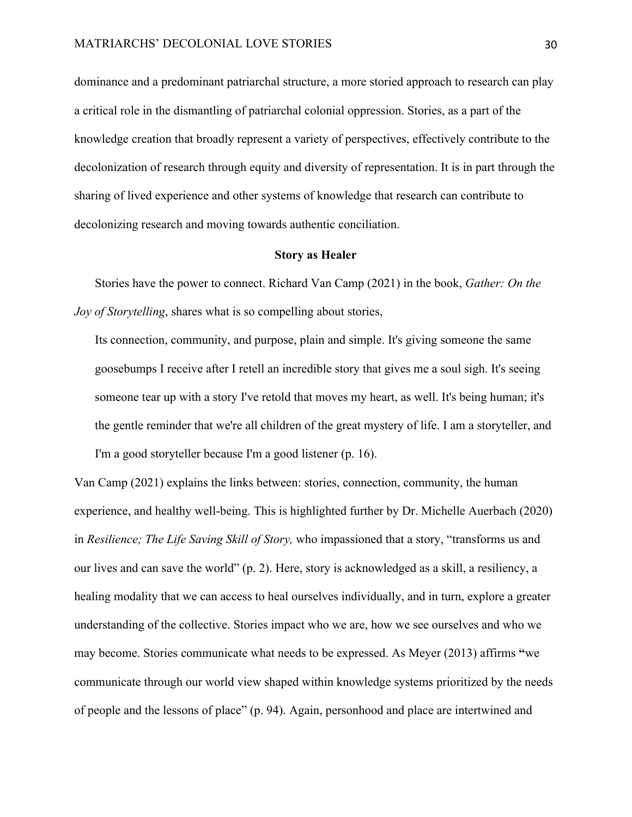dominance and a predominant patriarchal structure, a more storied approach to research can play a critical role in the dismantling of patriarchal colonial oppression. Stories, as a part of the knowledge creation that broadly represent a variety of perspectives, effectively contribute to the decolonization of research through equity and diversity of representation. It is in part through the sharing of lived experience and other systems of knowledge that research can contribute to decolonizing research and moving towards authentic conciliation.

#### **Story as Healer**

Stories have the power to connect. Richard Van Camp (2021) in the book, *Gather: On the Joy of Storytelling*, shares what is so compelling about stories,

Its connection, community, and purpose, plain and simple. It's giving someone the same goosebumps I receive after I retell an incredible story that gives me a soul sigh. It's seeing someone tear up with a story I've retold that moves my heart, as well. It's being human; it's the gentle reminder that we're all children of the great mystery of life. I am a storyteller, and I'm a good storyteller because I'm a good listener (p. 16).

Van Camp (2021) explains the links between: stories, connection, community, the human experience, and healthy well-being. This is highlighted further by Dr. Michelle Auerbach (2020) in *Resilience; The Life Saving Skill of Story,* who impassioned that a story, "transforms us and our lives and can save the world" (p. 2). Here, story is acknowledged as a skill, a resiliency, a healing modality that we can access to heal ourselves individually, and in turn, explore a greater understanding of the collective. Stories impact who we are, how we see ourselves and who we may become. Stories communicate what needs to be expressed. As Meyer (2013) affirms **"**we communicate through our world view shaped within knowledge systems prioritized by the needs of people and the lessons of place" (p. 94). Again, personhood and place are intertwined and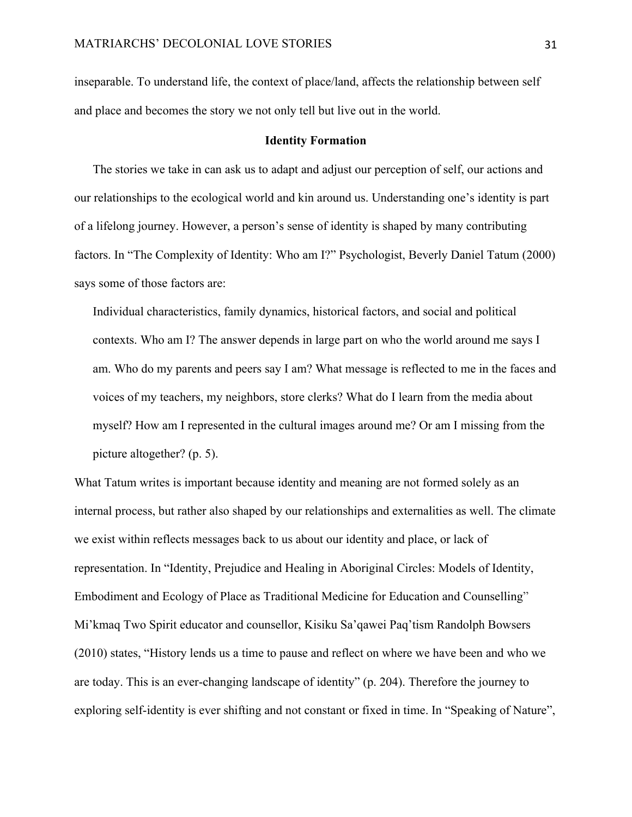inseparable. To understand life, the context of place/land, affects the relationship between self and place and becomes the story we not only tell but live out in the world.

#### **Identity Formation**

The stories we take in can ask us to adapt and adjust our perception of self, our actions and our relationships to the ecological world and kin around us. Understanding one's identity is part of a lifelong journey. However, a person's sense of identity is shaped by many contributing factors. In "The Complexity of Identity: Who am I?" Psychologist, Beverly Daniel Tatum (2000) says some of those factors are:

Individual characteristics, family dynamics, historical factors, and social and political contexts. Who am I? The answer depends in large part on who the world around me says I am. Who do my parents and peers say I am? What message is reflected to me in the faces and voices of my teachers, my neighbors, store clerks? What do I learn from the media about myself? How am I represented in the cultural images around me? Or am I missing from the picture altogether? (p. 5).

What Tatum writes is important because identity and meaning are not formed solely as an internal process, but rather also shaped by our relationships and externalities as well. The climate we exist within reflects messages back to us about our identity and place, or lack of representation. In "Identity, Prejudice and Healing in Aboriginal Circles: Models of Identity, Embodiment and Ecology of Place as Traditional Medicine for Education and Counselling" Mi'kmaq Two Spirit educator and counsellor, Kisiku Sa'qawei Paq'tism Randolph Bowsers (2010) states, "History lends us a time to pause and reflect on where we have been and who we are today. This is an ever-changing landscape of identity" (p. 204). Therefore the journey to exploring self-identity is ever shifting and not constant or fixed in time. In "Speaking of Nature",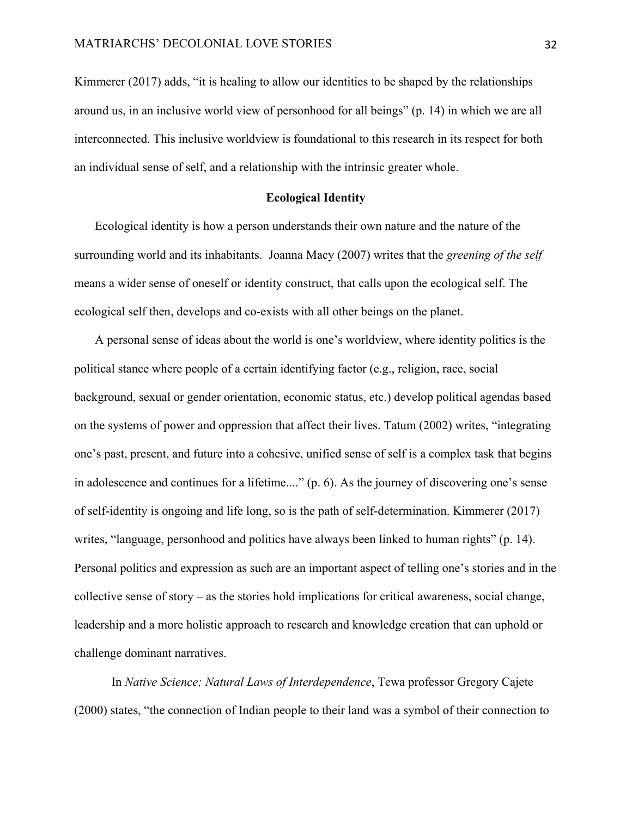Kimmerer (2017) adds, "it is healing to allow our identities to be shaped by the relationships around us, in an inclusive world view of personhood for all beings" (p. 14) in which we are all interconnected. This inclusive worldview is foundational to this research in its respect for both an individual sense of self, and a relationship with the intrinsic greater whole.

#### **Ecological Identity**

Ecological identity is how a person understands their own nature and the nature of the surrounding world and its inhabitants. Joanna Macy (2007) writes that the *greening of the self* means a wider sense of oneself or identity construct, that calls upon the ecological self. The ecological self then, develops and co-exists with all other beings on the planet.

A personal sense of ideas about the world is one's worldview, where identity politics is the political stance where people of a certain identifying factor (e.g., religion, race, social background, sexual or gender orientation, economic status, etc.) develop political agendas based on the systems of power and oppression that affect their lives. Tatum (2002) writes, "integrating one's past, present, and future into a cohesive, unified sense of self is a complex task that begins in adolescence and continues for a lifetime...." (p. 6). As the journey of discovering one's sense of self-identity is ongoing and life long, so is the path of self-determination. Kimmerer (2017) writes, "language, personhood and politics have always been linked to human rights" (p. 14). Personal politics and expression as such are an important aspect of telling one's stories and in the collective sense of story – as the stories hold implications for critical awareness, social change, leadership and a more holistic approach to research and knowledge creation that can uphold or challenge dominant narratives.

In *Native Science; Natural Laws of Interdependence*, Tewa professor Gregory Cajete (2000) states, "the connection of Indian people to their land was a symbol of their connection to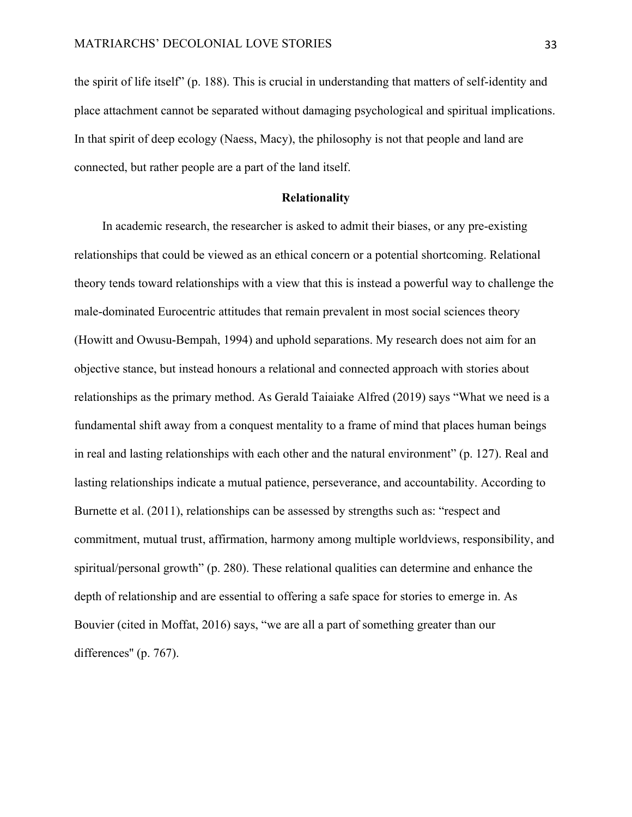the spirit of life itself" (p. 188). This is crucial in understanding that matters of self-identity and place attachment cannot be separated without damaging psychological and spiritual implications. In that spirit of deep ecology (Naess, Macy), the philosophy is not that people and land are connected, but rather people are a part of the land itself.

#### **Relationality**

In academic research, the researcher is asked to admit their biases, or any pre-existing relationships that could be viewed as an ethical concern or a potential shortcoming. Relational theory tends toward relationships with a view that this is instead a powerful way to challenge the male-dominated Eurocentric attitudes that remain prevalent in most social sciences theory (Howitt and Owusu-Bempah, 1994) and uphold separations. My research does not aim for an objective stance, but instead honours a relational and connected approach with stories about relationships as the primary method. As Gerald Taiaiake Alfred (2019) says "What we need is a fundamental shift away from a conquest mentality to a frame of mind that places human beings in real and lasting relationships with each other and the natural environment" (p. 127). Real and lasting relationships indicate a mutual patience, perseverance, and accountability. According to Burnette et al. (2011), relationships can be assessed by strengths such as: "respect and commitment, mutual trust, affirmation, harmony among multiple worldviews, responsibility, and spiritual/personal growth" (p. 280). These relational qualities can determine and enhance the depth of relationship and are essential to offering a safe space for stories to emerge in. As Bouvier (cited in Moffat, 2016) says, "we are all a part of something greater than our differences" (p. 767).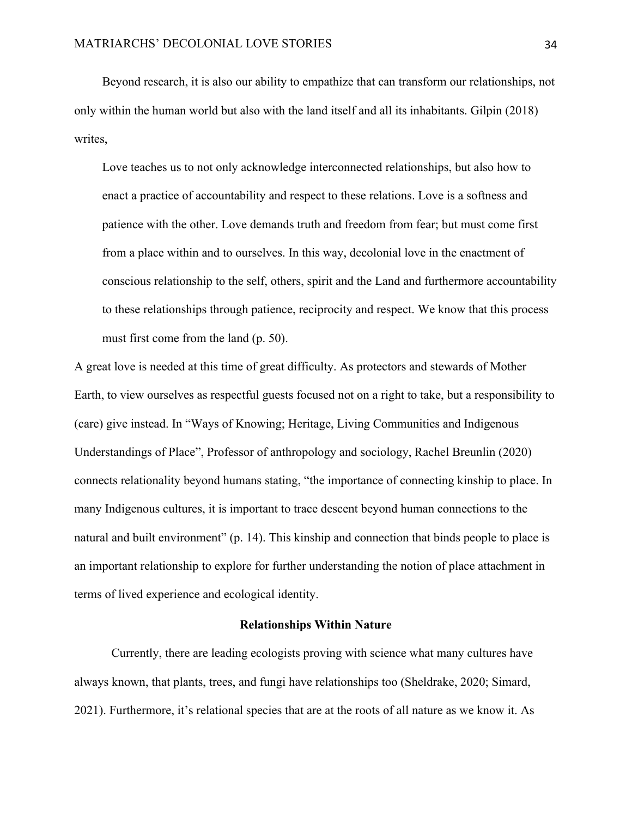Beyond research, it is also our ability to empathize that can transform our relationships, not only within the human world but also with the land itself and all its inhabitants. Gilpin (2018) writes,

Love teaches us to not only acknowledge interconnected relationships, but also how to enact a practice of accountability and respect to these relations. Love is a softness and patience with the other. Love demands truth and freedom from fear; but must come first from a place within and to ourselves. In this way, decolonial love in the enactment of conscious relationship to the self, others, spirit and the Land and furthermore accountability to these relationships through patience, reciprocity and respect. We know that this process must first come from the land (p. 50).

A great love is needed at this time of great difficulty. As protectors and stewards of Mother Earth, to view ourselves as respectful guests focused not on a right to take, but a responsibility to (care) give instead. In "Ways of Knowing; Heritage, Living Communities and Indigenous Understandings of Place", Professor of anthropology and sociology, Rachel Breunlin (2020) connects relationality beyond humans stating, "the importance of connecting kinship to place. In many Indigenous cultures, it is important to trace descent beyond human connections to the natural and built environment" (p. 14). This kinship and connection that binds people to place is an important relationship to explore for further understanding the notion of place attachment in terms of lived experience and ecological identity.

# **Relationships Within Nature**

Currently, there are leading ecologists proving with science what many cultures have always known, that plants, trees, and fungi have relationships too (Sheldrake, 2020; Simard, 2021). Furthermore, it's relational species that are at the roots of all nature as we know it. As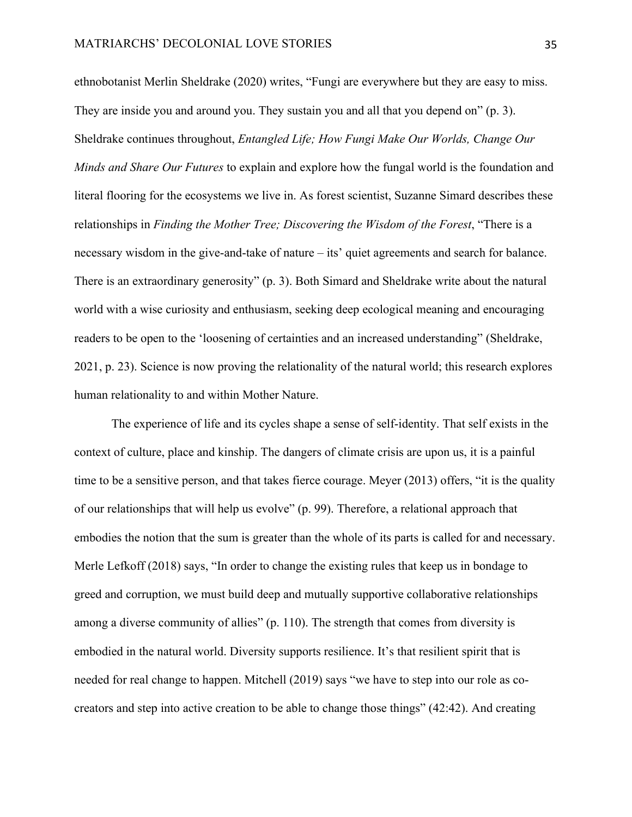ethnobotanist Merlin Sheldrake (2020) writes, "Fungi are everywhere but they are easy to miss. They are inside you and around you. They sustain you and all that you depend on" (p. 3). Sheldrake continues throughout, *Entangled Life; How Fungi Make Our Worlds, Change Our Minds and Share Our Futures* to explain and explore how the fungal world is the foundation and literal flooring for the ecosystems we live in. As forest scientist, Suzanne Simard describes these relationships in *Finding the Mother Tree; Discovering the Wisdom of the Forest*, "There is a necessary wisdom in the give-and-take of nature – its' quiet agreements and search for balance. There is an extraordinary generosity" (p. 3). Both Simard and Sheldrake write about the natural world with a wise curiosity and enthusiasm, seeking deep ecological meaning and encouraging readers to be open to the 'loosening of certainties and an increased understanding" (Sheldrake, 2021, p. 23). Science is now proving the relationality of the natural world; this research explores human relationality to and within Mother Nature.

The experience of life and its cycles shape a sense of self-identity. That self exists in the context of culture, place and kinship. The dangers of climate crisis are upon us, it is a painful time to be a sensitive person, and that takes fierce courage. Meyer (2013) offers, "it is the quality of our relationships that will help us evolve" (p. 99). Therefore, a relational approach that embodies the notion that the sum is greater than the whole of its parts is called for and necessary. Merle Lefkoff (2018) says, "In order to change the existing rules that keep us in bondage to greed and corruption, we must build deep and mutually supportive collaborative relationships among a diverse community of allies" (p. 110). The strength that comes from diversity is embodied in the natural world. Diversity supports resilience. It's that resilient spirit that is needed for real change to happen. Mitchell (2019) says "we have to step into our role as cocreators and step into active creation to be able to change those things" (42:42). And creating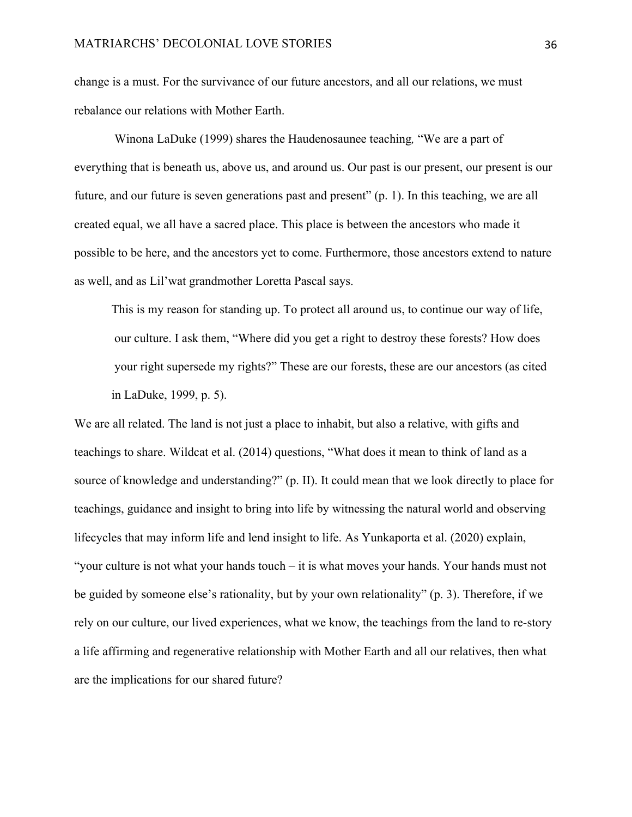change is a must. For the survivance of our future ancestors, and all our relations, we must rebalance our relations with Mother Earth.

Winona LaDuke (1999) shares the Haudenosaunee teaching*,* "We are a part of everything that is beneath us, above us, and around us. Our past is our present, our present is our future, and our future is seven generations past and present" (p. 1). In this teaching, we are all created equal, we all have a sacred place. This place is between the ancestors who made it possible to be here, and the ancestors yet to come. Furthermore, those ancestors extend to nature as well, and as Lil'wat grandmother Loretta Pascal says.

This is my reason for standing up. To protect all around us, to continue our way of life, our culture. I ask them, "Where did you get a right to destroy these forests? How does your right supersede my rights?" These are our forests, these are our ancestors (as cited in LaDuke, 1999, p. 5).

We are all related. The land is not just a place to inhabit, but also a relative, with gifts and teachings to share. Wildcat et al. (2014) questions, "What does it mean to think of land as a source of knowledge and understanding?" (p. II). It could mean that we look directly to place for teachings, guidance and insight to bring into life by witnessing the natural world and observing lifecycles that may inform life and lend insight to life. As Yunkaporta et al. (2020) explain, "your culture is not what your hands touch – it is what moves your hands. Your hands must not be guided by someone else's rationality, but by your own relationality" (p. 3). Therefore, if we rely on our culture, our lived experiences, what we know, the teachings from the land to re-story a life affirming and regenerative relationship with Mother Earth and all our relatives, then what are the implications for our shared future?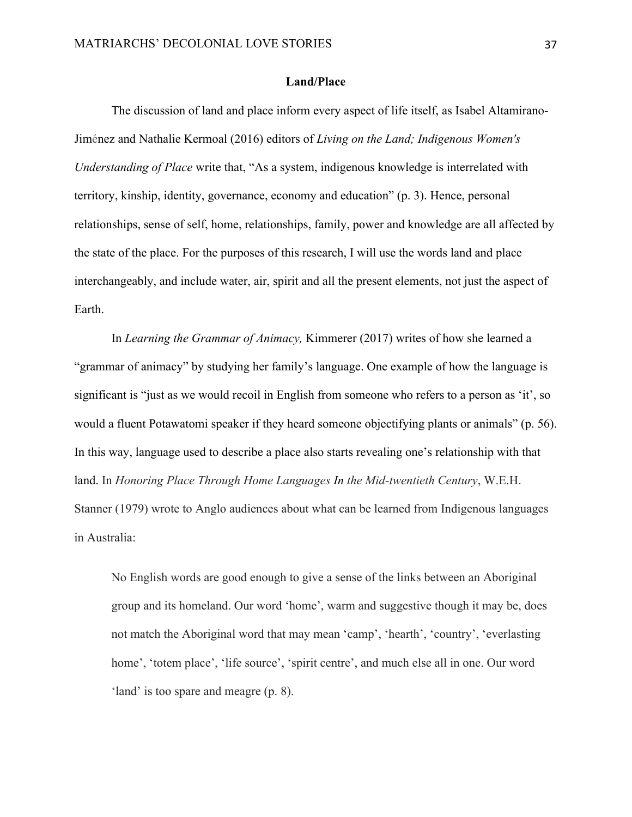## **Land/Place**

The discussion of land and place inform every aspect of life itself, as Isabel Altamirano-Jiménez and Nathalie Kermoal (2016) editors of *Living on the Land; Indigenous Women's Understanding of Place* write that, "As a system, indigenous knowledge is interrelated with territory, kinship, identity, governance, economy and education" (p. 3). Hence, personal relationships, sense of self, home, relationships, family, power and knowledge are all affected by the state of the place. For the purposes of this research, I will use the words land and place interchangeably, and include water, air, spirit and all the present elements, not just the aspect of Earth.

In *Learning the Grammar of Animacy,* Kimmerer (2017) writes of how she learned a "grammar of animacy" by studying her family's language. One example of how the language is significant is "just as we would recoil in English from someone who refers to a person as 'it', so would a fluent Potawatomi speaker if they heard someone objectifying plants or animals" (p. 56). In this way, language used to describe a place also starts revealing one's relationship with that land. In *Honoring Place Through Home Languages In the Mid-twentieth Century*, W.E.H. Stanner (1979) wrote to Anglo audiences about what can be learned from Indigenous languages in Australia:

No English words are good enough to give a sense of the links between an Aboriginal group and its homeland. Our word 'home', warm and suggestive though it may be, does not match the Aboriginal word that may mean 'camp', 'hearth', 'country', 'everlasting home', 'totem place', 'life source', 'spirit centre', and much else all in one. Our word 'land' is too spare and meagre (p. 8).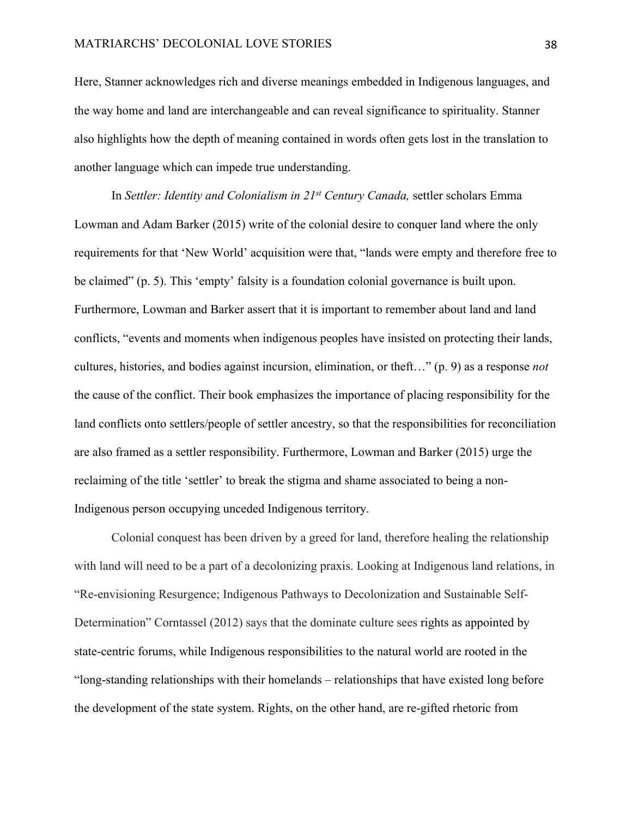Here, Stanner acknowledges rich and diverse meanings embedded in Indigenous languages, and the way home and land are interchangeable and can reveal significance to spirituality. Stanner also highlights how the depth of meaning contained in words often gets lost in the translation to another language which can impede true understanding.

In *Settler: Identity and Colonialism in 21st Century Canada,* settler scholars Emma Lowman and Adam Barker (2015) write of the colonial desire to conquer land where the only requirements for that 'New World' acquisition were that, "lands were empty and therefore free to be claimed" (p. 5). This 'empty' falsity is a foundation colonial governance is built upon. Furthermore, Lowman and Barker assert that it is important to remember about land and land conflicts, "events and moments when indigenous peoples have insisted on protecting their lands, cultures, histories, and bodies against incursion, elimination, or theft…" (p. 9) as a response *not* the cause of the conflict. Their book emphasizes the importance of placing responsibility for the land conflicts onto settlers/people of settler ancestry, so that the responsibilities for reconciliation are also framed as a settler responsibility. Furthermore, Lowman and Barker (2015) urge the reclaiming of the title 'settler' to break the stigma and shame associated to being a non-Indigenous person occupying unceded Indigenous territory.

Colonial conquest has been driven by a greed for land, therefore healing the relationship with land will need to be a part of a decolonizing praxis. Looking at Indigenous land relations, in "Re-envisioning Resurgence; Indigenous Pathways to Decolonization and Sustainable Self-Determination" Corntassel (2012) says that the dominate culture sees rights as appointed by state-centric forums, while Indigenous responsibilities to the natural world are rooted in the "long-standing relationships with their homelands – relationships that have existed long before the development of the state system. Rights, on the other hand, are re-gifted rhetoric from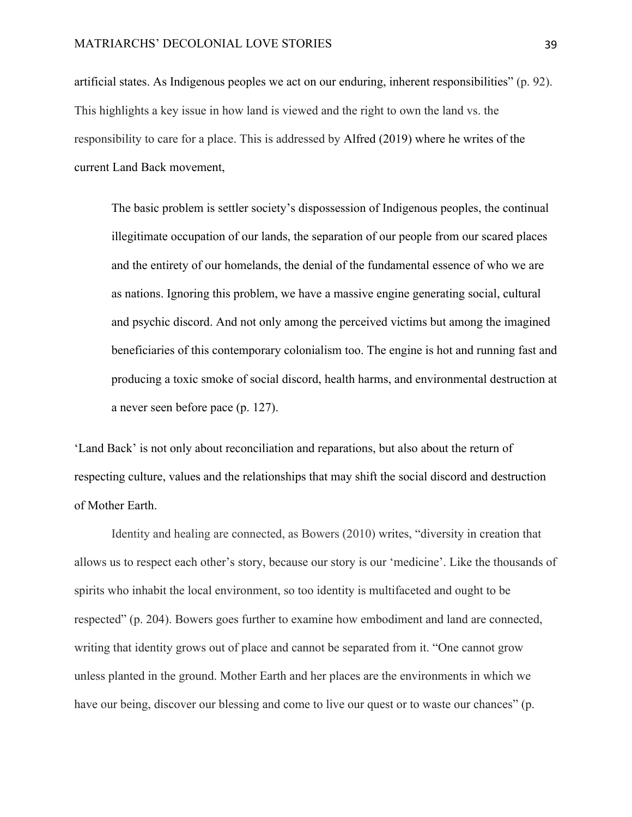artificial states. As Indigenous peoples we act on our enduring, inherent responsibilities" (p. 92). This highlights a key issue in how land is viewed and the right to own the land vs. the responsibility to care for a place. This is addressed by Alfred (2019) where he writes of the current Land Back movement,

The basic problem is settler society's dispossession of Indigenous peoples, the continual illegitimate occupation of our lands, the separation of our people from our scared places and the entirety of our homelands, the denial of the fundamental essence of who we are as nations. Ignoring this problem, we have a massive engine generating social, cultural and psychic discord. And not only among the perceived victims but among the imagined beneficiaries of this contemporary colonialism too. The engine is hot and running fast and producing a toxic smoke of social discord, health harms, and environmental destruction at a never seen before pace (p. 127).

'Land Back' is not only about reconciliation and reparations, but also about the return of respecting culture, values and the relationships that may shift the social discord and destruction of Mother Earth.

Identity and healing are connected, as Bowers (2010) writes, "diversity in creation that allows us to respect each other's story, because our story is our 'medicine'. Like the thousands of spirits who inhabit the local environment, so too identity is multifaceted and ought to be respected" (p. 204). Bowers goes further to examine how embodiment and land are connected, writing that identity grows out of place and cannot be separated from it. "One cannot grow unless planted in the ground. Mother Earth and her places are the environments in which we have our being, discover our blessing and come to live our quest or to waste our chances" (p.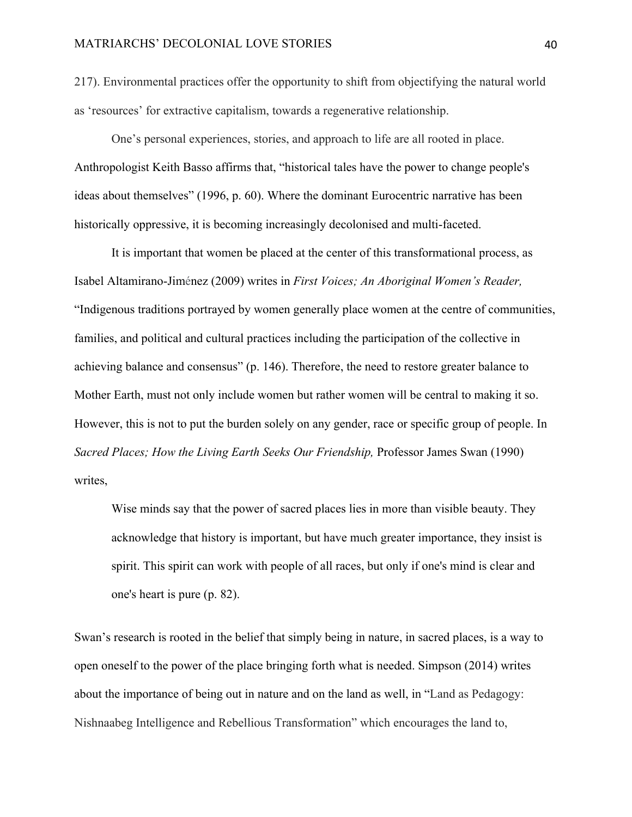217). Environmental practices offer the opportunity to shift from objectifying the natural world as 'resources' for extractive capitalism, towards a regenerative relationship.

One's personal experiences, stories, and approach to life are all rooted in place. Anthropologist Keith Basso affirms that, "historical tales have the power to change people's ideas about themselves" (1996, p. 60). Where the dominant Eurocentric narrative has been historically oppressive, it is becoming increasingly decolonised and multi-faceted.

It is important that women be placed at the center of this transformational process, as Isabel Altamirano-Jiménez (2009) writes in *First Voices; An Aboriginal Women's Reader,* "Indigenous traditions portrayed by women generally place women at the centre of communities, families, and political and cultural practices including the participation of the collective in achieving balance and consensus" (p. 146). Therefore, the need to restore greater balance to Mother Earth, must not only include women but rather women will be central to making it so. However, this is not to put the burden solely on any gender, race or specific group of people. In *Sacred Places; How the Living Earth Seeks Our Friendship,* Professor James Swan (1990) writes,

Wise minds say that the power of sacred places lies in more than visible beauty. They acknowledge that history is important, but have much greater importance, they insist is spirit. This spirit can work with people of all races, but only if one's mind is clear and one's heart is pure (p. 82).

Swan's research is rooted in the belief that simply being in nature, in sacred places, is a way to open oneself to the power of the place bringing forth what is needed. Simpson (2014) writes about the importance of being out in nature and on the land as well, in "Land as Pedagogy: Nishnaabeg Intelligence and Rebellious Transformation" which encourages the land to,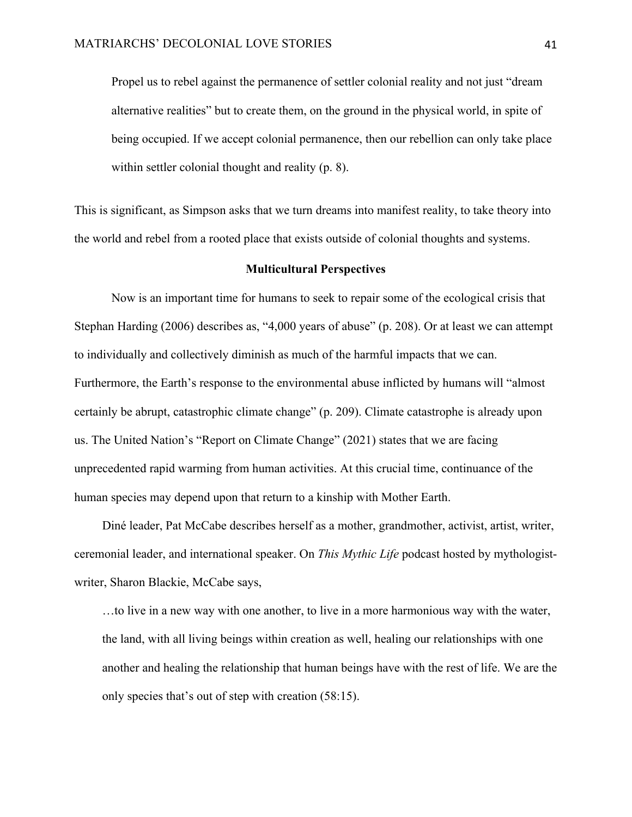Propel us to rebel against the permanence of settler colonial reality and not just "dream alternative realities" but to create them, on the ground in the physical world, in spite of being occupied. If we accept colonial permanence, then our rebellion can only take place within settler colonial thought and reality (p. 8).

This is significant, as Simpson asks that we turn dreams into manifest reality, to take theory into the world and rebel from a rooted place that exists outside of colonial thoughts and systems.

# **Multicultural Perspectives**

Now is an important time for humans to seek to repair some of the ecological crisis that Stephan Harding (2006) describes as, "4,000 years of abuse" (p. 208). Or at least we can attempt to individually and collectively diminish as much of the harmful impacts that we can. Furthermore, the Earth's response to the environmental abuse inflicted by humans will "almost certainly be abrupt, catastrophic climate change" (p. 209). Climate catastrophe is already upon us. The United Nation's "Report on Climate Change" (2021) states that we are facing unprecedented rapid warming from human activities. At this crucial time, continuance of the human species may depend upon that return to a kinship with Mother Earth.

Diné leader, Pat McCabe describes herself as a mother, grandmother, activist, artist, writer, ceremonial leader, and international speaker. On *This Mythic Life* podcast hosted by mythologistwriter, Sharon Blackie, McCabe says,

…to live in a new way with one another, to live in a more harmonious way with the water, the land, with all living beings within creation as well, healing our relationships with one another and healing the relationship that human beings have with the rest of life. We are the only species that's out of step with creation (58:15).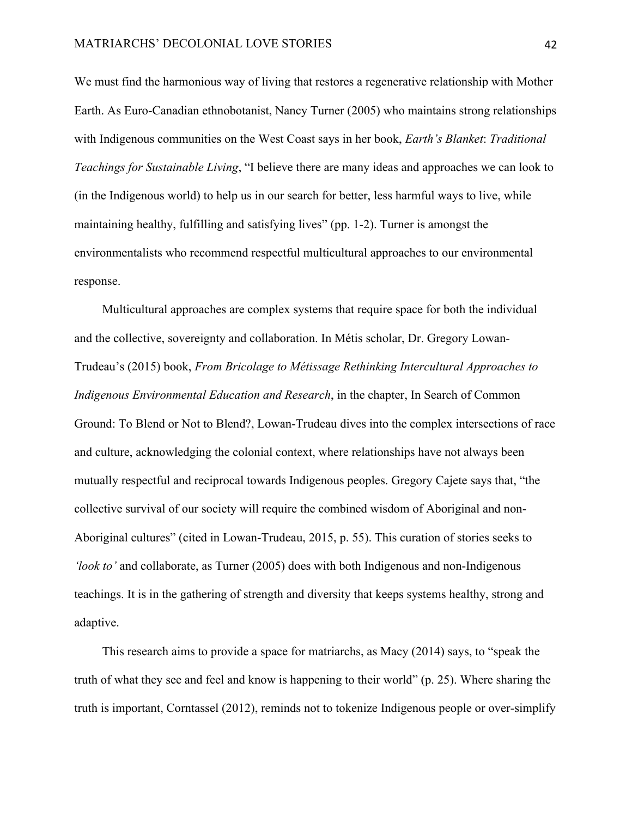We must find the harmonious way of living that restores a regenerative relationship with Mother Earth. As Euro-Canadian ethnobotanist, Nancy Turner (2005) who maintains strong relationships with Indigenous communities on the West Coast says in her book, *Earth's Blanket*: *Traditional Teachings for Sustainable Living*, "I believe there are many ideas and approaches we can look to (in the Indigenous world) to help us in our search for better, less harmful ways to live, while maintaining healthy, fulfilling and satisfying lives" (pp. 1-2). Turner is amongst the environmentalists who recommend respectful multicultural approaches to our environmental response.

Multicultural approaches are complex systems that require space for both the individual and the collective, sovereignty and collaboration. In Métis scholar, Dr. Gregory Lowan-Trudeau's (2015) book, *From Bricolage to Métissage Rethinking Intercultural Approaches to Indigenous Environmental Education and Research*, in the chapter, In Search of Common Ground: To Blend or Not to Blend?, Lowan-Trudeau dives into the complex intersections of race and culture, acknowledging the colonial context, where relationships have not always been mutually respectful and reciprocal towards Indigenous peoples. Gregory Cajete says that, "the collective survival of our society will require the combined wisdom of Aboriginal and non-Aboriginal cultures" (cited in Lowan-Trudeau, 2015, p. 55). This curation of stories seeks to *'look to'* and collaborate, as Turner (2005) does with both Indigenous and non-Indigenous teachings. It is in the gathering of strength and diversity that keeps systems healthy, strong and adaptive.

This research aims to provide a space for matriarchs, as Macy (2014) says, to "speak the truth of what they see and feel and know is happening to their world" (p. 25). Where sharing the truth is important, Corntassel (2012), reminds not to tokenize Indigenous people or over-simplify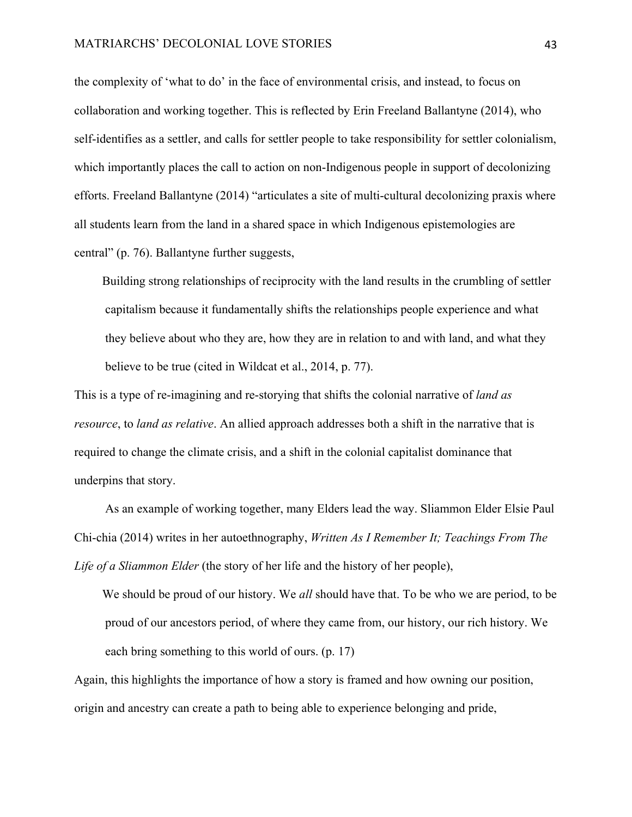the complexity of 'what to do' in the face of environmental crisis, and instead, to focus on collaboration and working together. This is reflected by Erin Freeland Ballantyne (2014), who self-identifies as a settler, and calls for settler people to take responsibility for settler colonialism, which importantly places the call to action on non-Indigenous people in support of decolonizing efforts. Freeland Ballantyne (2014) "articulates a site of multi-cultural decolonizing praxis where all students learn from the land in a shared space in which Indigenous epistemologies are central" (p. 76). Ballantyne further suggests,

Building strong relationships of reciprocity with the land results in the crumbling of settler capitalism because it fundamentally shifts the relationships people experience and what they believe about who they are, how they are in relation to and with land, and what they believe to be true (cited in Wildcat et al., 2014, p. 77).

This is a type of re-imagining and re-storying that shifts the colonial narrative of *land as resource*, to *land as relative*. An allied approach addresses both a shift in the narrative that is required to change the climate crisis, and a shift in the colonial capitalist dominance that underpins that story.

As an example of working together, many Elders lead the way. Sliammon Elder Elsie Paul Chi-chia (2014) writes in her autoethnography, *Written As I Remember It; Teachings From The Life of a Sliammon Elder* (the story of her life and the history of her people),

We should be proud of our history. We *all* should have that. To be who we are period, to be proud of our ancestors period, of where they came from, our history, our rich history. We each bring something to this world of ours. (p. 17)

Again, this highlights the importance of how a story is framed and how owning our position, origin and ancestry can create a path to being able to experience belonging and pride,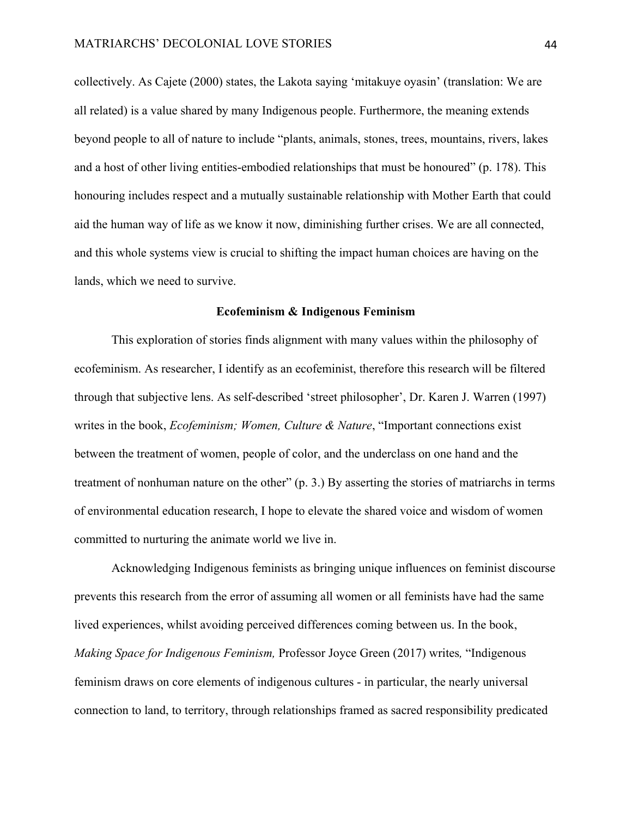collectively. As Cajete (2000) states, the Lakota saying 'mitakuye oyasin' (translation: We are all related) is a value shared by many Indigenous people. Furthermore, the meaning extends beyond people to all of nature to include "plants, animals, stones, trees, mountains, rivers, lakes and a host of other living entities-embodied relationships that must be honoured" (p. 178). This honouring includes respect and a mutually sustainable relationship with Mother Earth that could aid the human way of life as we know it now, diminishing further crises. We are all connected, and this whole systems view is crucial to shifting the impact human choices are having on the lands, which we need to survive.

### **Ecofeminism & Indigenous Feminism**

This exploration of stories finds alignment with many values within the philosophy of ecofeminism. As researcher, I identify as an ecofeminist, therefore this research will be filtered through that subjective lens. As self-described 'street philosopher', Dr. Karen J. Warren (1997) writes in the book, *Ecofeminism; Women, Culture & Nature*, "Important connections exist between the treatment of women, people of color, and the underclass on one hand and the treatment of nonhuman nature on the other" (p. 3.) By asserting the stories of matriarchs in terms of environmental education research, I hope to elevate the shared voice and wisdom of women committed to nurturing the animate world we live in.

Acknowledging Indigenous feminists as bringing unique influences on feminist discourse prevents this research from the error of assuming all women or all feminists have had the same lived experiences, whilst avoiding perceived differences coming between us. In the book, *Making Space for Indigenous Feminism,* Professor Joyce Green (2017) writes*,* "Indigenous feminism draws on core elements of indigenous cultures - in particular, the nearly universal connection to land, to territory, through relationships framed as sacred responsibility predicated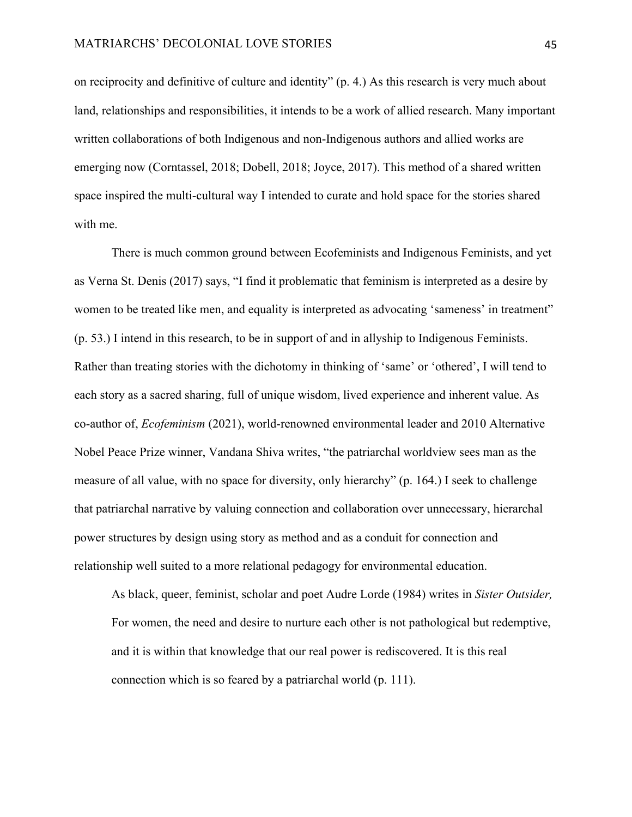on reciprocity and definitive of culture and identity" (p. 4.) As this research is very much about land, relationships and responsibilities, it intends to be a work of allied research. Many important written collaborations of both Indigenous and non-Indigenous authors and allied works are emerging now (Corntassel, 2018; Dobell, 2018; Joyce, 2017). This method of a shared written space inspired the multi-cultural way I intended to curate and hold space for the stories shared with me.

There is much common ground between Ecofeminists and Indigenous Feminists, and yet as Verna St. Denis (2017) says, "I find it problematic that feminism is interpreted as a desire by women to be treated like men, and equality is interpreted as advocating 'sameness' in treatment" (p. 53.) I intend in this research, to be in support of and in allyship to Indigenous Feminists. Rather than treating stories with the dichotomy in thinking of 'same' or 'othered', I will tend to each story as a sacred sharing, full of unique wisdom, lived experience and inherent value. As co-author of, *Ecofeminism* (2021), world-renowned environmental leader and 2010 Alternative Nobel Peace Prize winner, Vandana Shiva writes, "the patriarchal worldview sees man as the measure of all value, with no space for diversity, only hierarchy" (p. 164.) I seek to challenge that patriarchal narrative by valuing connection and collaboration over unnecessary, hierarchal power structures by design using story as method and as a conduit for connection and relationship well suited to a more relational pedagogy for environmental education.

As black, queer, feminist, scholar and poet Audre Lorde (1984) writes in *Sister Outsider,* For women, the need and desire to nurture each other is not pathological but redemptive, and it is within that knowledge that our real power is rediscovered. It is this real connection which is so feared by a patriarchal world (p. 111).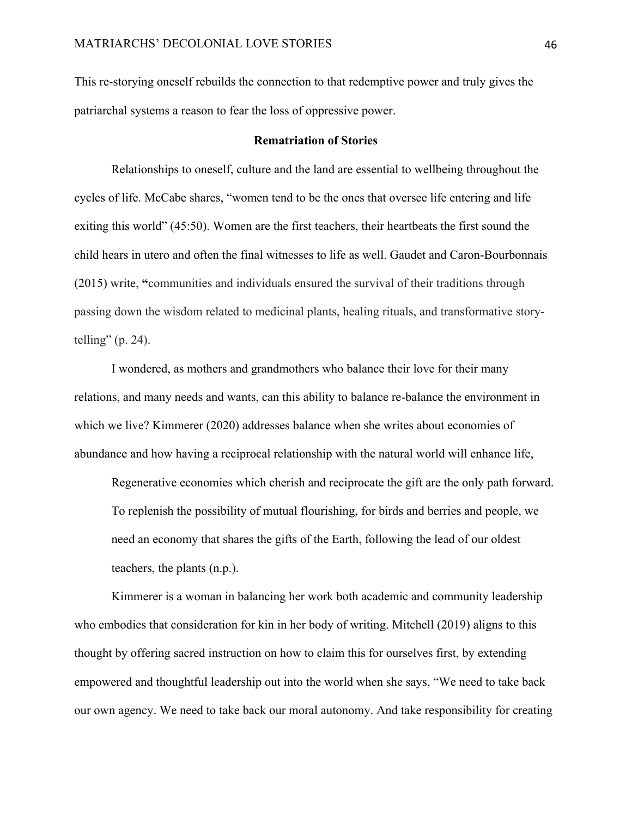This re-storying oneself rebuilds the connection to that redemptive power and truly gives the patriarchal systems a reason to fear the loss of oppressive power.

## **Rematriation of Stories**

Relationships to oneself, culture and the land are essential to wellbeing throughout the cycles of life. McCabe shares, "women tend to be the ones that oversee life entering and life exiting this world" (45:50). Women are the first teachers, their heartbeats the first sound the child hears in utero and often the final witnesses to life as well. Gaudet and Caron-Bourbonnais (2015) write, **"**communities and individuals ensured the survival of their traditions through passing down the wisdom related to medicinal plants, healing rituals, and transformative storytelling" (p. 24).

I wondered, as mothers and grandmothers who balance their love for their many relations, and many needs and wants, can this ability to balance re-balance the environment in which we live? Kimmerer (2020) addresses balance when she writes about economies of abundance and how having a reciprocal relationship with the natural world will enhance life,

Regenerative economies which cherish and reciprocate the gift are the only path forward. To replenish the possibility of mutual flourishing, for birds and berries and people, we need an economy that shares the gifts of the Earth, following the lead of our oldest teachers, the plants (n.p.).

Kimmerer is a woman in balancing her work both academic and community leadership who embodies that consideration for kin in her body of writing. Mitchell (2019) aligns to this thought by offering sacred instruction on how to claim this for ourselves first, by extending empowered and thoughtful leadership out into the world when she says, "We need to take back our own agency. We need to take back our moral autonomy. And take responsibility for creating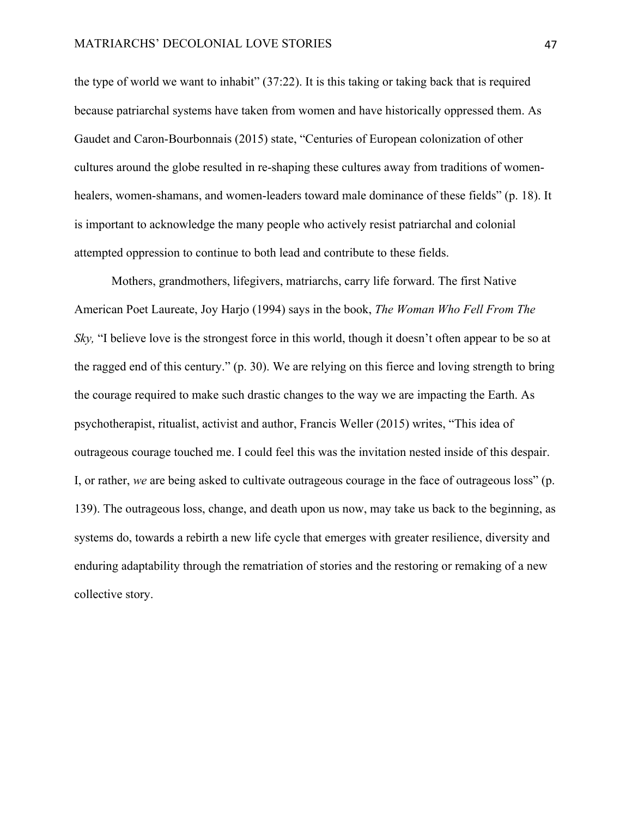the type of world we want to inhabit" (37:22). It is this taking or taking back that is required because patriarchal systems have taken from women and have historically oppressed them. As Gaudet and Caron-Bourbonnais (2015) state, "Centuries of European colonization of other cultures around the globe resulted in re-shaping these cultures away from traditions of womenhealers, women-shamans, and women-leaders toward male dominance of these fields" (p. 18). It is important to acknowledge the many people who actively resist patriarchal and colonial attempted oppression to continue to both lead and contribute to these fields.

Mothers, grandmothers, lifegivers, matriarchs, carry life forward. The first Native American Poet Laureate, Joy Harjo (1994) says in the book, *The Woman Who Fell From The Sky*, "I believe love is the strongest force in this world, though it doesn't often appear to be so at the ragged end of this century." (p. 30). We are relying on this fierce and loving strength to bring the courage required to make such drastic changes to the way we are impacting the Earth. As psychotherapist, ritualist, activist and author, Francis Weller (2015) writes, "This idea of outrageous courage touched me. I could feel this was the invitation nested inside of this despair. I, or rather, *we* are being asked to cultivate outrageous courage in the face of outrageous loss" (p. 139). The outrageous loss, change, and death upon us now, may take us back to the beginning, as systems do, towards a rebirth a new life cycle that emerges with greater resilience, diversity and enduring adaptability through the rematriation of stories and the restoring or remaking of a new collective story.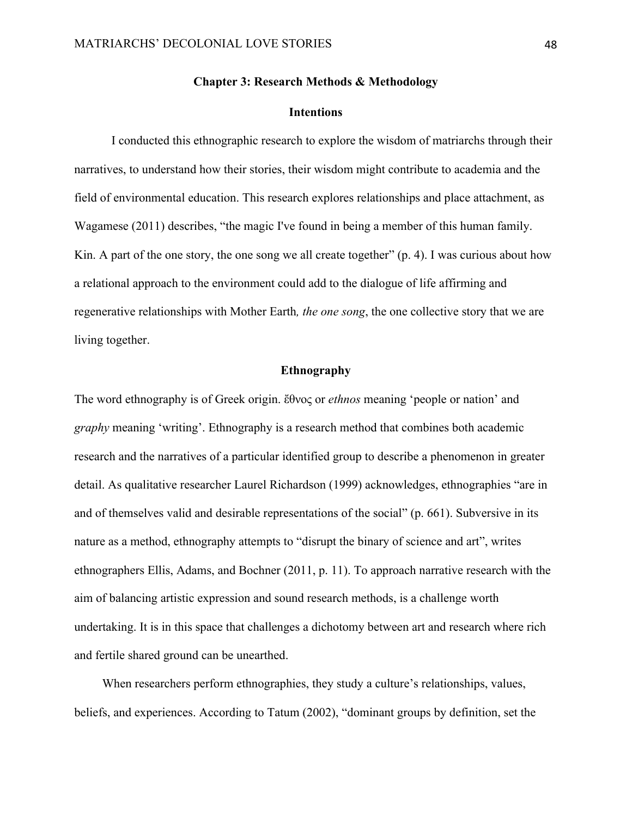## **Chapter 3: Research Methods & Methodology**

### **Intentions**

I conducted this ethnographic research to explore the wisdom of matriarchs through their narratives, to understand how their stories, their wisdom might contribute to academia and the field of environmental education. This research explores relationships and place attachment, as Wagamese (2011) describes, "the magic I've found in being a member of this human family. Kin. A part of the one story, the one song we all create together" (p. 4). I was curious about how a relational approach to the environment could add to the dialogue of life affirming and regenerative relationships with Mother Earth*, the one song*, the one collective story that we are living together.

## **Ethnography**

The word ethnography is of Greek origin. ἔθνος or *ethnos* meaning 'people or nation' and *graphy* meaning 'writing'. Ethnography is a research method that combines both academic research and the narratives of a particular identified group to describe a phenomenon in greater detail. As qualitative researcher Laurel Richardson (1999) acknowledges, ethnographies "are in and of themselves valid and desirable representations of the social" (p. 661). Subversive in its nature as a method, ethnography attempts to "disrupt the binary of science and art", writes ethnographers Ellis, Adams, and Bochner (2011, p. 11). To approach narrative research with the aim of balancing artistic expression and sound research methods, is a challenge worth undertaking. It is in this space that challenges a dichotomy between art and research where rich and fertile shared ground can be unearthed.

When researchers perform ethnographies, they study a culture's relationships, values, beliefs, and experiences. According to Tatum (2002), "dominant groups by definition, set the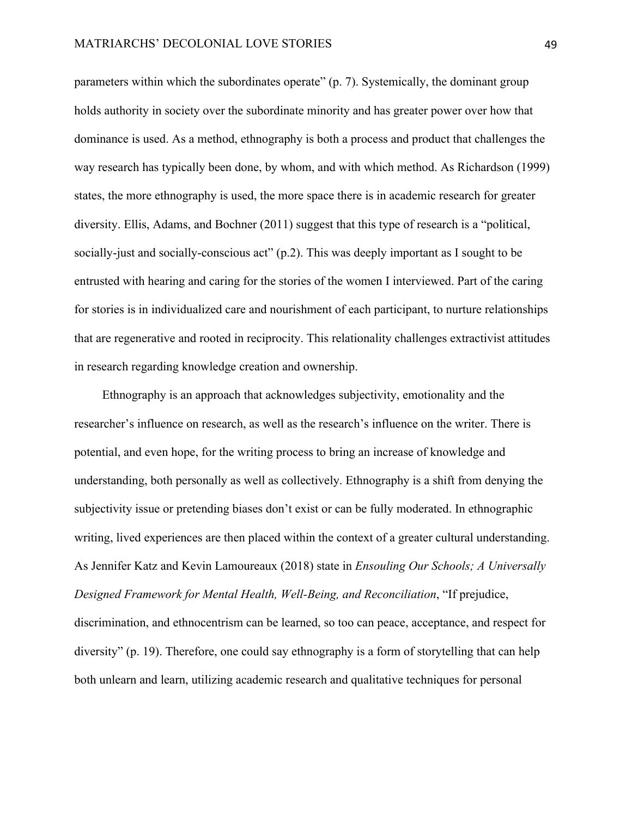parameters within which the subordinates operate" (p. 7). Systemically, the dominant group holds authority in society over the subordinate minority and has greater power over how that dominance is used. As a method, ethnography is both a process and product that challenges the way research has typically been done, by whom, and with which method. As Richardson (1999) states, the more ethnography is used, the more space there is in academic research for greater diversity. Ellis, Adams, and Bochner (2011) suggest that this type of research is a "political, socially-just and socially-conscious act" (p.2). This was deeply important as I sought to be entrusted with hearing and caring for the stories of the women I interviewed. Part of the caring for stories is in individualized care and nourishment of each participant, to nurture relationships that are regenerative and rooted in reciprocity. This relationality challenges extractivist attitudes in research regarding knowledge creation and ownership.

Ethnography is an approach that acknowledges subjectivity, emotionality and the researcher's influence on research, as well as the research's influence on the writer. There is potential, and even hope, for the writing process to bring an increase of knowledge and understanding, both personally as well as collectively. Ethnography is a shift from denying the subjectivity issue or pretending biases don't exist or can be fully moderated. In ethnographic writing, lived experiences are then placed within the context of a greater cultural understanding. As Jennifer Katz and Kevin Lamoureaux (2018) state in *Ensouling Our Schools; A Universally Designed Framework for Mental Health, Well-Being, and Reconciliation*, "If prejudice, discrimination, and ethnocentrism can be learned, so too can peace, acceptance, and respect for diversity" (p. 19). Therefore, one could say ethnography is a form of storytelling that can help both unlearn and learn, utilizing academic research and qualitative techniques for personal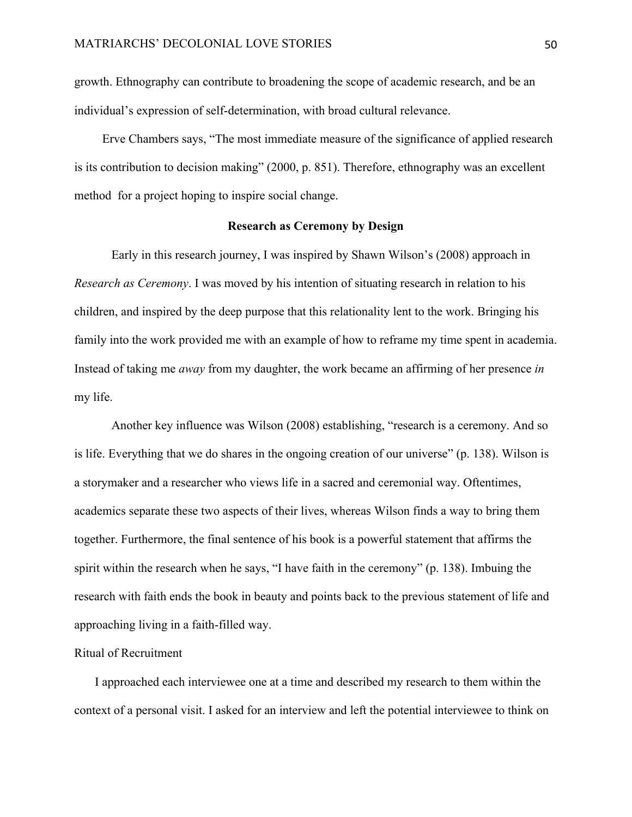growth. Ethnography can contribute to broadening the scope of academic research, and be an individual's expression of self-determination, with broad cultural relevance.

Erve Chambers says, "The most immediate measure of the significance of applied research is its contribution to decision making" (2000, p. 851). Therefore, ethnography was an excellent method for a project hoping to inspire social change.

## **Research as Ceremony by Design**

Early in this research journey, I was inspired by Shawn Wilson's (2008) approach in *Research as Ceremony*. I was moved by his intention of situating research in relation to his children, and inspired by the deep purpose that this relationality lent to the work. Bringing his family into the work provided me with an example of how to reframe my time spent in academia. Instead of taking me *away* from my daughter, the work became an affirming of her presence *in* my life.

Another key influence was Wilson (2008) establishing, "research is a ceremony. And so is life. Everything that we do shares in the ongoing creation of our universe" (p. 138). Wilson is a storymaker and a researcher who views life in a sacred and ceremonial way. Oftentimes, academics separate these two aspects of their lives, whereas Wilson finds a way to bring them together. Furthermore, the final sentence of his book is a powerful statement that affirms the spirit within the research when he says, "I have faith in the ceremony" (p. 138). Imbuing the research with faith ends the book in beauty and points back to the previous statement of life and approaching living in a faith-filled way.

# Ritual of Recruitment

I approached each interviewee one at a time and described my research to them within the context of a personal visit. I asked for an interview and left the potential interviewee to think on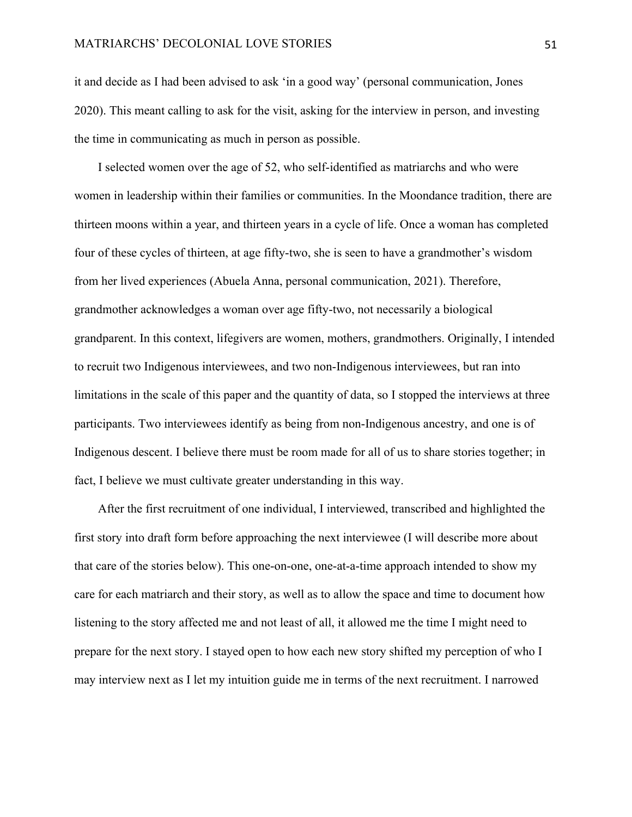it and decide as I had been advised to ask 'in a good way' (personal communication, Jones 2020). This meant calling to ask for the visit, asking for the interview in person, and investing the time in communicating as much in person as possible.

I selected women over the age of 52, who self-identified as matriarchs and who were women in leadership within their families or communities. In the Moondance tradition, there are thirteen moons within a year, and thirteen years in a cycle of life. Once a woman has completed four of these cycles of thirteen, at age fifty-two, she is seen to have a grandmother's wisdom from her lived experiences (Abuela Anna, personal communication, 2021). Therefore, grandmother acknowledges a woman over age fifty-two, not necessarily a biological grandparent. In this context, lifegivers are women, mothers, grandmothers. Originally, I intended to recruit two Indigenous interviewees, and two non-Indigenous interviewees, but ran into limitations in the scale of this paper and the quantity of data, so I stopped the interviews at three participants. Two interviewees identify as being from non-Indigenous ancestry, and one is of Indigenous descent. I believe there must be room made for all of us to share stories together; in fact, I believe we must cultivate greater understanding in this way.

After the first recruitment of one individual, I interviewed, transcribed and highlighted the first story into draft form before approaching the next interviewee (I will describe more about that care of the stories below). This one-on-one, one-at-a-time approach intended to show my care for each matriarch and their story, as well as to allow the space and time to document how listening to the story affected me and not least of all, it allowed me the time I might need to prepare for the next story. I stayed open to how each new story shifted my perception of who I may interview next as I let my intuition guide me in terms of the next recruitment. I narrowed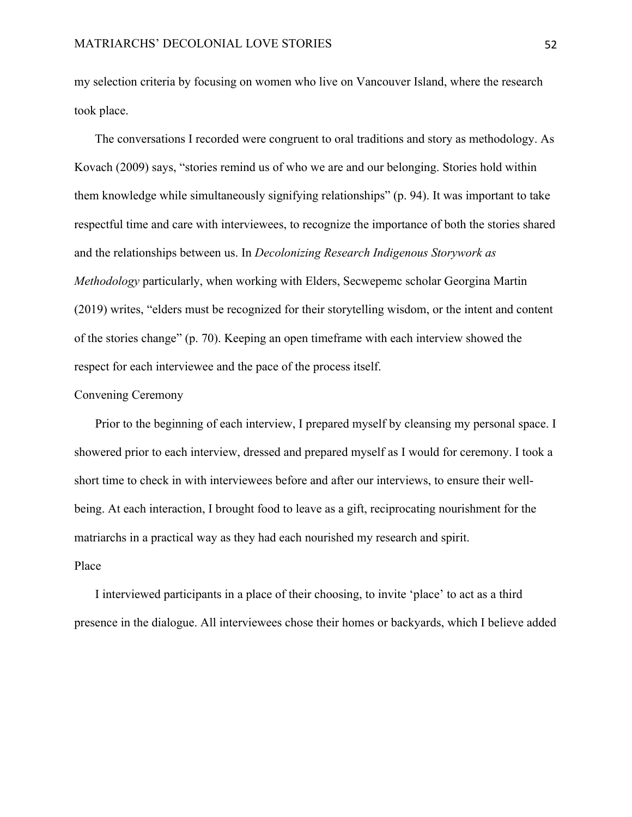my selection criteria by focusing on women who live on Vancouver Island, where the research took place.

The conversations I recorded were congruent to oral traditions and story as methodology. As Kovach (2009) says, "stories remind us of who we are and our belonging. Stories hold within them knowledge while simultaneously signifying relationships" (p. 94). It was important to take respectful time and care with interviewees, to recognize the importance of both the stories shared and the relationships between us. In *Decolonizing Research Indigenous Storywork as Methodology* particularly, when working with Elders, Secwepemc scholar Georgina Martin (2019) writes, "elders must be recognized for their storytelling wisdom, or the intent and content of the stories change" (p. 70). Keeping an open timeframe with each interview showed the respect for each interviewee and the pace of the process itself.

## Convening Ceremony

Prior to the beginning of each interview, I prepared myself by cleansing my personal space. I showered prior to each interview, dressed and prepared myself as I would for ceremony. I took a short time to check in with interviewees before and after our interviews, to ensure their wellbeing. At each interaction, I brought food to leave as a gift, reciprocating nourishment for the matriarchs in a practical way as they had each nourished my research and spirit.

# Place

I interviewed participants in a place of their choosing, to invite 'place' to act as a third presence in the dialogue. All interviewees chose their homes or backyards, which I believe added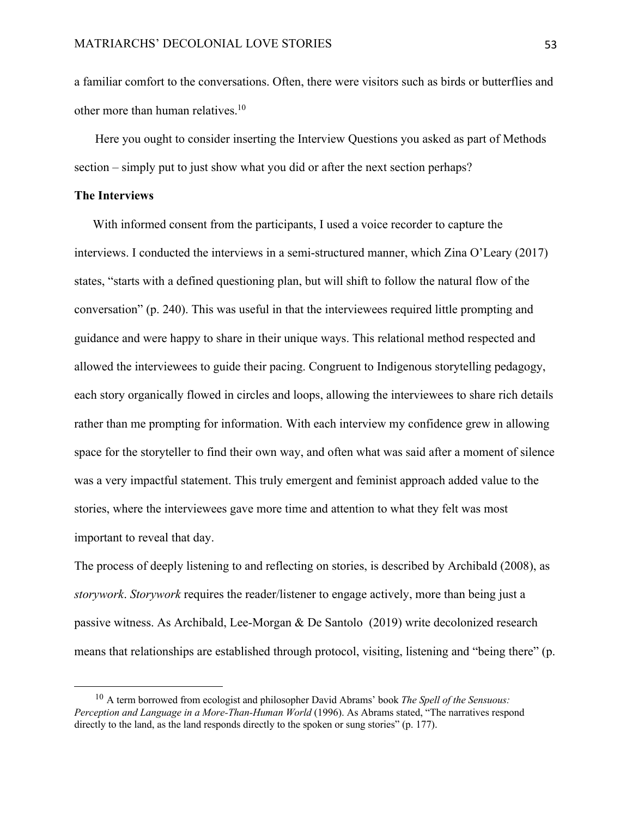a familiar comfort to the conversations. Often, there were visitors such as birds or butterflies and other more than human relatives. 10

Here you ought to consider inserting the Interview Questions you asked as part of Methods section – simply put to just show what you did or after the next section perhaps?

## **The Interviews**

With informed consent from the participants, I used a voice recorder to capture the interviews. I conducted the interviews in a semi-structured manner, which Zina O'Leary (2017) states, "starts with a defined questioning plan, but will shift to follow the natural flow of the conversation" (p. 240). This was useful in that the interviewees required little prompting and guidance and were happy to share in their unique ways. This relational method respected and allowed the interviewees to guide their pacing. Congruent to Indigenous storytelling pedagogy, each story organically flowed in circles and loops, allowing the interviewees to share rich details rather than me prompting for information. With each interview my confidence grew in allowing space for the storyteller to find their own way, and often what was said after a moment of silence was a very impactful statement. This truly emergent and feminist approach added value to the stories, where the interviewees gave more time and attention to what they felt was most important to reveal that day.

The process of deeply listening to and reflecting on stories, is described by Archibald (2008), as *storywork*. *Storywork* requires the reader/listener to engage actively, more than being just a passive witness. As Archibald, Lee-Morgan & De Santolo (2019) write decolonized research means that relationships are established through protocol, visiting, listening and "being there" (p.

<sup>10</sup> A term borrowed from ecologist and philosopher David Abrams' book *The Spell of the Sensuous: Perception and Language in a More-Than-Human World* (1996). As Abrams stated, "The narratives respond directly to the land, as the land responds directly to the spoken or sung stories" (p. 177).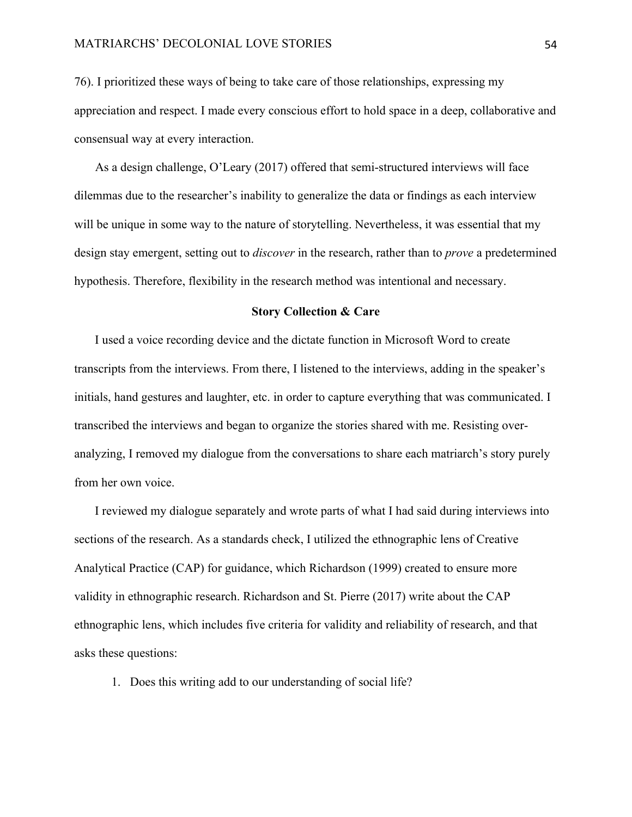76). I prioritized these ways of being to take care of those relationships, expressing my appreciation and respect. I made every conscious effort to hold space in a deep, collaborative and consensual way at every interaction.

As a design challenge, O'Leary (2017) offered that semi-structured interviews will face dilemmas due to the researcher's inability to generalize the data or findings as each interview will be unique in some way to the nature of storytelling. Nevertheless, it was essential that my design stay emergent, setting out to *discover* in the research, rather than to *prove* a predetermined hypothesis. Therefore, flexibility in the research method was intentional and necessary.

## **Story Collection & Care**

I used a voice recording device and the dictate function in Microsoft Word to create transcripts from the interviews. From there, I listened to the interviews, adding in the speaker's initials, hand gestures and laughter, etc. in order to capture everything that was communicated. I transcribed the interviews and began to organize the stories shared with me. Resisting overanalyzing, I removed my dialogue from the conversations to share each matriarch's story purely from her own voice.

I reviewed my dialogue separately and wrote parts of what I had said during interviews into sections of the research. As a standards check, I utilized the ethnographic lens of Creative Analytical Practice (CAP) for guidance, which Richardson (1999) created to ensure more validity in ethnographic research. Richardson and St. Pierre (2017) write about the CAP ethnographic lens, which includes five criteria for validity and reliability of research, and that asks these questions:

1. Does this writing add to our understanding of social life?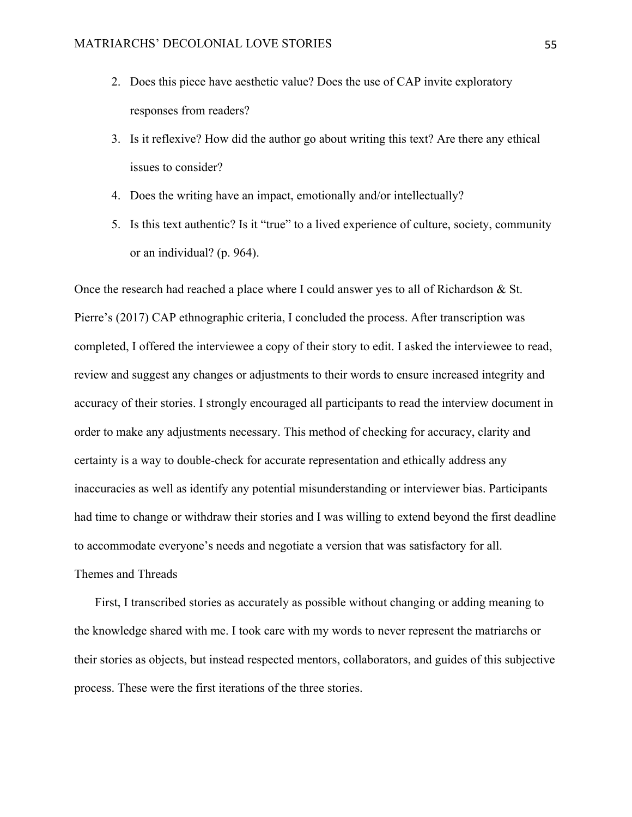- 2. Does this piece have aesthetic value? Does the use of CAP invite exploratory responses from readers?
- 3. Is it reflexive? How did the author go about writing this text? Are there any ethical issues to consider?
- 4. Does the writing have an impact, emotionally and/or intellectually?
- 5. Is this text authentic? Is it "true" to a lived experience of culture, society, community or an individual? (p. 964).

Once the research had reached a place where I could answer yes to all of Richardson & St. Pierre's (2017) CAP ethnographic criteria, I concluded the process. After transcription was completed, I offered the interviewee a copy of their story to edit. I asked the interviewee to read, review and suggest any changes or adjustments to their words to ensure increased integrity and accuracy of their stories. I strongly encouraged all participants to read the interview document in order to make any adjustments necessary. This method of checking for accuracy, clarity and certainty is a way to double-check for accurate representation and ethically address any inaccuracies as well as identify any potential misunderstanding or interviewer bias. Participants had time to change or withdraw their stories and I was willing to extend beyond the first deadline to accommodate everyone's needs and negotiate a version that was satisfactory for all. Themes and Threads

First, I transcribed stories as accurately as possible without changing or adding meaning to the knowledge shared with me. I took care with my words to never represent the matriarchs or their stories as objects, but instead respected mentors, collaborators, and guides of this subjective process. These were the first iterations of the three stories.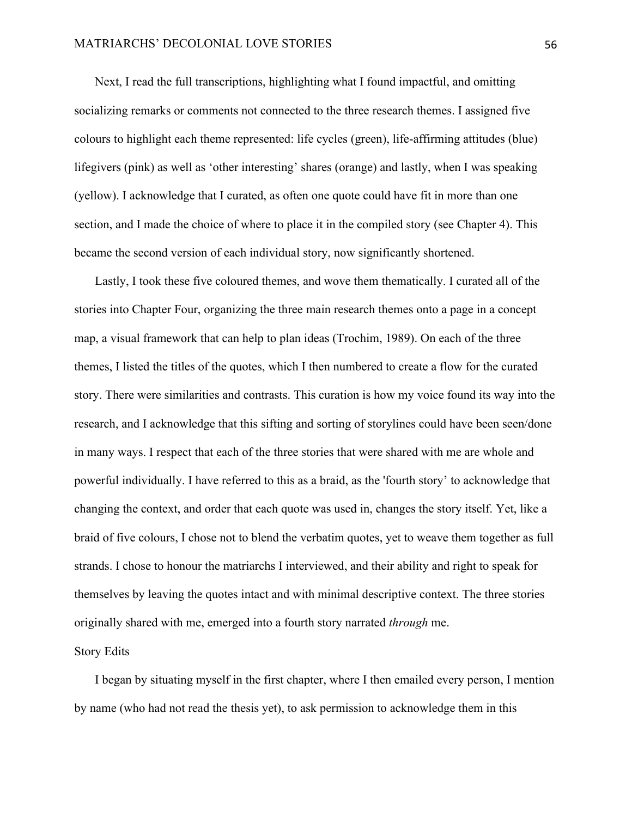Next, I read the full transcriptions, highlighting what I found impactful, and omitting socializing remarks or comments not connected to the three research themes. I assigned five colours to highlight each theme represented: life cycles (green), life-affirming attitudes (blue) lifegivers (pink) as well as 'other interesting' shares (orange) and lastly, when I was speaking (yellow). I acknowledge that I curated, as often one quote could have fit in more than one section, and I made the choice of where to place it in the compiled story (see Chapter 4). This became the second version of each individual story, now significantly shortened.

Lastly, I took these five coloured themes, and wove them thematically. I curated all of the stories into Chapter Four, organizing the three main research themes onto a page in a concept map, a visual framework that can help to plan ideas (Trochim, 1989). On each of the three themes, I listed the titles of the quotes, which I then numbered to create a flow for the curated story. There were similarities and contrasts. This curation is how my voice found its way into the research, and I acknowledge that this sifting and sorting of storylines could have been seen/done in many ways. I respect that each of the three stories that were shared with me are whole and powerful individually. I have referred to this as a braid, as the 'fourth story' to acknowledge that changing the context, and order that each quote was used in, changes the story itself. Yet, like a braid of five colours, I chose not to blend the verbatim quotes, yet to weave them together as full strands. I chose to honour the matriarchs I interviewed, and their ability and right to speak for themselves by leaving the quotes intact and with minimal descriptive context. The three stories originally shared with me, emerged into a fourth story narrated *through* me.

#### Story Edits

I began by situating myself in the first chapter, where I then emailed every person, I mention by name (who had not read the thesis yet), to ask permission to acknowledge them in this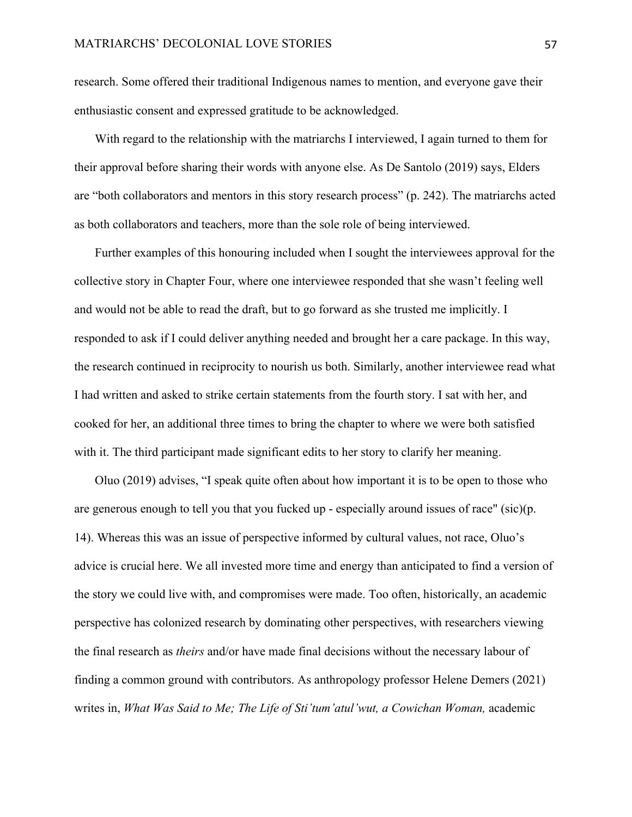research. Some offered their traditional Indigenous names to mention, and everyone gave their enthusiastic consent and expressed gratitude to be acknowledged.

With regard to the relationship with the matriarchs I interviewed, I again turned to them for their approval before sharing their words with anyone else. As De Santolo (2019) says, Elders are "both collaborators and mentors in this story research process" (p. 242). The matriarchs acted as both collaborators and teachers, more than the sole role of being interviewed.

Further examples of this honouring included when I sought the interviewees approval for the collective story in Chapter Four, where one interviewee responded that she wasn't feeling well and would not be able to read the draft, but to go forward as she trusted me implicitly. I responded to ask if I could deliver anything needed and brought her a care package. In this way, the research continued in reciprocity to nourish us both. Similarly, another interviewee read what I had written and asked to strike certain statements from the fourth story. I sat with her, and cooked for her, an additional three times to bring the chapter to where we were both satisfied with it. The third participant made significant edits to her story to clarify her meaning.

Oluo (2019) advises, "I speak quite often about how important it is to be open to those who are generous enough to tell you that you fucked up - especially around issues of race" (sic)(p. 14). Whereas this was an issue of perspective informed by cultural values, not race, Oluo's advice is crucial here. We all invested more time and energy than anticipated to find a version of the story we could live with, and compromises were made. Too often, historically, an academic perspective has colonized research by dominating other perspectives, with researchers viewing the final research as *theirs* and/or have made final decisions without the necessary labour of finding a common ground with contributors. As anthropology professor Helene Demers (2021) writes in, *What Was Said to Me; The Life of Sti'tum'atul'wut, a Cowichan Woman,* academic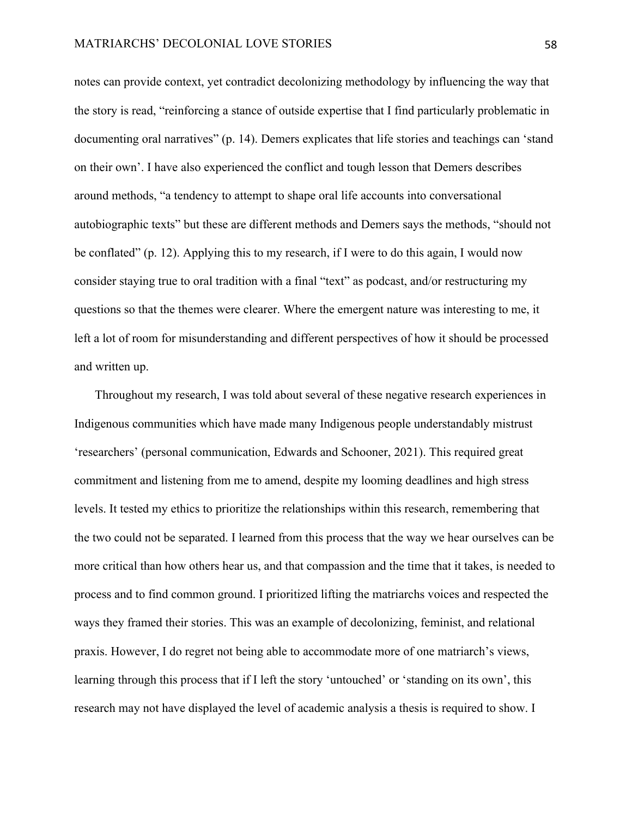notes can provide context, yet contradict decolonizing methodology by influencing the way that the story is read, "reinforcing a stance of outside expertise that I find particularly problematic in documenting oral narratives" (p. 14). Demers explicates that life stories and teachings can 'stand on their own'. I have also experienced the conflict and tough lesson that Demers describes around methods, "a tendency to attempt to shape oral life accounts into conversational autobiographic texts" but these are different methods and Demers says the methods, "should not be conflated" (p. 12). Applying this to my research, if I were to do this again, I would now consider staying true to oral tradition with a final "text" as podcast, and/or restructuring my questions so that the themes were clearer. Where the emergent nature was interesting to me, it left a lot of room for misunderstanding and different perspectives of how it should be processed and written up.

Throughout my research, I was told about several of these negative research experiences in Indigenous communities which have made many Indigenous people understandably mistrust 'researchers' (personal communication, Edwards and Schooner, 2021). This required great commitment and listening from me to amend, despite my looming deadlines and high stress levels. It tested my ethics to prioritize the relationships within this research, remembering that the two could not be separated. I learned from this process that the way we hear ourselves can be more critical than how others hear us, and that compassion and the time that it takes, is needed to process and to find common ground. I prioritized lifting the matriarchs voices and respected the ways they framed their stories. This was an example of decolonizing, feminist, and relational praxis. However, I do regret not being able to accommodate more of one matriarch's views, learning through this process that if I left the story 'untouched' or 'standing on its own', this research may not have displayed the level of academic analysis a thesis is required to show. I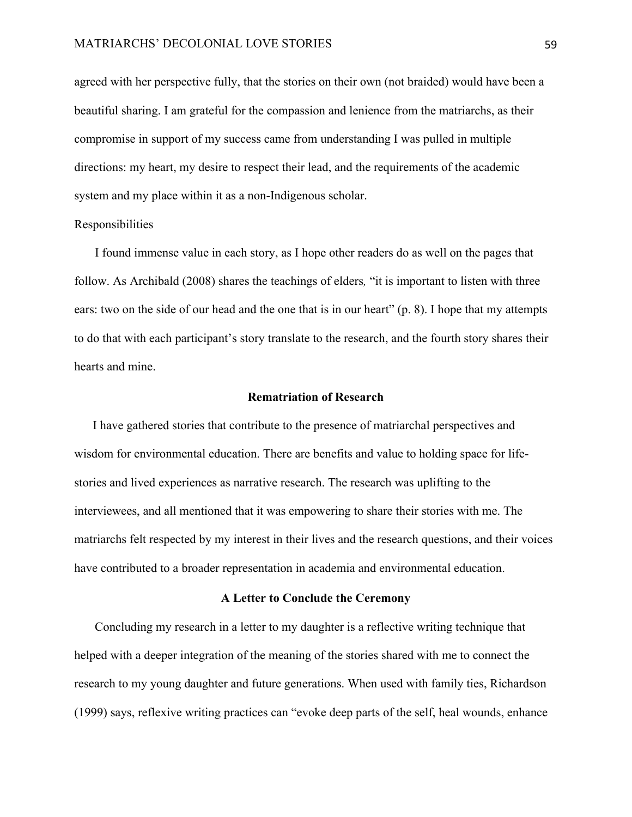#### MATRIARCHS' DECOLONIAL LOVE STORIES 59

agreed with her perspective fully, that the stories on their own (not braided) would have been a beautiful sharing. I am grateful for the compassion and lenience from the matriarchs, as their compromise in support of my success came from understanding I was pulled in multiple directions: my heart, my desire to respect their lead, and the requirements of the academic system and my place within it as a non-Indigenous scholar.

## Responsibilities

I found immense value in each story, as I hope other readers do as well on the pages that follow. As Archibald (2008) shares the teachings of elders*,* "it is important to listen with three ears: two on the side of our head and the one that is in our heart" (p. 8). I hope that my attempts to do that with each participant's story translate to the research, and the fourth story shares their hearts and mine.

## **Rematriation of Research**

 I have gathered stories that contribute to the presence of matriarchal perspectives and wisdom for environmental education. There are benefits and value to holding space for lifestories and lived experiences as narrative research. The research was uplifting to the interviewees, and all mentioned that it was empowering to share their stories with me. The matriarchs felt respected by my interest in their lives and the research questions, and their voices have contributed to a broader representation in academia and environmental education.

# **A Letter to Conclude the Ceremony**

Concluding my research in a letter to my daughter is a reflective writing technique that helped with a deeper integration of the meaning of the stories shared with me to connect the research to my young daughter and future generations. When used with family ties, Richardson (1999) says, reflexive writing practices can "evoke deep parts of the self, heal wounds, enhance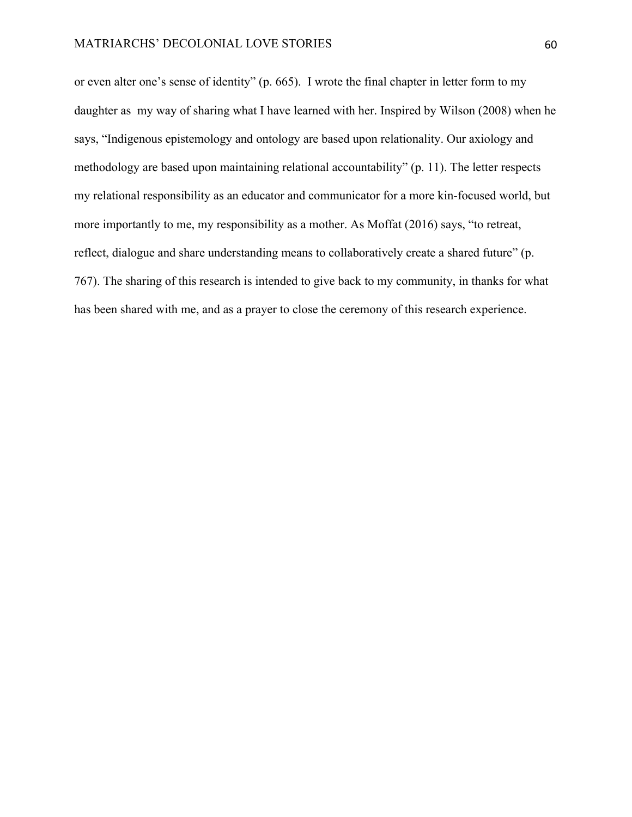or even alter one's sense of identity" (p. 665). I wrote the final chapter in letter form to my daughter as my way of sharing what I have learned with her. Inspired by Wilson (2008) when he says, "Indigenous epistemology and ontology are based upon relationality. Our axiology and methodology are based upon maintaining relational accountability" (p. 11). The letter respects my relational responsibility as an educator and communicator for a more kin-focused world, but more importantly to me, my responsibility as a mother. As Moffat (2016) says, "to retreat, reflect, dialogue and share understanding means to collaboratively create a shared future" (p. 767). The sharing of this research is intended to give back to my community, in thanks for what has been shared with me, and as a prayer to close the ceremony of this research experience.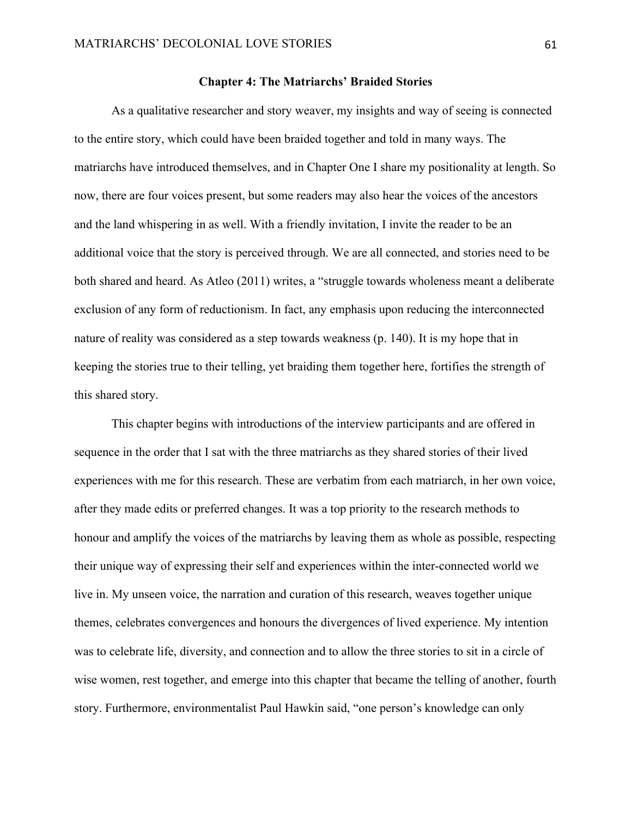## **Chapter 4: The Matriarchs' Braided Stories**

As a qualitative researcher and story weaver, my insights and way of seeing is connected to the entire story, which could have been braided together and told in many ways. The matriarchs have introduced themselves, and in Chapter One I share my positionality at length. So now, there are four voices present, but some readers may also hear the voices of the ancestors and the land whispering in as well. With a friendly invitation, I invite the reader to be an additional voice that the story is perceived through. We are all connected, and stories need to be both shared and heard. As Atleo (2011) writes, a "struggle towards wholeness meant a deliberate exclusion of any form of reductionism. In fact, any emphasis upon reducing the interconnected nature of reality was considered as a step towards weakness (p. 140). It is my hope that in keeping the stories true to their telling, yet braiding them together here, fortifies the strength of this shared story.

This chapter begins with introductions of the interview participants and are offered in sequence in the order that I sat with the three matriarchs as they shared stories of their lived experiences with me for this research. These are verbatim from each matriarch, in her own voice, after they made edits or preferred changes. It was a top priority to the research methods to honour and amplify the voices of the matriarchs by leaving them as whole as possible, respecting their unique way of expressing their self and experiences within the inter-connected world we live in. My unseen voice, the narration and curation of this research, weaves together unique themes, celebrates convergences and honours the divergences of lived experience. My intention was to celebrate life, diversity, and connection and to allow the three stories to sit in a circle of wise women, rest together, and emerge into this chapter that became the telling of another, fourth story. Furthermore, environmentalist Paul Hawkin said, "one person's knowledge can only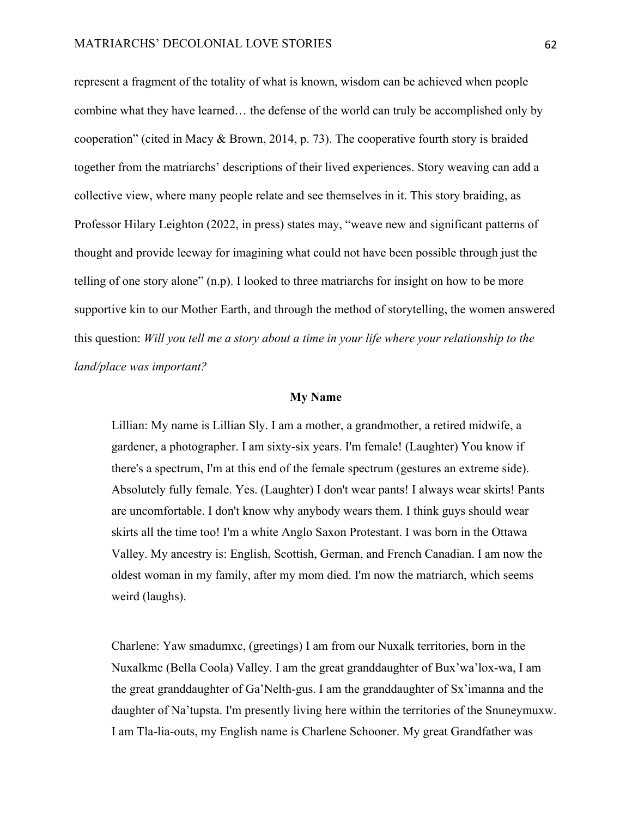represent a fragment of the totality of what is known, wisdom can be achieved when people combine what they have learned… the defense of the world can truly be accomplished only by cooperation" (cited in Macy & Brown, 2014, p. 73). The cooperative fourth story is braided together from the matriarchs' descriptions of their lived experiences. Story weaving can add a collective view, where many people relate and see themselves in it. This story braiding, as Professor Hilary Leighton (2022, in press) states may, "weave new and significant patterns of thought and provide leeway for imagining what could not have been possible through just the telling of one story alone" (n.p). I looked to three matriarchs for insight on how to be more supportive kin to our Mother Earth, and through the method of storytelling, the women answered this question: *Will you tell me a story about a time in your life where your relationship to the land/place was important?*

## **My Name**

Lillian: My name is Lillian Sly. I am a mother, a grandmother, a retired midwife, a gardener, a photographer. I am sixty-six years. I'm female! (Laughter) You know if there's a spectrum, I'm at this end of the female spectrum (gestures an extreme side). Absolutely fully female. Yes. (Laughter) I don't wear pants! I always wear skirts! Pants are uncomfortable. I don't know why anybody wears them. I think guys should wear skirts all the time too! I'm a white Anglo Saxon Protestant. I was born in the Ottawa Valley. My ancestry is: English, Scottish, German, and French Canadian. I am now the oldest woman in my family, after my mom died. I'm now the matriarch, which seems weird (laughs).

Charlene: Yaw smadumxc, (greetings) I am from our Nuxalk territories, born in the Nuxalkmc (Bella Coola) Valley. I am the great granddaughter of Bux'wa'lox-wa, I am the great granddaughter of Ga'Nelth-gus. I am the granddaughter of Sx'imanna and the daughter of Na'tupsta. I'm presently living here within the territories of the Snuneymuxw. I am Tla-lia-outs, my English name is Charlene Schooner. My great Grandfather was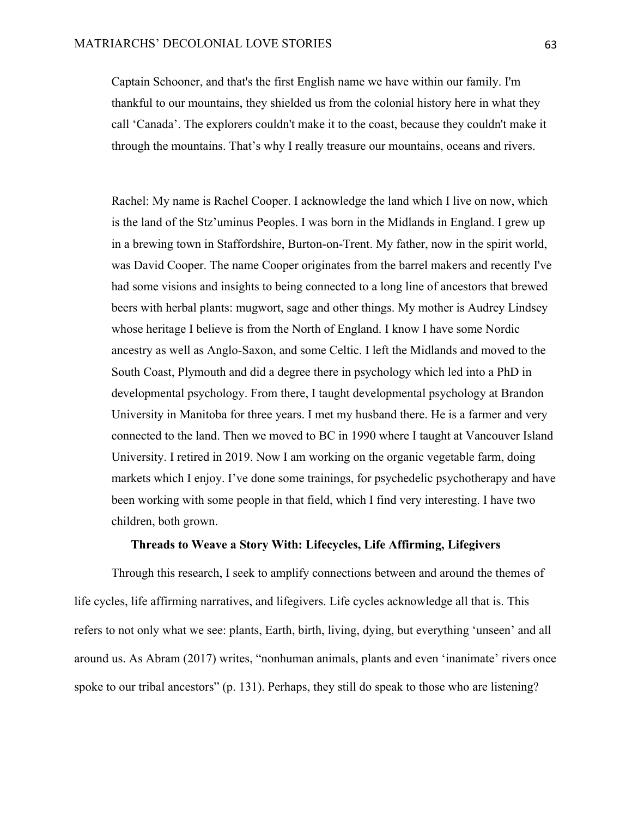Captain Schooner, and that's the first English name we have within our family. I'm thankful to our mountains, they shielded us from the colonial history here in what they call 'Canada'. The explorers couldn't make it to the coast, because they couldn't make it through the mountains. That's why I really treasure our mountains, oceans and rivers.

Rachel: My name is Rachel Cooper. I acknowledge the land which I live on now, which is the land of the Stz'uminus Peoples. I was born in the Midlands in England. I grew up in a brewing town in Staffordshire, Burton-on-Trent. My father, now in the spirit world, was David Cooper. The name Cooper originates from the barrel makers and recently I've had some visions and insights to being connected to a long line of ancestors that brewed beers with herbal plants: mugwort, sage and other things. My mother is Audrey Lindsey whose heritage I believe is from the North of England. I know I have some Nordic ancestry as well as Anglo-Saxon, and some Celtic. I left the Midlands and moved to the South Coast, Plymouth and did a degree there in psychology which led into a PhD in developmental psychology. From there, I taught developmental psychology at Brandon University in Manitoba for three years. I met my husband there. He is a farmer and very connected to the land. Then we moved to BC in 1990 where I taught at Vancouver Island University. I retired in 2019. Now I am working on the organic vegetable farm, doing markets which I enjoy. I've done some trainings, for psychedelic psychotherapy and have been working with some people in that field, which I find very interesting. I have two children, both grown.

# **Threads to Weave a Story With: Lifecycles, Life Affirming, Lifegivers**

Through this research, I seek to amplify connections between and around the themes of life cycles, life affirming narratives, and lifegivers. Life cycles acknowledge all that is. This refers to not only what we see: plants, Earth, birth, living, dying, but everything 'unseen' and all around us. As Abram (2017) writes, "nonhuman animals, plants and even 'inanimate' rivers once spoke to our tribal ancestors" (p. 131). Perhaps, they still do speak to those who are listening?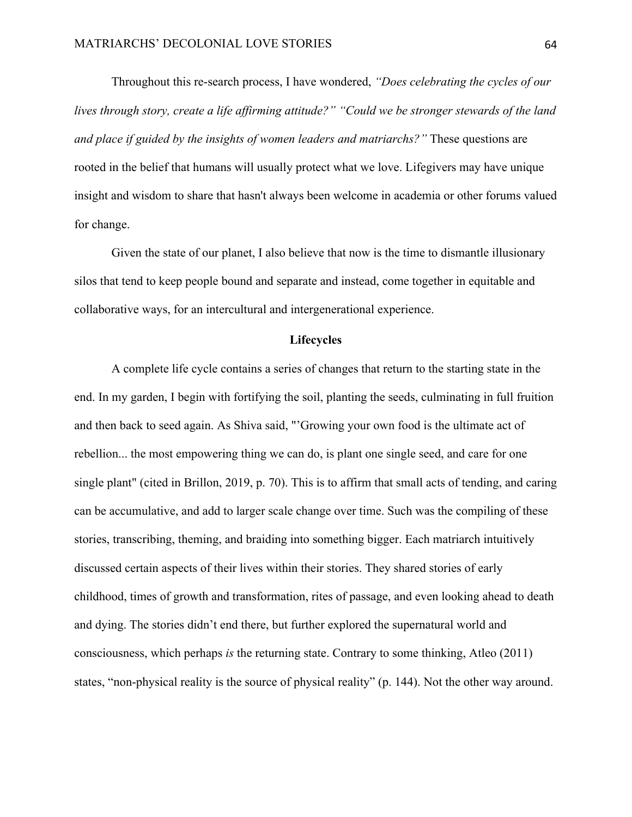Throughout this re-search process, I have wondered, *"Does celebrating the cycles of our lives through story, create a life affirming attitude?" "Could we be stronger stewards of the land and place if guided by the insights of women leaders and matriarchs?"* These questions are rooted in the belief that humans will usually protect what we love. Lifegivers may have unique insight and wisdom to share that hasn't always been welcome in academia or other forums valued for change.

Given the state of our planet, I also believe that now is the time to dismantle illusionary silos that tend to keep people bound and separate and instead, come together in equitable and collaborative ways, for an intercultural and intergenerational experience.

# **Lifecycles**

A complete life cycle contains a series of changes that return to the starting state in the end. In my garden, I begin with fortifying the soil, planting the seeds, culminating in full fruition and then back to seed again. As Shiva said, "'Growing your own food is the ultimate act of rebellion... the most empowering thing we can do, is plant one single seed, and care for one single plant" (cited in Brillon, 2019, p. 70). This is to affirm that small acts of tending, and caring can be accumulative, and add to larger scale change over time. Such was the compiling of these stories, transcribing, theming, and braiding into something bigger. Each matriarch intuitively discussed certain aspects of their lives within their stories. They shared stories of early childhood, times of growth and transformation, rites of passage, and even looking ahead to death and dying. The stories didn't end there, but further explored the supernatural world and consciousness, which perhaps *is* the returning state. Contrary to some thinking, Atleo (2011) states, "non-physical reality is the source of physical reality" (p. 144). Not the other way around.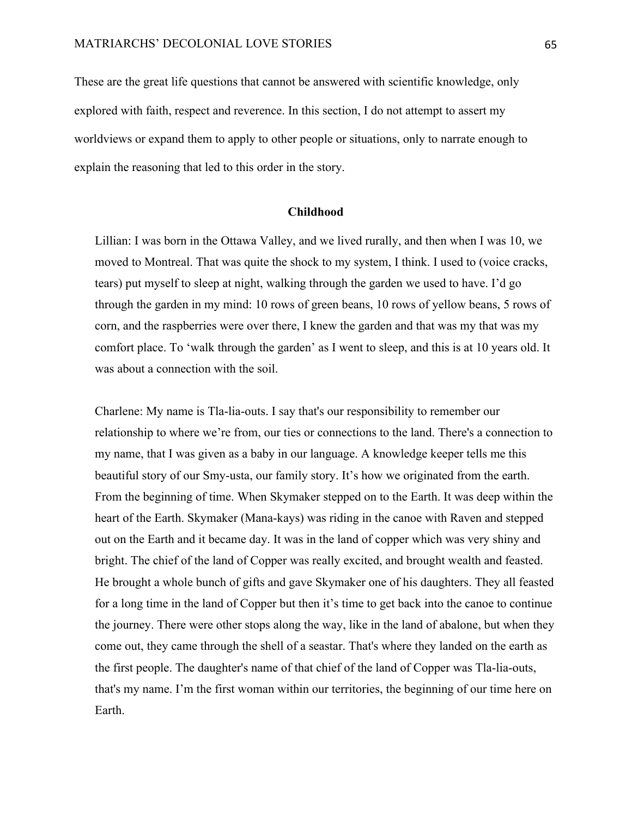These are the great life questions that cannot be answered with scientific knowledge, only explored with faith, respect and reverence. In this section, I do not attempt to assert my worldviews or expand them to apply to other people or situations, only to narrate enough to explain the reasoning that led to this order in the story.

# **Childhood**

Lillian: I was born in the Ottawa Valley, and we lived rurally, and then when I was 10, we moved to Montreal. That was quite the shock to my system, I think. I used to (voice cracks, tears) put myself to sleep at night, walking through the garden we used to have. I'd go through the garden in my mind: 10 rows of green beans, 10 rows of yellow beans, 5 rows of corn, and the raspberries were over there, I knew the garden and that was my that was my comfort place. To 'walk through the garden' as I went to sleep, and this is at 10 years old. It was about a connection with the soil.

Charlene: My name is Tla-lia-outs. I say that's our responsibility to remember our relationship to where we're from, our ties or connections to the land. There's a connection to my name, that I was given as a baby in our language. A knowledge keeper tells me this beautiful story of our Smy-usta, our family story. It's how we originated from the earth. From the beginning of time. When Skymaker stepped on to the Earth. It was deep within the heart of the Earth. Skymaker (Mana-kays) was riding in the canoe with Raven and stepped out on the Earth and it became day. It was in the land of copper which was very shiny and bright. The chief of the land of Copper was really excited, and brought wealth and feasted. He brought a whole bunch of gifts and gave Skymaker one of his daughters. They all feasted for a long time in the land of Copper but then it's time to get back into the canoe to continue the journey. There were other stops along the way, like in the land of abalone, but when they come out, they came through the shell of a seastar. That's where they landed on the earth as the first people. The daughter's name of that chief of the land of Copper was Tla-lia-outs, that's my name. I'm the first woman within our territories, the beginning of our time here on Earth.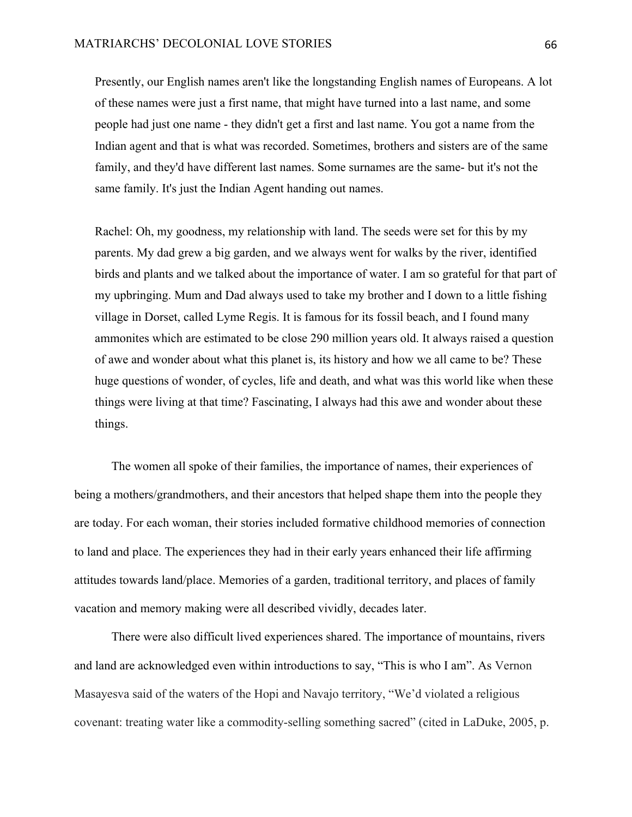Presently, our English names aren't like the longstanding English names of Europeans. A lot of these names were just a first name, that might have turned into a last name, and some people had just one name - they didn't get a first and last name. You got a name from the Indian agent and that is what was recorded. Sometimes, brothers and sisters are of the same family, and they'd have different last names. Some surnames are the same- but it's not the same family. It's just the Indian Agent handing out names.

Rachel: Oh, my goodness, my relationship with land. The seeds were set for this by my parents. My dad grew a big garden, and we always went for walks by the river, identified birds and plants and we talked about the importance of water. I am so grateful for that part of my upbringing. Mum and Dad always used to take my brother and I down to a little fishing village in Dorset, called Lyme Regis. It is famous for its fossil beach, and I found many ammonites which are estimated to be close 290 million years old. It always raised a question of awe and wonder about what this planet is, its history and how we all came to be? These huge questions of wonder, of cycles, life and death, and what was this world like when these things were living at that time? Fascinating, I always had this awe and wonder about these things.

The women all spoke of their families, the importance of names, their experiences of being a mothers/grandmothers, and their ancestors that helped shape them into the people they are today. For each woman, their stories included formative childhood memories of connection to land and place. The experiences they had in their early years enhanced their life affirming attitudes towards land/place. Memories of a garden, traditional territory, and places of family vacation and memory making were all described vividly, decades later.

There were also difficult lived experiences shared. The importance of mountains, rivers and land are acknowledged even within introductions to say, "This is who I am". As Vernon Masayesva said of the waters of the Hopi and Navajo territory, "We'd violated a religious covenant: treating water like a commodity-selling something sacred" (cited in LaDuke, 2005, p.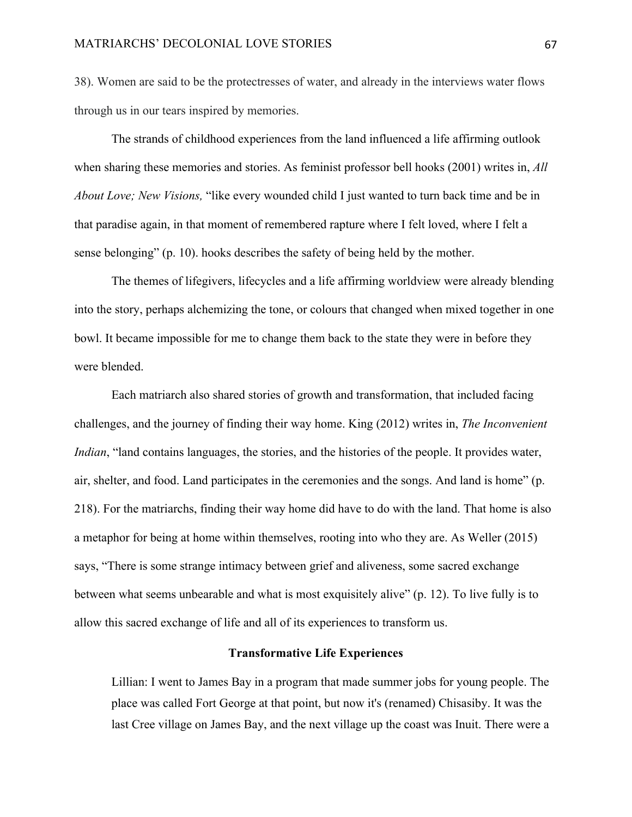38). Women are said to be the protectresses of water, and already in the interviews water flows through us in our tears inspired by memories.

The strands of childhood experiences from the land influenced a life affirming outlook when sharing these memories and stories. As feminist professor bell hooks (2001) writes in, *All About Love; New Visions,* "like every wounded child I just wanted to turn back time and be in that paradise again, in that moment of remembered rapture where I felt loved, where I felt a sense belonging" (p. 10). hooks describes the safety of being held by the mother.

The themes of lifegivers, lifecycles and a life affirming worldview were already blending into the story, perhaps alchemizing the tone, or colours that changed when mixed together in one bowl. It became impossible for me to change them back to the state they were in before they were blended.

Each matriarch also shared stories of growth and transformation, that included facing challenges, and the journey of finding their way home. King (2012) writes in, *The Inconvenient Indian*, "land contains languages, the stories, and the histories of the people. It provides water, air, shelter, and food. Land participates in the ceremonies and the songs. And land is home" (p. 218). For the matriarchs, finding their way home did have to do with the land. That home is also a metaphor for being at home within themselves, rooting into who they are. As Weller (2015) says, "There is some strange intimacy between grief and aliveness, some sacred exchange between what seems unbearable and what is most exquisitely alive" (p. 12). To live fully is to allow this sacred exchange of life and all of its experiences to transform us.

#### **Transformative Life Experiences**

Lillian: I went to James Bay in a program that made summer jobs for young people. The place was called Fort George at that point, but now it's (renamed) Chisasiby. It was the last Cree village on James Bay, and the next village up the coast was Inuit. There were a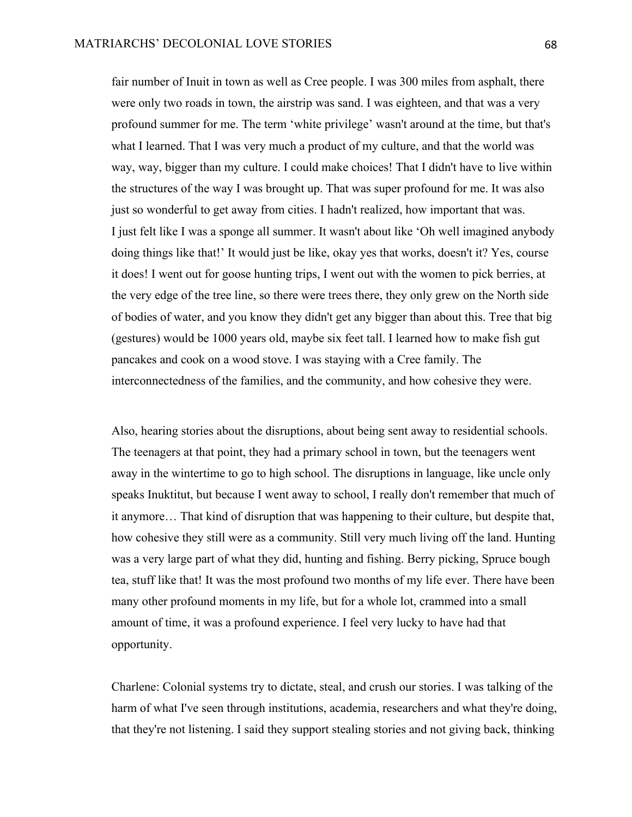fair number of Inuit in town as well as Cree people. I was 300 miles from asphalt, there were only two roads in town, the airstrip was sand. I was eighteen, and that was a very profound summer for me. The term 'white privilege' wasn't around at the time, but that's what I learned. That I was very much a product of my culture, and that the world was way, way, bigger than my culture. I could make choices! That I didn't have to live within the structures of the way I was brought up. That was super profound for me. It was also just so wonderful to get away from cities. I hadn't realized, how important that was. I just felt like I was a sponge all summer. It wasn't about like 'Oh well imagined anybody doing things like that!' It would just be like, okay yes that works, doesn't it? Yes, course it does! I went out for goose hunting trips, I went out with the women to pick berries, at the very edge of the tree line, so there were trees there, they only grew on the North side of bodies of water, and you know they didn't get any bigger than about this. Tree that big (gestures) would be 1000 years old, maybe six feet tall. I learned how to make fish gut pancakes and cook on a wood stove. I was staying with a Cree family. The interconnectedness of the families, and the community, and how cohesive they were.

Also, hearing stories about the disruptions, about being sent away to residential schools. The teenagers at that point, they had a primary school in town, but the teenagers went away in the wintertime to go to high school. The disruptions in language, like uncle only speaks Inuktitut, but because I went away to school, I really don't remember that much of it anymore… That kind of disruption that was happening to their culture, but despite that, how cohesive they still were as a community. Still very much living off the land. Hunting was a very large part of what they did, hunting and fishing. Berry picking, Spruce bough tea, stuff like that! It was the most profound two months of my life ever. There have been many other profound moments in my life, but for a whole lot, crammed into a small amount of time, it was a profound experience. I feel very lucky to have had that opportunity.

Charlene: Colonial systems try to dictate, steal, and crush our stories. I was talking of the harm of what I've seen through institutions, academia, researchers and what they're doing, that they're not listening. I said they support stealing stories and not giving back, thinking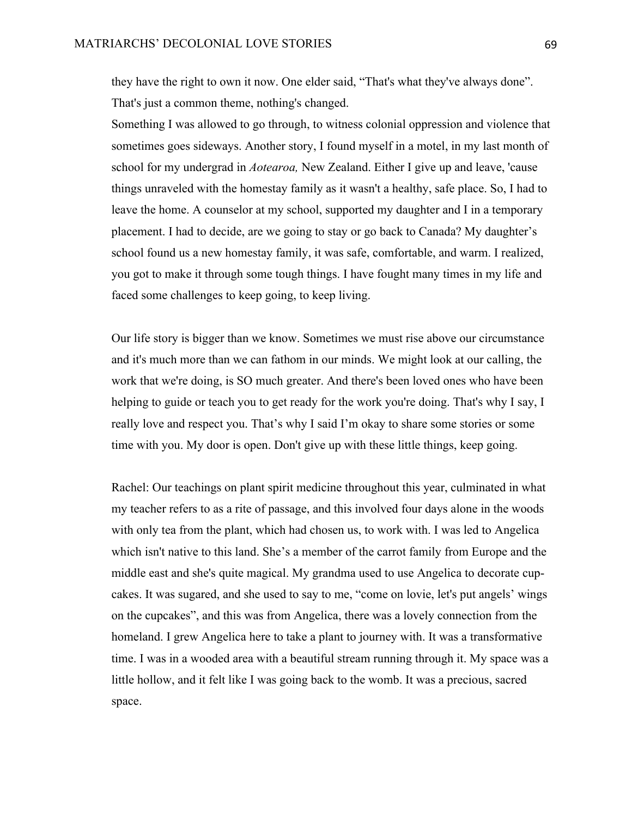they have the right to own it now. One elder said, "That's what they've always done". That's just a common theme, nothing's changed.

Something I was allowed to go through, to witness colonial oppression and violence that sometimes goes sideways. Another story, I found myself in a motel, in my last month of school for my undergrad in *Aotearoa,* New Zealand. Either I give up and leave, 'cause things unraveled with the homestay family as it wasn't a healthy, safe place. So, I had to leave the home. A counselor at my school, supported my daughter and I in a temporary placement. I had to decide, are we going to stay or go back to Canada? My daughter's school found us a new homestay family, it was safe, comfortable, and warm. I realized, you got to make it through some tough things. I have fought many times in my life and faced some challenges to keep going, to keep living.

Our life story is bigger than we know. Sometimes we must rise above our circumstance and it's much more than we can fathom in our minds. We might look at our calling, the work that we're doing, is SO much greater. And there's been loved ones who have been helping to guide or teach you to get ready for the work you're doing. That's why I say, I really love and respect you. That's why I said I'm okay to share some stories or some time with you. My door is open. Don't give up with these little things, keep going.

Rachel: Our teachings on plant spirit medicine throughout this year, culminated in what my teacher refers to as a rite of passage, and this involved four days alone in the woods with only tea from the plant, which had chosen us, to work with. I was led to Angelica which isn't native to this land. She's a member of the carrot family from Europe and the middle east and she's quite magical. My grandma used to use Angelica to decorate cupcakes. It was sugared, and she used to say to me, "come on lovie, let's put angels' wings on the cupcakes", and this was from Angelica, there was a lovely connection from the homeland. I grew Angelica here to take a plant to journey with. It was a transformative time. I was in a wooded area with a beautiful stream running through it. My space was a little hollow, and it felt like I was going back to the womb. It was a precious, sacred space.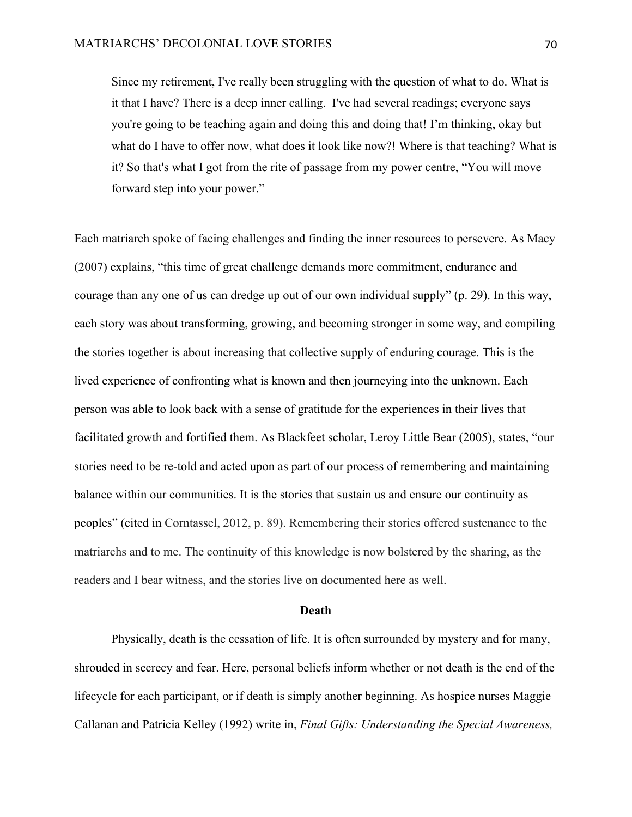Since my retirement, I've really been struggling with the question of what to do. What is it that I have? There is a deep inner calling. I've had several readings; everyone says you're going to be teaching again and doing this and doing that! I'm thinking, okay but what do I have to offer now, what does it look like now?! Where is that teaching? What is it? So that's what I got from the rite of passage from my power centre, "You will move forward step into your power."

Each matriarch spoke of facing challenges and finding the inner resources to persevere. As Macy (2007) explains, "this time of great challenge demands more commitment, endurance and courage than any one of us can dredge up out of our own individual supply" (p. 29). In this way, each story was about transforming, growing, and becoming stronger in some way, and compiling the stories together is about increasing that collective supply of enduring courage. This is the lived experience of confronting what is known and then journeying into the unknown. Each person was able to look back with a sense of gratitude for the experiences in their lives that facilitated growth and fortified them. As Blackfeet scholar, Leroy Little Bear (2005), states, "our stories need to be re-told and acted upon as part of our process of remembering and maintaining balance within our communities. It is the stories that sustain us and ensure our continuity as peoples" (cited in Corntassel, 2012, p. 89). Remembering their stories offered sustenance to the matriarchs and to me. The continuity of this knowledge is now bolstered by the sharing, as the readers and I bear witness, and the stories live on documented here as well.

#### **Death**

Physically, death is the cessation of life. It is often surrounded by mystery and for many, shrouded in secrecy and fear. Here, personal beliefs inform whether or not death is the end of the lifecycle for each participant, or if death is simply another beginning. As hospice nurses Maggie Callanan and Patricia Kelley (1992) write in, *Final Gifts: Understanding the Special Awareness,*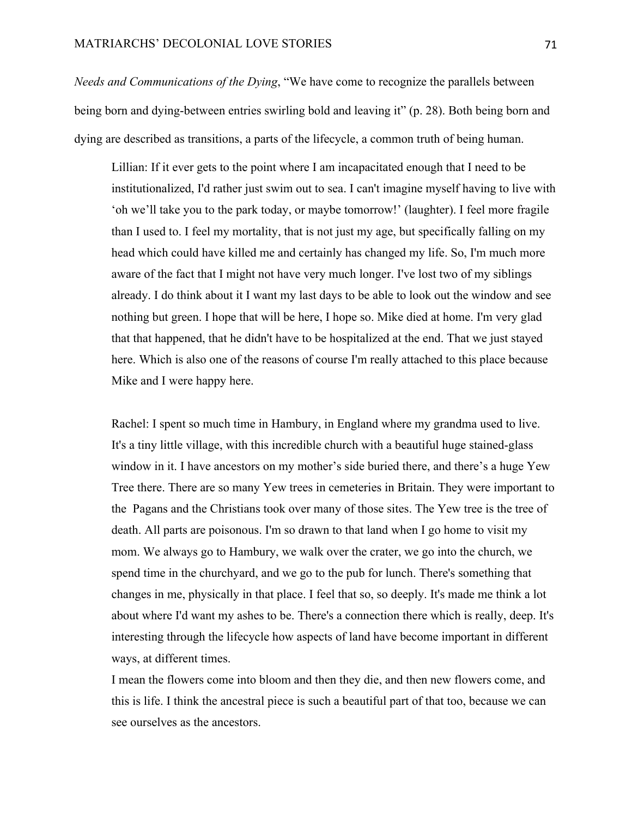*Needs and Communications of the Dying*, "We have come to recognize the parallels between being born and dying-between entries swirling bold and leaving it" (p. 28). Both being born and dying are described as transitions, a parts of the lifecycle, a common truth of being human.

Lillian: If it ever gets to the point where I am incapacitated enough that I need to be institutionalized, I'd rather just swim out to sea. I can't imagine myself having to live with 'oh we'll take you to the park today, or maybe tomorrow!' (laughter). I feel more fragile than I used to. I feel my mortality, that is not just my age, but specifically falling on my head which could have killed me and certainly has changed my life. So, I'm much more aware of the fact that I might not have very much longer. I've lost two of my siblings already. I do think about it I want my last days to be able to look out the window and see nothing but green. I hope that will be here, I hope so. Mike died at home. I'm very glad that that happened, that he didn't have to be hospitalized at the end. That we just stayed here. Which is also one of the reasons of course I'm really attached to this place because Mike and I were happy here.

Rachel: I spent so much time in Hambury, in England where my grandma used to live. It's a tiny little village, with this incredible church with a beautiful huge stained-glass window in it. I have ancestors on my mother's side buried there, and there's a huge Yew Tree there. There are so many Yew trees in cemeteries in Britain. They were important to the Pagans and the Christians took over many of those sites. The Yew tree is the tree of death. All parts are poisonous. I'm so drawn to that land when I go home to visit my mom. We always go to Hambury, we walk over the crater, we go into the church, we spend time in the churchyard, and we go to the pub for lunch. There's something that changes in me, physically in that place. I feel that so, so deeply. It's made me think a lot about where I'd want my ashes to be. There's a connection there which is really, deep. It's interesting through the lifecycle how aspects of land have become important in different ways, at different times.

I mean the flowers come into bloom and then they die, and then new flowers come, and this is life. I think the ancestral piece is such a beautiful part of that too, because we can see ourselves as the ancestors.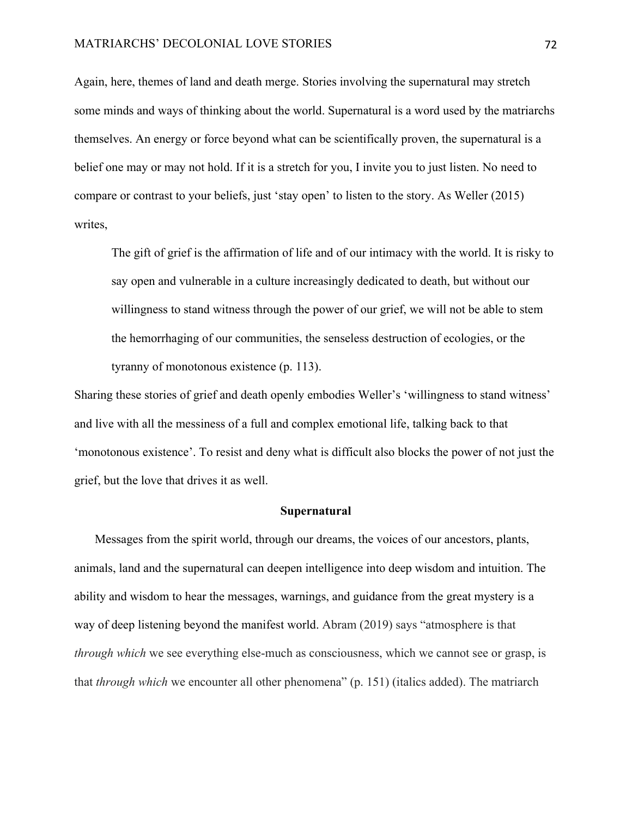#### MATRIARCHS' DECOLONIAL LOVE STORIES 72

Again, here, themes of land and death merge. Stories involving the supernatural may stretch some minds and ways of thinking about the world. Supernatural is a word used by the matriarchs themselves. An energy or force beyond what can be scientifically proven, the supernatural is a belief one may or may not hold. If it is a stretch for you, I invite you to just listen. No need to compare or contrast to your beliefs, just 'stay open' to listen to the story. As Weller (2015) writes,

The gift of grief is the affirmation of life and of our intimacy with the world. It is risky to say open and vulnerable in a culture increasingly dedicated to death, but without our willingness to stand witness through the power of our grief, we will not be able to stem the hemorrhaging of our communities, the senseless destruction of ecologies, or the tyranny of monotonous existence (p. 113).

Sharing these stories of grief and death openly embodies Weller's 'willingness to stand witness' and live with all the messiness of a full and complex emotional life, talking back to that 'monotonous existence'. To resist and deny what is difficult also blocks the power of not just the grief, but the love that drives it as well.

## **Supernatural**

Messages from the spirit world, through our dreams, the voices of our ancestors, plants, animals, land and the supernatural can deepen intelligence into deep wisdom and intuition. The ability and wisdom to hear the messages, warnings, and guidance from the great mystery is a way of deep listening beyond the manifest world. Abram (2019) says "atmosphere is that *through which* we see everything else-much as consciousness, which we cannot see or grasp, is that *through which* we encounter all other phenomena" (p. 151) (italics added). The matriarch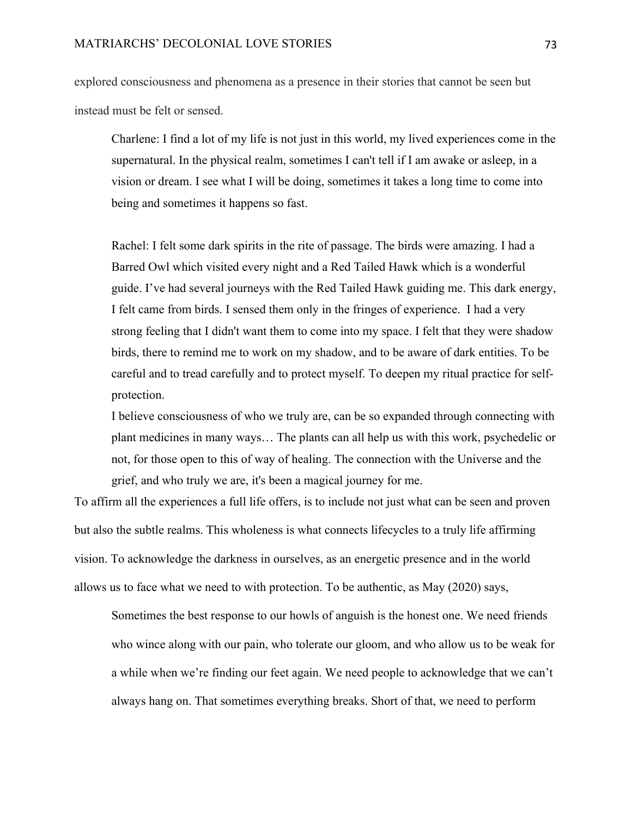explored consciousness and phenomena as a presence in their stories that cannot be seen but instead must be felt or sensed.

Charlene: I find a lot of my life is not just in this world, my lived experiences come in the supernatural. In the physical realm, sometimes I can't tell if I am awake or asleep, in a vision or dream. I see what I will be doing, sometimes it takes a long time to come into being and sometimes it happens so fast.

Rachel: I felt some dark spirits in the rite of passage. The birds were amazing. I had a Barred Owl which visited every night and a Red Tailed Hawk which is a wonderful guide. I've had several journeys with the Red Tailed Hawk guiding me. This dark energy, I felt came from birds. I sensed them only in the fringes of experience. I had a very strong feeling that I didn't want them to come into my space. I felt that they were shadow birds, there to remind me to work on my shadow, and to be aware of dark entities. To be careful and to tread carefully and to protect myself. To deepen my ritual practice for selfprotection.

I believe consciousness of who we truly are, can be so expanded through connecting with plant medicines in many ways… The plants can all help us with this work, psychedelic or not, for those open to this of way of healing. The connection with the Universe and the grief, and who truly we are, it's been a magical journey for me.

To affirm all the experiences a full life offers, is to include not just what can be seen and proven but also the subtle realms. This wholeness is what connects lifecycles to a truly life affirming vision. To acknowledge the darkness in ourselves, as an energetic presence and in the world allows us to face what we need to with protection. To be authentic, as May (2020) says,

Sometimes the best response to our howls of anguish is the honest one. We need friends who wince along with our pain, who tolerate our gloom, and who allow us to be weak for a while when we're finding our feet again. We need people to acknowledge that we can't always hang on. That sometimes everything breaks. Short of that, we need to perform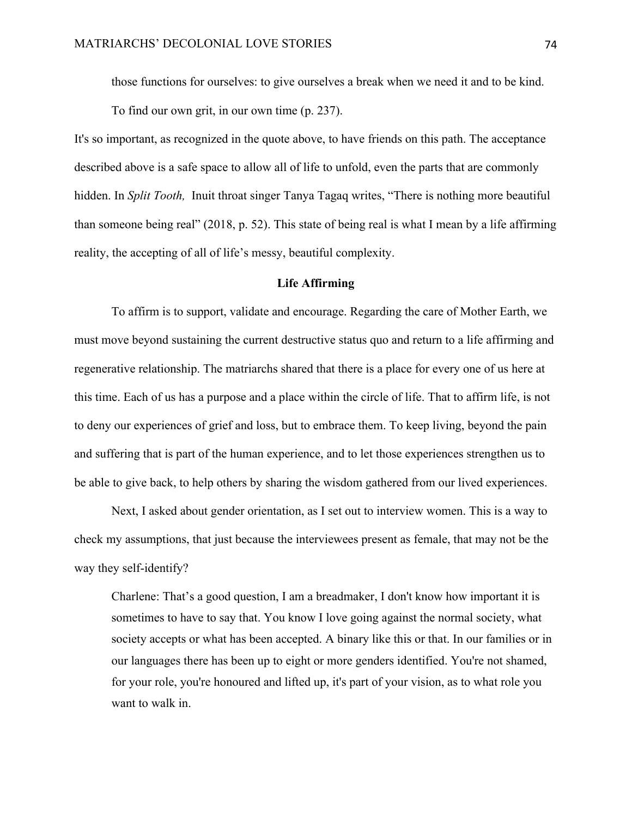those functions for ourselves: to give ourselves a break when we need it and to be kind.

To find our own grit, in our own time (p. 237).

It's so important, as recognized in the quote above, to have friends on this path. The acceptance described above is a safe space to allow all of life to unfold, even the parts that are commonly hidden. In *Split Tooth,* Inuit throat singer Tanya Tagaq writes, "There is nothing more beautiful than someone being real" (2018, p. 52). This state of being real is what I mean by a life affirming reality, the accepting of all of life's messy, beautiful complexity.

## **Life Affirming**

To affirm is to support, validate and encourage. Regarding the care of Mother Earth, we must move beyond sustaining the current destructive status quo and return to a life affirming and regenerative relationship. The matriarchs shared that there is a place for every one of us here at this time. Each of us has a purpose and a place within the circle of life. That to affirm life, is not to deny our experiences of grief and loss, but to embrace them. To keep living, beyond the pain and suffering that is part of the human experience, and to let those experiences strengthen us to be able to give back, to help others by sharing the wisdom gathered from our lived experiences.

Next, I asked about gender orientation, as I set out to interview women. This is a way to check my assumptions, that just because the interviewees present as female, that may not be the way they self-identify?

Charlene: That's a good question, I am a breadmaker, I don't know how important it is sometimes to have to say that. You know I love going against the normal society, what society accepts or what has been accepted. A binary like this or that. In our families or in our languages there has been up to eight or more genders identified. You're not shamed, for your role, you're honoured and lifted up, it's part of your vision, as to what role you want to walk in.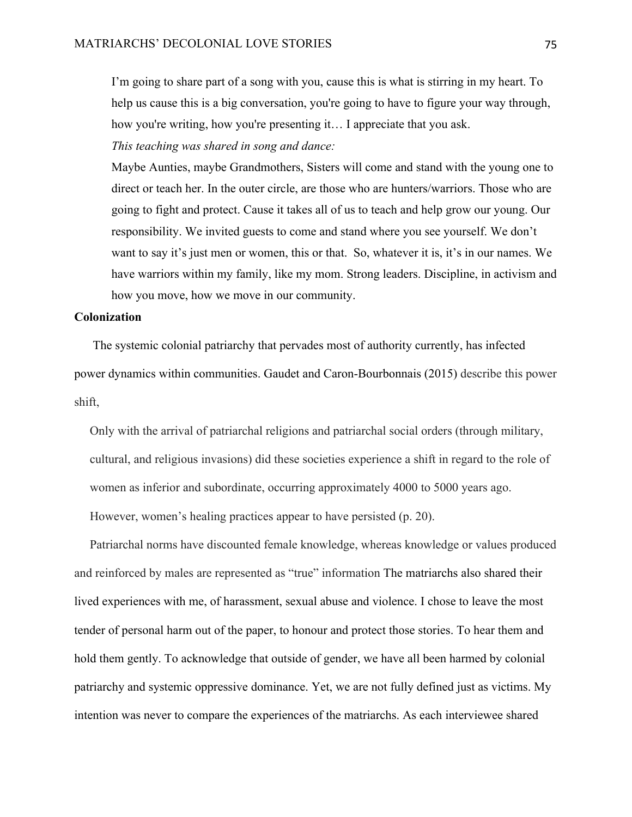I'm going to share part of a song with you, cause this is what is stirring in my heart. To help us cause this is a big conversation, you're going to have to figure your way through, how you're writing, how you're presenting it… I appreciate that you ask.

*This teaching was shared in song and dance:*

Maybe Aunties, maybe Grandmothers, Sisters will come and stand with the young one to direct or teach her. In the outer circle, are those who are hunters/warriors. Those who are going to fight and protect. Cause it takes all of us to teach and help grow our young. Our responsibility. We invited guests to come and stand where you see yourself. We don't want to say it's just men or women, this or that. So, whatever it is, it's in our names. We have warriors within my family, like my mom. Strong leaders. Discipline, in activism and how you move, how we move in our community.

# **Colonization**

 The systemic colonial patriarchy that pervades most of authority currently, has infected power dynamics within communities. Gaudet and Caron-Bourbonnais (2015) describe this power shift,

Only with the arrival of patriarchal religions and patriarchal social orders (through military, cultural, and religious invasions) did these societies experience a shift in regard to the role of women as inferior and subordinate, occurring approximately 4000 to 5000 years ago. However, women's healing practices appear to have persisted (p. 20).

Patriarchal norms have discounted female knowledge, whereas knowledge or values produced and reinforced by males are represented as "true" information The matriarchs also shared their lived experiences with me, of harassment, sexual abuse and violence. I chose to leave the most tender of personal harm out of the paper, to honour and protect those stories. To hear them and hold them gently. To acknowledge that outside of gender, we have all been harmed by colonial patriarchy and systemic oppressive dominance. Yet, we are not fully defined just as victims. My intention was never to compare the experiences of the matriarchs. As each interviewee shared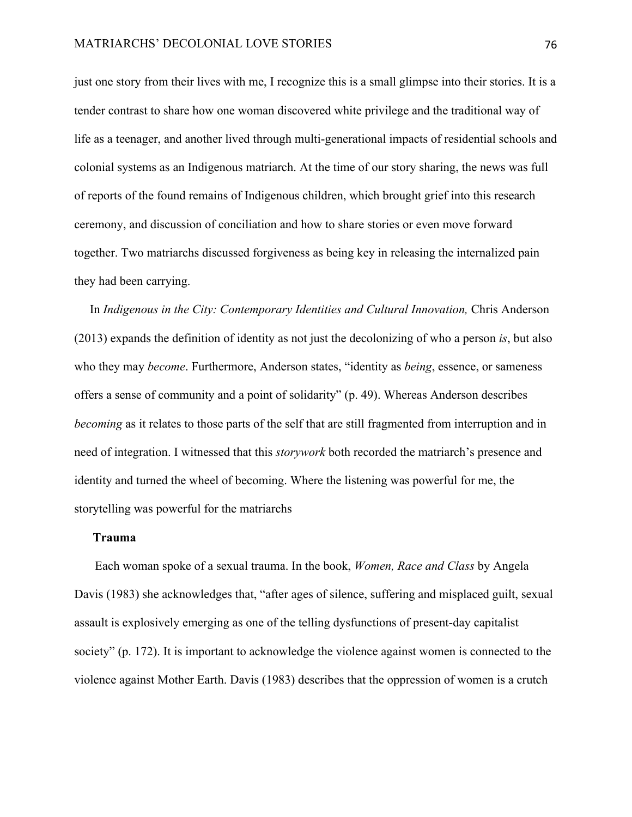just one story from their lives with me, I recognize this is a small glimpse into their stories. It is a tender contrast to share how one woman discovered white privilege and the traditional way of life as a teenager, and another lived through multi-generational impacts of residential schools and colonial systems as an Indigenous matriarch. At the time of our story sharing, the news was full of reports of the found remains of Indigenous children, which brought grief into this research ceremony, and discussion of conciliation and how to share stories or even move forward together. Two matriarchs discussed forgiveness as being key in releasing the internalized pain they had been carrying.

In *Indigenous in the City: Contemporary Identities and Cultural Innovation,* Chris Anderson (2013) expands the definition of identity as not just the decolonizing of who a person *is*, but also who they may *become*. Furthermore, Anderson states, "identity as *being*, essence, or sameness offers a sense of community and a point of solidarity" (p. 49). Whereas Anderson describes *becoming* as it relates to those parts of the self that are still fragmented from interruption and in need of integration. I witnessed that this *storywork* both recorded the matriarch's presence and identity and turned the wheel of becoming. Where the listening was powerful for me, the storytelling was powerful for the matriarchs

#### **Trauma**

Each woman spoke of a sexual trauma. In the book, *Women, Race and Class* by Angela Davis (1983) she acknowledges that, "after ages of silence, suffering and misplaced guilt, sexual assault is explosively emerging as one of the telling dysfunctions of present-day capitalist society" (p. 172). It is important to acknowledge the violence against women is connected to the violence against Mother Earth. Davis (1983) describes that the oppression of women is a crutch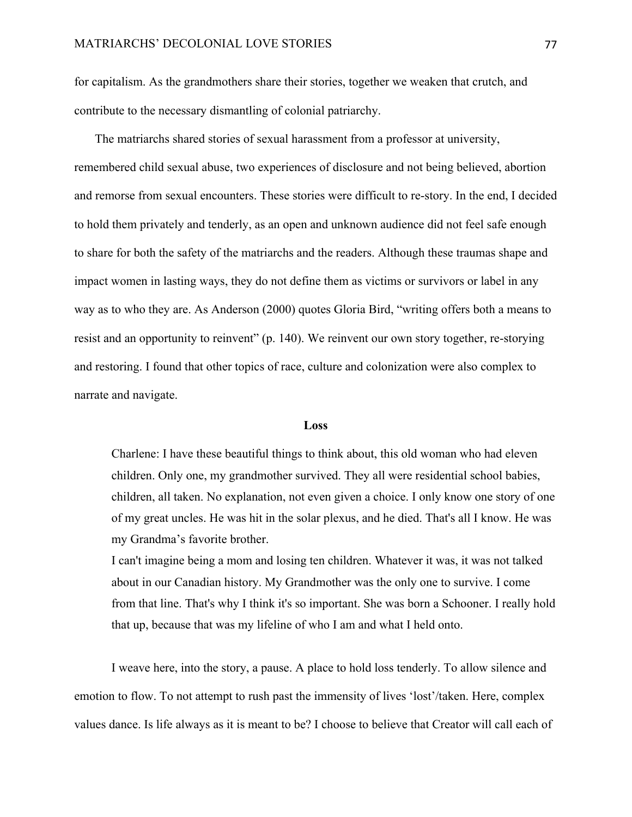for capitalism. As the grandmothers share their stories, together we weaken that crutch, and contribute to the necessary dismantling of colonial patriarchy.

The matriarchs shared stories of sexual harassment from a professor at university, remembered child sexual abuse, two experiences of disclosure and not being believed, abortion and remorse from sexual encounters. These stories were difficult to re-story. In the end, I decided to hold them privately and tenderly, as an open and unknown audience did not feel safe enough to share for both the safety of the matriarchs and the readers. Although these traumas shape and impact women in lasting ways, they do not define them as victims or survivors or label in any way as to who they are. As Anderson (2000) quotes Gloria Bird, "writing offers both a means to resist and an opportunity to reinvent" (p. 140). We reinvent our own story together, re-storying and restoring. I found that other topics of race, culture and colonization were also complex to narrate and navigate.

#### **Loss**

Charlene: I have these beautiful things to think about, this old woman who had eleven children. Only one, my grandmother survived. They all were residential school babies, children, all taken. No explanation, not even given a choice. I only know one story of one of my great uncles. He was hit in the solar plexus, and he died. That's all I know. He was my Grandma's favorite brother.

I can't imagine being a mom and losing ten children. Whatever it was, it was not talked about in our Canadian history. My Grandmother was the only one to survive. I come from that line. That's why I think it's so important. She was born a Schooner. I really hold that up, because that was my lifeline of who I am and what I held onto.

I weave here, into the story, a pause. A place to hold loss tenderly. To allow silence and emotion to flow. To not attempt to rush past the immensity of lives 'lost'/taken. Here, complex values dance. Is life always as it is meant to be? I choose to believe that Creator will call each of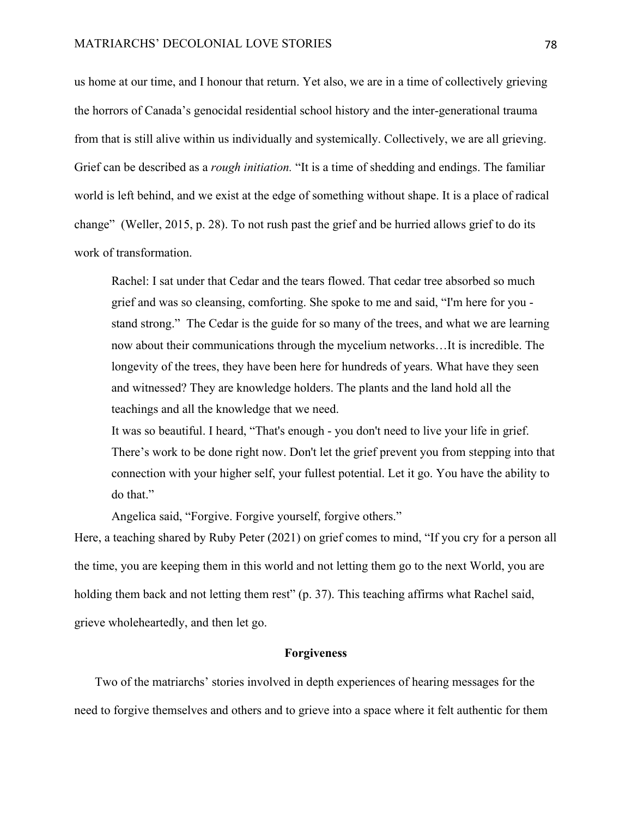us home at our time, and I honour that return. Yet also, we are in a time of collectively grieving the horrors of Canada's genocidal residential school history and the inter-generational trauma from that is still alive within us individually and systemically. Collectively, we are all grieving. Grief can be described as a *rough initiation.* "It is a time of shedding and endings. The familiar world is left behind, and we exist at the edge of something without shape. It is a place of radical change" (Weller, 2015, p. 28). To not rush past the grief and be hurried allows grief to do its work of transformation.

Rachel: I sat under that Cedar and the tears flowed. That cedar tree absorbed so much grief and was so cleansing, comforting. She spoke to me and said, "I'm here for you stand strong." The Cedar is the guide for so many of the trees, and what we are learning now about their communications through the mycelium networks…It is incredible. The longevity of the trees, they have been here for hundreds of years. What have they seen and witnessed? They are knowledge holders. The plants and the land hold all the teachings and all the knowledge that we need.

It was so beautiful. I heard, "That's enough - you don't need to live your life in grief. There's work to be done right now. Don't let the grief prevent you from stepping into that connection with your higher self, your fullest potential. Let it go. You have the ability to do that."

Angelica said, "Forgive. Forgive yourself, forgive others."

Here, a teaching shared by Ruby Peter (2021) on grief comes to mind, "If you cry for a person all the time, you are keeping them in this world and not letting them go to the next World, you are holding them back and not letting them rest" (p. 37). This teaching affirms what Rachel said, grieve wholeheartedly, and then let go.

## **Forgiveness**

Two of the matriarchs' stories involved in depth experiences of hearing messages for the need to forgive themselves and others and to grieve into a space where it felt authentic for them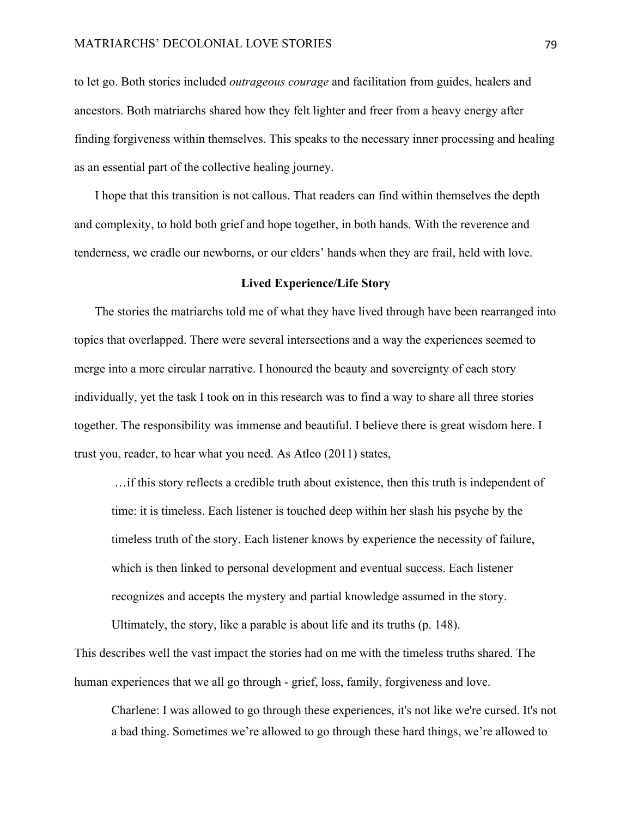to let go. Both stories included *outrageous courage* and facilitation from guides, healers and ancestors. Both matriarchs shared how they felt lighter and freer from a heavy energy after finding forgiveness within themselves. This speaks to the necessary inner processing and healing as an essential part of the collective healing journey.

I hope that this transition is not callous. That readers can find within themselves the depth and complexity, to hold both grief and hope together, in both hands. With the reverence and tenderness, we cradle our newborns, or our elders' hands when they are frail, held with love.

## **Lived Experience/Life Story**

The stories the matriarchs told me of what they have lived through have been rearranged into topics that overlapped. There were several intersections and a way the experiences seemed to merge into a more circular narrative. I honoured the beauty and sovereignty of each story individually, yet the task I took on in this research was to find a way to share all three stories together. The responsibility was immense and beautiful. I believe there is great wisdom here. I trust you, reader, to hear what you need. As Atleo (2011) states,

…if this story reflects a credible truth about existence, then this truth is independent of time: it is timeless. Each listener is touched deep within her slash his psyche by the timeless truth of the story. Each listener knows by experience the necessity of failure, which is then linked to personal development and eventual success. Each listener recognizes and accepts the mystery and partial knowledge assumed in the story.

Ultimately, the story, like a parable is about life and its truths (p. 148).

This describes well the vast impact the stories had on me with the timeless truths shared. The human experiences that we all go through - grief, loss, family, forgiveness and love.

Charlene: I was allowed to go through these experiences, it's not like we're cursed. It's not a bad thing. Sometimes we're allowed to go through these hard things, we're allowed to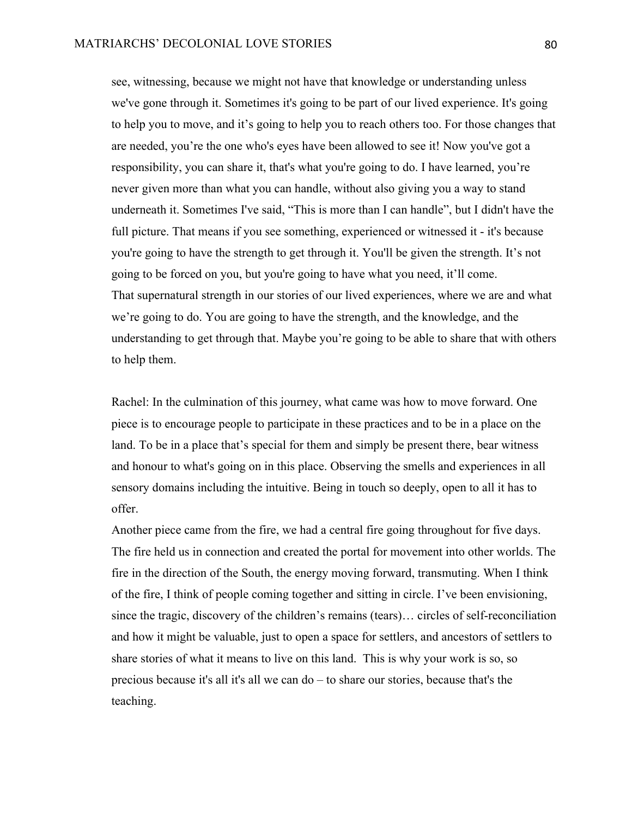see, witnessing, because we might not have that knowledge or understanding unless we've gone through it. Sometimes it's going to be part of our lived experience. It's going to help you to move, and it's going to help you to reach others too. For those changes that are needed, you're the one who's eyes have been allowed to see it! Now you've got a responsibility, you can share it, that's what you're going to do. I have learned, you're never given more than what you can handle, without also giving you a way to stand underneath it. Sometimes I've said, "This is more than I can handle", but I didn't have the full picture. That means if you see something, experienced or witnessed it - it's because you're going to have the strength to get through it. You'll be given the strength. It's not going to be forced on you, but you're going to have what you need, it'll come. That supernatural strength in our stories of our lived experiences, where we are and what we're going to do. You are going to have the strength, and the knowledge, and the understanding to get through that. Maybe you're going to be able to share that with others to help them.

Rachel: In the culmination of this journey, what came was how to move forward. One piece is to encourage people to participate in these practices and to be in a place on the land. To be in a place that's special for them and simply be present there, bear witness and honour to what's going on in this place. Observing the smells and experiences in all sensory domains including the intuitive. Being in touch so deeply, open to all it has to offer.

Another piece came from the fire, we had a central fire going throughout for five days. The fire held us in connection and created the portal for movement into other worlds. The fire in the direction of the South, the energy moving forward, transmuting. When I think of the fire, I think of people coming together and sitting in circle. I've been envisioning, since the tragic, discovery of the children's remains (tears)… circles of self-reconciliation and how it might be valuable, just to open a space for settlers, and ancestors of settlers to share stories of what it means to live on this land. This is why your work is so, so precious because it's all it's all we can do – to share our stories, because that's the teaching.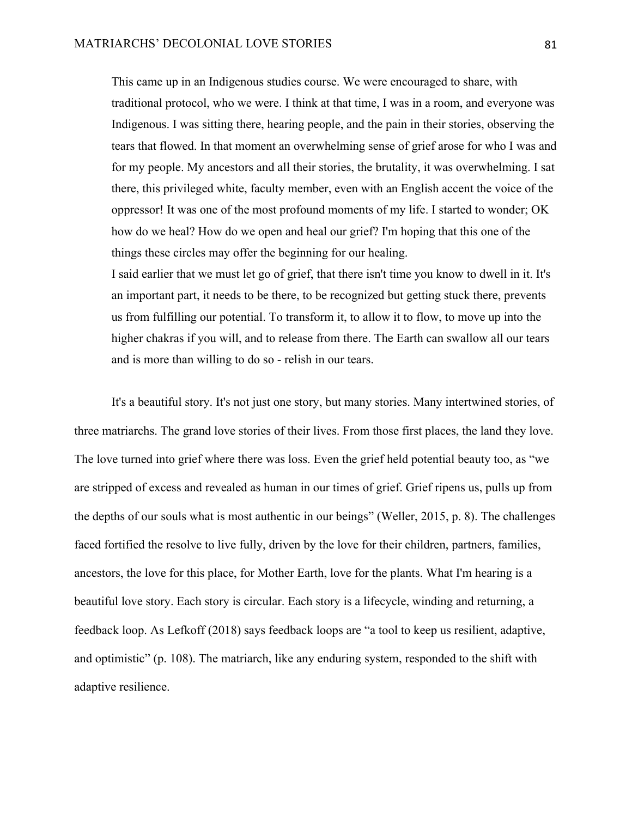This came up in an Indigenous studies course. We were encouraged to share, with traditional protocol, who we were. I think at that time, I was in a room, and everyone was Indigenous. I was sitting there, hearing people, and the pain in their stories, observing the tears that flowed. In that moment an overwhelming sense of grief arose for who I was and for my people. My ancestors and all their stories, the brutality, it was overwhelming. I sat there, this privileged white, faculty member, even with an English accent the voice of the oppressor! It was one of the most profound moments of my life. I started to wonder; OK how do we heal? How do we open and heal our grief? I'm hoping that this one of the things these circles may offer the beginning for our healing.

I said earlier that we must let go of grief, that there isn't time you know to dwell in it. It's an important part, it needs to be there, to be recognized but getting stuck there, prevents us from fulfilling our potential. To transform it, to allow it to flow, to move up into the higher chakras if you will, and to release from there. The Earth can swallow all our tears and is more than willing to do so - relish in our tears.

It's a beautiful story. It's not just one story, but many stories. Many intertwined stories, of three matriarchs. The grand love stories of their lives. From those first places, the land they love. The love turned into grief where there was loss. Even the grief held potential beauty too, as "we are stripped of excess and revealed as human in our times of grief. Grief ripens us, pulls up from the depths of our souls what is most authentic in our beings" (Weller, 2015, p. 8). The challenges faced fortified the resolve to live fully, driven by the love for their children, partners, families, ancestors, the love for this place, for Mother Earth, love for the plants. What I'm hearing is a beautiful love story. Each story is circular. Each story is a lifecycle, winding and returning, a feedback loop. As Lefkoff (2018) says feedback loops are "a tool to keep us resilient, adaptive, and optimistic" (p. 108). The matriarch, like any enduring system, responded to the shift with adaptive resilience.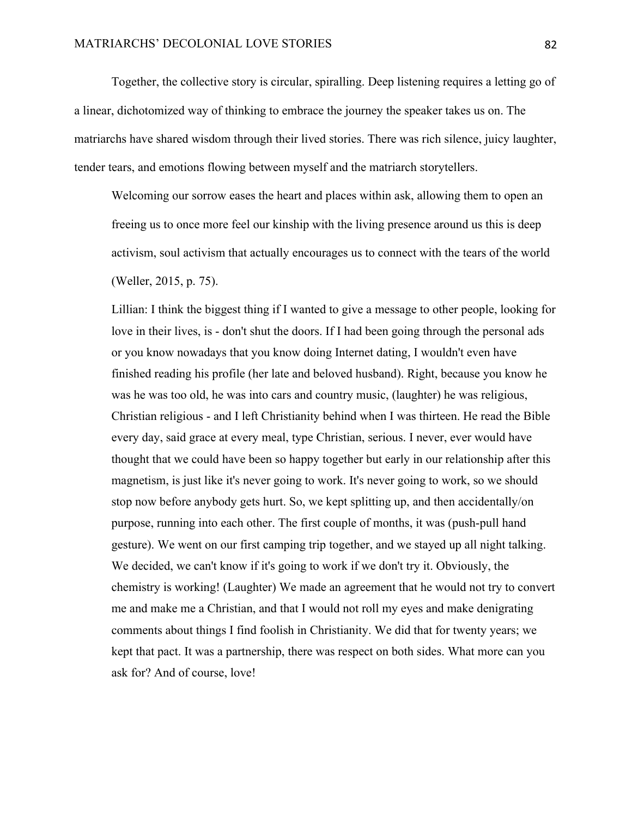Together, the collective story is circular, spiralling. Deep listening requires a letting go of a linear, dichotomized way of thinking to embrace the journey the speaker takes us on. The matriarchs have shared wisdom through their lived stories. There was rich silence, juicy laughter, tender tears, and emotions flowing between myself and the matriarch storytellers.

Welcoming our sorrow eases the heart and places within ask, allowing them to open an freeing us to once more feel our kinship with the living presence around us this is deep activism, soul activism that actually encourages us to connect with the tears of the world (Weller, 2015, p. 75).

Lillian: I think the biggest thing if I wanted to give a message to other people, looking for love in their lives, is - don't shut the doors. If I had been going through the personal ads or you know nowadays that you know doing Internet dating, I wouldn't even have finished reading his profile (her late and beloved husband). Right, because you know he was he was too old, he was into cars and country music, (laughter) he was religious, Christian religious - and I left Christianity behind when I was thirteen. He read the Bible every day, said grace at every meal, type Christian, serious. I never, ever would have thought that we could have been so happy together but early in our relationship after this magnetism, is just like it's never going to work. It's never going to work, so we should stop now before anybody gets hurt. So, we kept splitting up, and then accidentally/on purpose, running into each other. The first couple of months, it was (push-pull hand gesture). We went on our first camping trip together, and we stayed up all night talking. We decided, we can't know if it's going to work if we don't try it. Obviously, the chemistry is working! (Laughter) We made an agreement that he would not try to convert me and make me a Christian, and that I would not roll my eyes and make denigrating comments about things I find foolish in Christianity. We did that for twenty years; we kept that pact. It was a partnership, there was respect on both sides. What more can you ask for? And of course, love!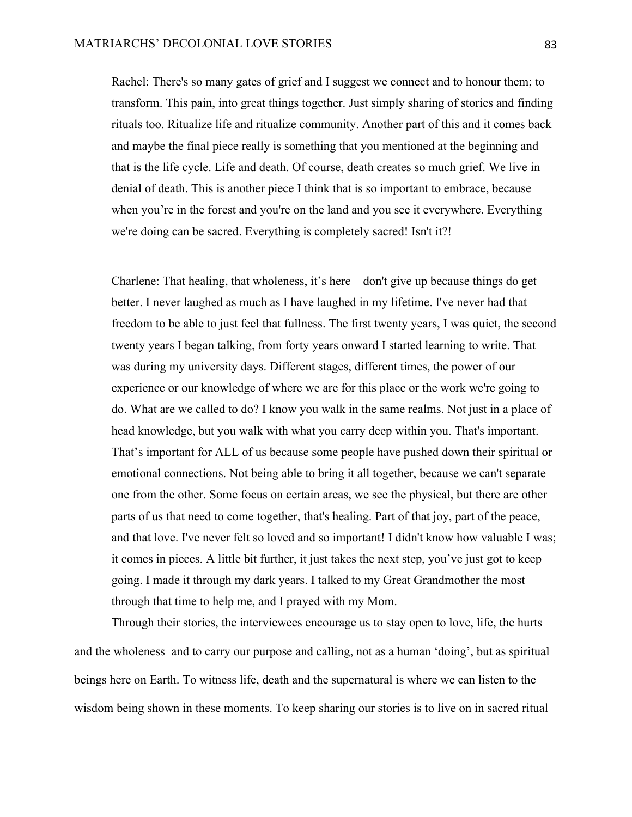Rachel: There's so many gates of grief and I suggest we connect and to honour them; to transform. This pain, into great things together. Just simply sharing of stories and finding rituals too. Ritualize life and ritualize community. Another part of this and it comes back and maybe the final piece really is something that you mentioned at the beginning and that is the life cycle. Life and death. Of course, death creates so much grief. We live in denial of death. This is another piece I think that is so important to embrace, because when you're in the forest and you're on the land and you see it everywhere. Everything we're doing can be sacred. Everything is completely sacred! Isn't it?!

Charlene: That healing, that wholeness, it's here – don't give up because things do get better. I never laughed as much as I have laughed in my lifetime. I've never had that freedom to be able to just feel that fullness. The first twenty years, I was quiet, the second twenty years I began talking, from forty years onward I started learning to write. That was during my university days. Different stages, different times, the power of our experience or our knowledge of where we are for this place or the work we're going to do. What are we called to do? I know you walk in the same realms. Not just in a place of head knowledge, but you walk with what you carry deep within you. That's important. That's important for ALL of us because some people have pushed down their spiritual or emotional connections. Not being able to bring it all together, because we can't separate one from the other. Some focus on certain areas, we see the physical, but there are other parts of us that need to come together, that's healing. Part of that joy, part of the peace, and that love. I've never felt so loved and so important! I didn't know how valuable I was; it comes in pieces. A little bit further, it just takes the next step, you've just got to keep going. I made it through my dark years. I talked to my Great Grandmother the most through that time to help me, and I prayed with my Mom.

Through their stories, the interviewees encourage us to stay open to love, life, the hurts and the wholeness and to carry our purpose and calling, not as a human 'doing', but as spiritual beings here on Earth. To witness life, death and the supernatural is where we can listen to the wisdom being shown in these moments. To keep sharing our stories is to live on in sacred ritual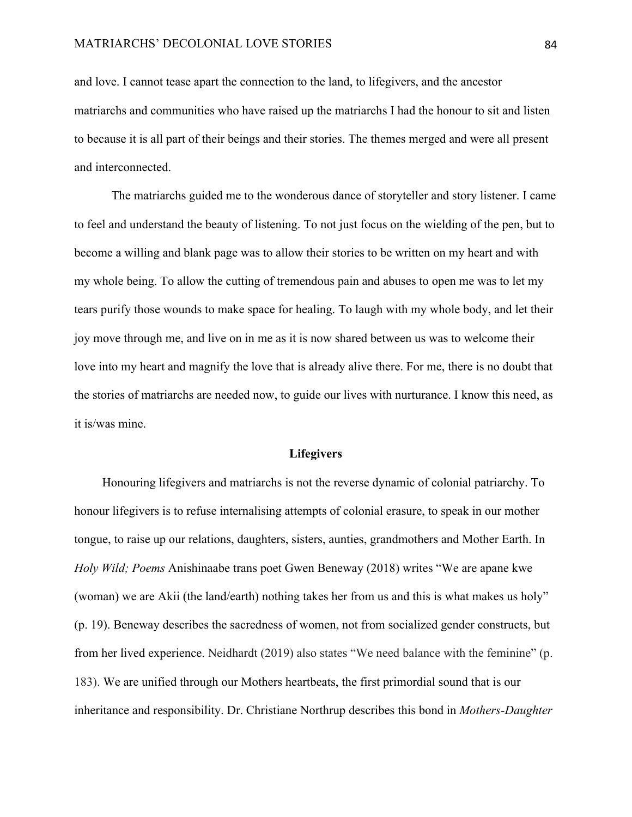and love. I cannot tease apart the connection to the land, to lifegivers, and the ancestor matriarchs and communities who have raised up the matriarchs I had the honour to sit and listen to because it is all part of their beings and their stories. The themes merged and were all present and interconnected.

The matriarchs guided me to the wonderous dance of storyteller and story listener. I came to feel and understand the beauty of listening. To not just focus on the wielding of the pen, but to become a willing and blank page was to allow their stories to be written on my heart and with my whole being. To allow the cutting of tremendous pain and abuses to open me was to let my tears purify those wounds to make space for healing. To laugh with my whole body, and let their joy move through me, and live on in me as it is now shared between us was to welcome their love into my heart and magnify the love that is already alive there. For me, there is no doubt that the stories of matriarchs are needed now, to guide our lives with nurturance. I know this need, as it is/was mine.

#### **Lifegivers**

Honouring lifegivers and matriarchs is not the reverse dynamic of colonial patriarchy. To honour lifegivers is to refuse internalising attempts of colonial erasure, to speak in our mother tongue, to raise up our relations, daughters, sisters, aunties, grandmothers and Mother Earth. In *Holy Wild; Poems* Anishinaabe trans poet Gwen Beneway (2018) writes "We are apane kwe (woman) we are Akii (the land/earth) nothing takes her from us and this is what makes us holy" (p. 19). Beneway describes the sacredness of women, not from socialized gender constructs, but from her lived experience. Neidhardt (2019) also states "We need balance with the feminine" (p. 183). We are unified through our Mothers heartbeats, the first primordial sound that is our inheritance and responsibility. Dr. Christiane Northrup describes this bond in *Mothers-Daughter*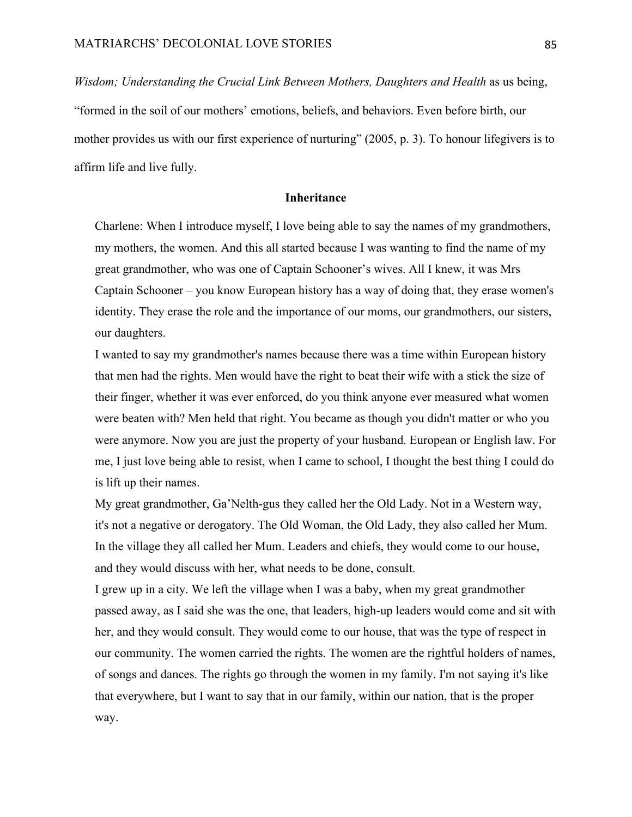*Wisdom; Understanding the Crucial Link Between Mothers, Daughters and Health* as us being, "formed in the soil of our mothers' emotions, beliefs, and behaviors. Even before birth, our mother provides us with our first experience of nurturing" (2005, p. 3). To honour lifegivers is to affirm life and live fully.

## **Inheritance**

Charlene: When I introduce myself, I love being able to say the names of my grandmothers, my mothers, the women. And this all started because I was wanting to find the name of my great grandmother, who was one of Captain Schooner's wives. All I knew, it was Mrs Captain Schooner – you know European history has a way of doing that, they erase women's identity. They erase the role and the importance of our moms, our grandmothers, our sisters, our daughters.

I wanted to say my grandmother's names because there was a time within European history that men had the rights. Men would have the right to beat their wife with a stick the size of their finger, whether it was ever enforced, do you think anyone ever measured what women were beaten with? Men held that right. You became as though you didn't matter or who you were anymore. Now you are just the property of your husband. European or English law. For me, I just love being able to resist, when I came to school, I thought the best thing I could do is lift up their names.

My great grandmother, Ga'Nelth-gus they called her the Old Lady. Not in a Western way, it's not a negative or derogatory. The Old Woman, the Old Lady, they also called her Mum. In the village they all called her Mum. Leaders and chiefs, they would come to our house, and they would discuss with her, what needs to be done, consult.

I grew up in a city. We left the village when I was a baby, when my great grandmother passed away, as I said she was the one, that leaders, high-up leaders would come and sit with her, and they would consult. They would come to our house, that was the type of respect in our community. The women carried the rights. The women are the rightful holders of names, of songs and dances. The rights go through the women in my family. I'm not saying it's like that everywhere, but I want to say that in our family, within our nation, that is the proper way.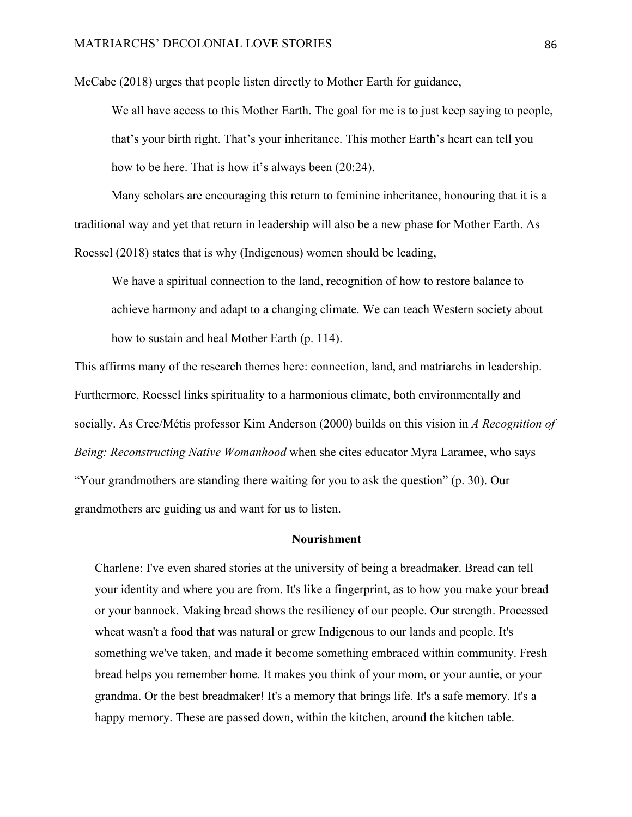McCabe (2018) urges that people listen directly to Mother Earth for guidance,

We all have access to this Mother Earth. The goal for me is to just keep saying to people, that's your birth right. That's your inheritance. This mother Earth's heart can tell you how to be here. That is how it's always been (20:24).

Many scholars are encouraging this return to feminine inheritance, honouring that it is a traditional way and yet that return in leadership will also be a new phase for Mother Earth. As Roessel (2018) states that is why (Indigenous) women should be leading,

We have a spiritual connection to the land, recognition of how to restore balance to achieve harmony and adapt to a changing climate. We can teach Western society about how to sustain and heal Mother Earth (p. 114).

This affirms many of the research themes here: connection, land, and matriarchs in leadership. Furthermore, Roessel links spirituality to a harmonious climate, both environmentally and socially. As Cree/Métis professor Kim Anderson (2000) builds on this vision in *A Recognition of Being: Reconstructing Native Womanhood* when she cites educator Myra Laramee, who says "Your grandmothers are standing there waiting for you to ask the question" (p. 30). Our grandmothers are guiding us and want for us to listen.

## **Nourishment**

Charlene: I've even shared stories at the university of being a breadmaker. Bread can tell your identity and where you are from. It's like a fingerprint, as to how you make your bread or your bannock. Making bread shows the resiliency of our people. Our strength. Processed wheat wasn't a food that was natural or grew Indigenous to our lands and people. It's something we've taken, and made it become something embraced within community. Fresh bread helps you remember home. It makes you think of your mom, or your auntie, or your grandma. Or the best breadmaker! It's a memory that brings life. It's a safe memory. It's a happy memory. These are passed down, within the kitchen, around the kitchen table.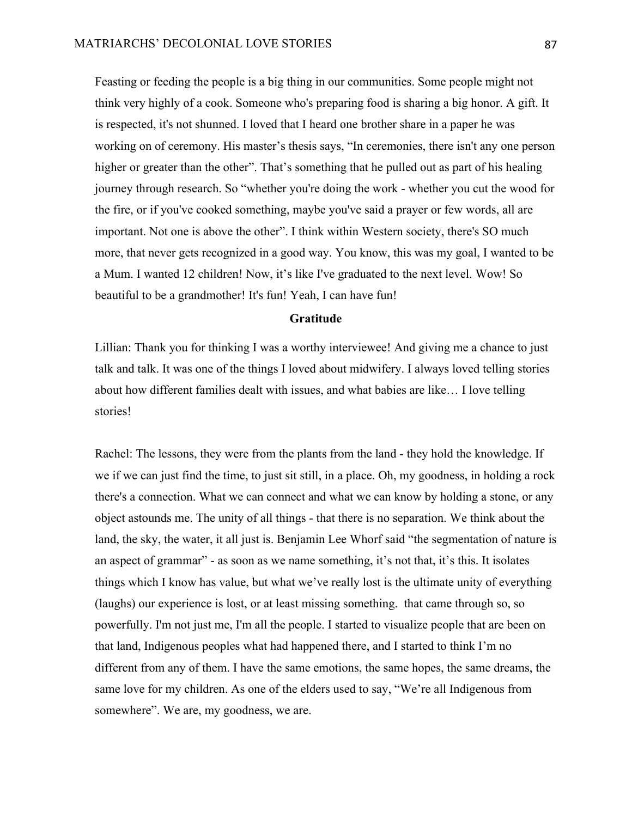Feasting or feeding the people is a big thing in our communities. Some people might not think very highly of a cook. Someone who's preparing food is sharing a big honor. A gift. It is respected, it's not shunned. I loved that I heard one brother share in a paper he was working on of ceremony. His master's thesis says, "In ceremonies, there isn't any one person higher or greater than the other". That's something that he pulled out as part of his healing journey through research. So "whether you're doing the work - whether you cut the wood for the fire, or if you've cooked something, maybe you've said a prayer or few words, all are important. Not one is above the other". I think within Western society, there's SO much more, that never gets recognized in a good way. You know, this was my goal, I wanted to be a Mum. I wanted 12 children! Now, it's like I've graduated to the next level. Wow! So beautiful to be a grandmother! It's fun! Yeah, I can have fun!

## **Gratitude**

Lillian: Thank you for thinking I was a worthy interviewee! And giving me a chance to just talk and talk. It was one of the things I loved about midwifery. I always loved telling stories about how different families dealt with issues, and what babies are like… I love telling stories!

Rachel: The lessons, they were from the plants from the land - they hold the knowledge. If we if we can just find the time, to just sit still, in a place. Oh, my goodness, in holding a rock there's a connection. What we can connect and what we can know by holding a stone, or any object astounds me. The unity of all things - that there is no separation. We think about the land, the sky, the water, it all just is. Benjamin Lee Whorf said "the segmentation of nature is an aspect of grammar" - as soon as we name something, it's not that, it's this. It isolates things which I know has value, but what we've really lost is the ultimate unity of everything (laughs) our experience is lost, or at least missing something. that came through so, so powerfully. I'm not just me, I'm all the people. I started to visualize people that are been on that land, Indigenous peoples what had happened there, and I started to think I'm no different from any of them. I have the same emotions, the same hopes, the same dreams, the same love for my children. As one of the elders used to say, "We're all Indigenous from somewhere". We are, my goodness, we are.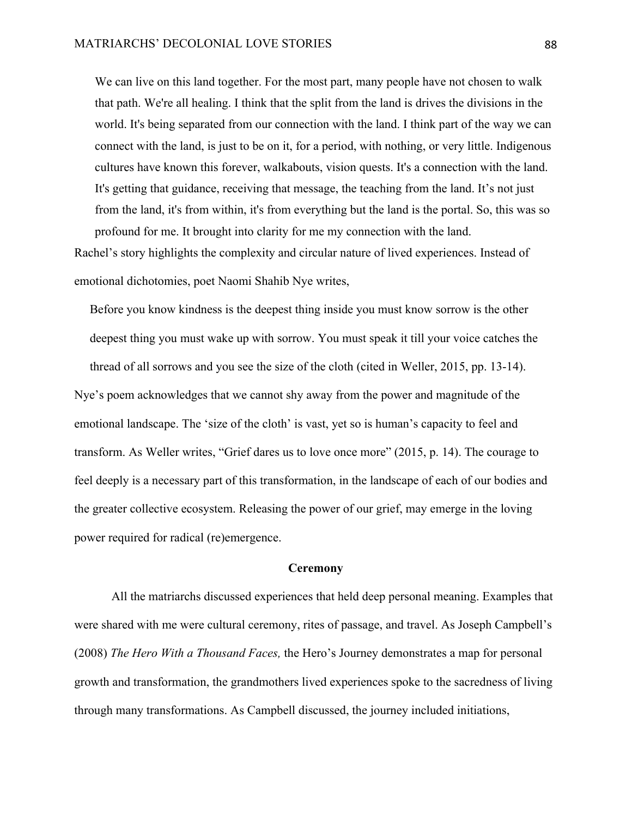We can live on this land together. For the most part, many people have not chosen to walk that path. We're all healing. I think that the split from the land is drives the divisions in the world. It's being separated from our connection with the land. I think part of the way we can connect with the land, is just to be on it, for a period, with nothing, or very little. Indigenous cultures have known this forever, walkabouts, vision quests. It's a connection with the land. It's getting that guidance, receiving that message, the teaching from the land. It's not just from the land, it's from within, it's from everything but the land is the portal. So, this was so profound for me. It brought into clarity for me my connection with the land.

Rachel's story highlights the complexity and circular nature of lived experiences. Instead of emotional dichotomies, poet Naomi Shahib Nye writes,

Before you know kindness is the deepest thing inside you must know sorrow is the other deepest thing you must wake up with sorrow. You must speak it till your voice catches the thread of all sorrows and you see the size of the cloth (cited in Weller, 2015, pp. 13-14). Nye's poem acknowledges that we cannot shy away from the power and magnitude of the emotional landscape. The 'size of the cloth' is vast, yet so is human's capacity to feel and transform. As Weller writes, "Grief dares us to love once more" (2015, p. 14). The courage to feel deeply is a necessary part of this transformation, in the landscape of each of our bodies and the greater collective ecosystem. Releasing the power of our grief, may emerge in the loving power required for radical (re)emergence.

## **Ceremony**

All the matriarchs discussed experiences that held deep personal meaning. Examples that were shared with me were cultural ceremony, rites of passage, and travel. As Joseph Campbell's (2008) *The Hero With a Thousand Faces,* the Hero's Journey demonstrates a map for personal growth and transformation, the grandmothers lived experiences spoke to the sacredness of living through many transformations. As Campbell discussed, the journey included initiations,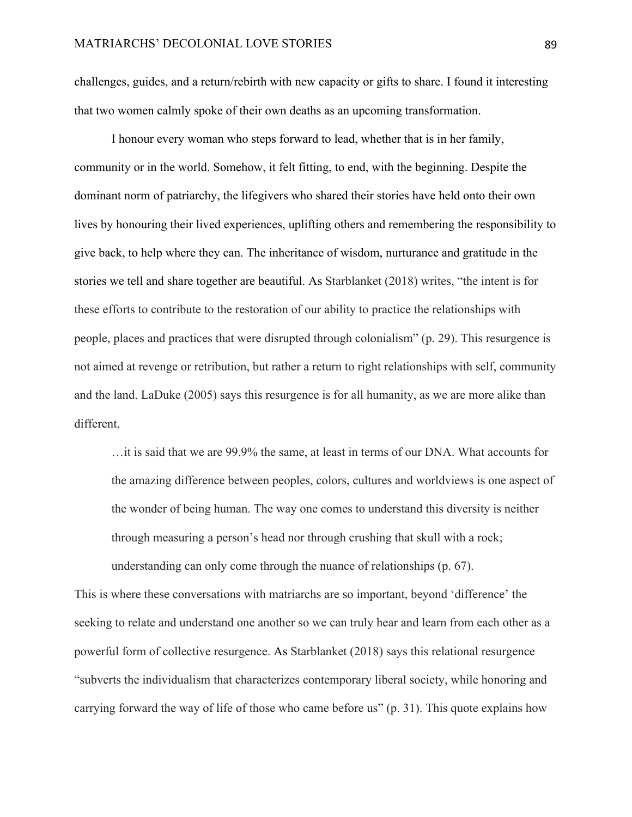challenges, guides, and a return/rebirth with new capacity or gifts to share. I found it interesting that two women calmly spoke of their own deaths as an upcoming transformation.

I honour every woman who steps forward to lead, whether that is in her family, community or in the world. Somehow, it felt fitting, to end, with the beginning. Despite the dominant norm of patriarchy, the lifegivers who shared their stories have held onto their own lives by honouring their lived experiences, uplifting others and remembering the responsibility to give back, to help where they can. The inheritance of wisdom, nurturance and gratitude in the stories we tell and share together are beautiful. As Starblanket (2018) writes, "the intent is for these efforts to contribute to the restoration of our ability to practice the relationships with people, places and practices that were disrupted through colonialism" (p. 29). This resurgence is not aimed at revenge or retribution, but rather a return to right relationships with self, community and the land. LaDuke (2005) says this resurgence is for all humanity, as we are more alike than different,

…it is said that we are 99.9% the same, at least in terms of our DNA. What accounts for the amazing difference between peoples, colors, cultures and worldviews is one aspect of the wonder of being human. The way one comes to understand this diversity is neither through measuring a person's head nor through crushing that skull with a rock; understanding can only come through the nuance of relationships (p. 67).

This is where these conversations with matriarchs are so important, beyond 'difference' the seeking to relate and understand one another so we can truly hear and learn from each other as a powerful form of collective resurgence. As Starblanket (2018) says this relational resurgence "subverts the individualism that characterizes contemporary liberal society, while honoring and carrying forward the way of life of those who came before us" (p. 31). This quote explains how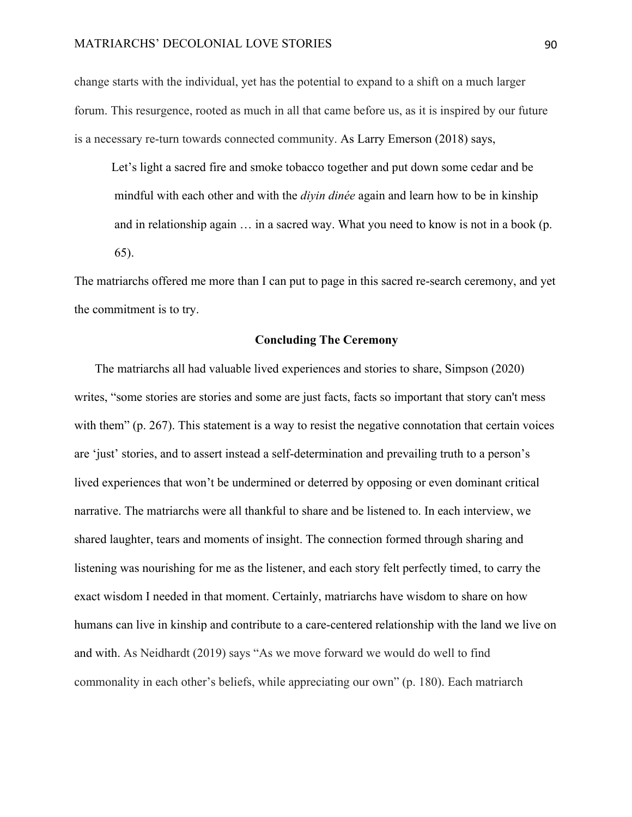#### MATRIARCHS' DECOLONIAL LOVE STORIES 90

change starts with the individual, yet has the potential to expand to a shift on a much larger forum. This resurgence, rooted as much in all that came before us, as it is inspired by our future is a necessary re-turn towards connected community. As Larry Emerson (2018) says,

Let's light a sacred fire and smoke tobacco together and put down some cedar and be mindful with each other and with the *diyin dinée* again and learn how to be in kinship and in relationship again … in a sacred way. What you need to know is not in a book (p. 65).

The matriarchs offered me more than I can put to page in this sacred re-search ceremony, and yet the commitment is to try.

# **Concluding The Ceremony**

The matriarchs all had valuable lived experiences and stories to share, Simpson (2020) writes, "some stories are stories and some are just facts, facts so important that story can't mess with them" (p. 267). This statement is a way to resist the negative connotation that certain voices are 'just' stories, and to assert instead a self-determination and prevailing truth to a person's lived experiences that won't be undermined or deterred by opposing or even dominant critical narrative. The matriarchs were all thankful to share and be listened to. In each interview, we shared laughter, tears and moments of insight. The connection formed through sharing and listening was nourishing for me as the listener, and each story felt perfectly timed, to carry the exact wisdom I needed in that moment. Certainly, matriarchs have wisdom to share on how humans can live in kinship and contribute to a care-centered relationship with the land we live on and with. As Neidhardt (2019) says "As we move forward we would do well to find commonality in each other's beliefs, while appreciating our own" (p. 180). Each matriarch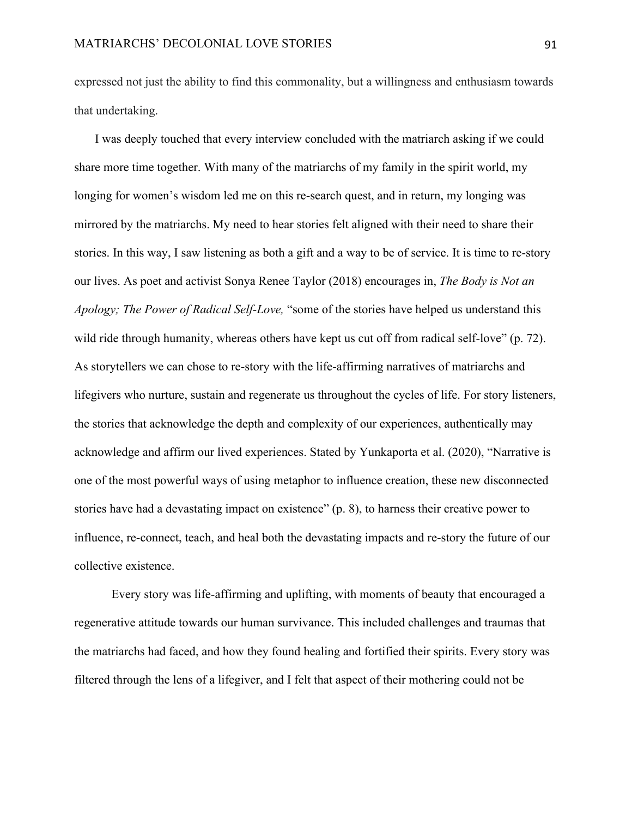expressed not just the ability to find this commonality, but a willingness and enthusiasm towards that undertaking.

I was deeply touched that every interview concluded with the matriarch asking if we could share more time together. With many of the matriarchs of my family in the spirit world, my longing for women's wisdom led me on this re-search quest, and in return, my longing was mirrored by the matriarchs. My need to hear stories felt aligned with their need to share their stories. In this way, I saw listening as both a gift and a way to be of service. It is time to re-story our lives. As poet and activist Sonya Renee Taylor (2018) encourages in, *The Body is Not an Apology; The Power of Radical Self-Love,* "some of the stories have helped us understand this wild ride through humanity, whereas others have kept us cut off from radical self-love" (p. 72). As storytellers we can chose to re-story with the life-affirming narratives of matriarchs and lifegivers who nurture, sustain and regenerate us throughout the cycles of life. For story listeners, the stories that acknowledge the depth and complexity of our experiences, authentically may acknowledge and affirm our lived experiences. Stated by Yunkaporta et al. (2020), "Narrative is one of the most powerful ways of using metaphor to influence creation, these new disconnected stories have had a devastating impact on existence" (p. 8), to harness their creative power to influence, re-connect, teach, and heal both the devastating impacts and re-story the future of our collective existence.

Every story was life-affirming and uplifting, with moments of beauty that encouraged a regenerative attitude towards our human survivance. This included challenges and traumas that the matriarchs had faced, and how they found healing and fortified their spirits. Every story was filtered through the lens of a lifegiver, and I felt that aspect of their mothering could not be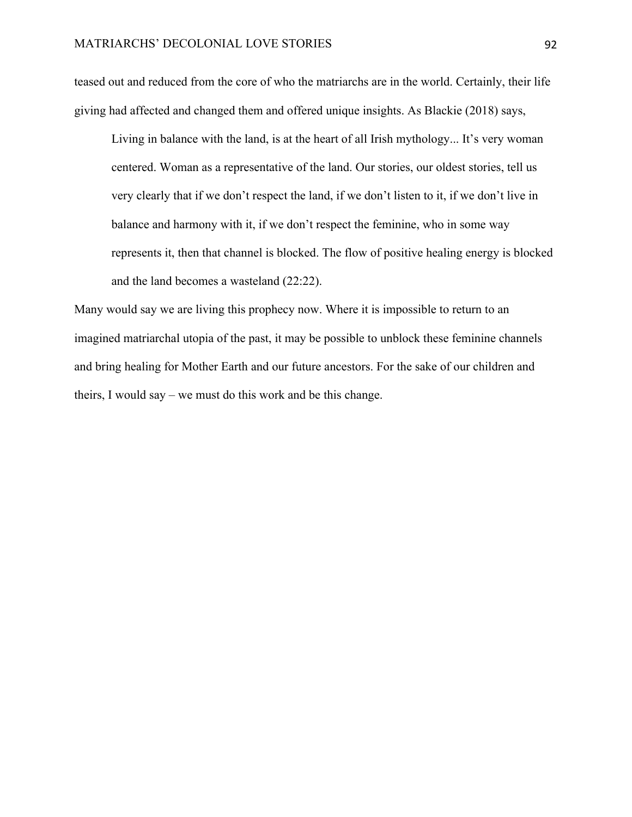teased out and reduced from the core of who the matriarchs are in the world. Certainly, their life giving had affected and changed them and offered unique insights. As Blackie (2018) says,

Living in balance with the land, is at the heart of all Irish mythology... It's very woman centered. Woman as a representative of the land. Our stories, our oldest stories, tell us very clearly that if we don't respect the land, if we don't listen to it, if we don't live in balance and harmony with it, if we don't respect the feminine, who in some way represents it, then that channel is blocked. The flow of positive healing energy is blocked and the land becomes a wasteland (22:22).

Many would say we are living this prophecy now. Where it is impossible to return to an imagined matriarchal utopia of the past, it may be possible to unblock these feminine channels and bring healing for Mother Earth and our future ancestors. For the sake of our children and theirs, I would say – we must do this work and be this change.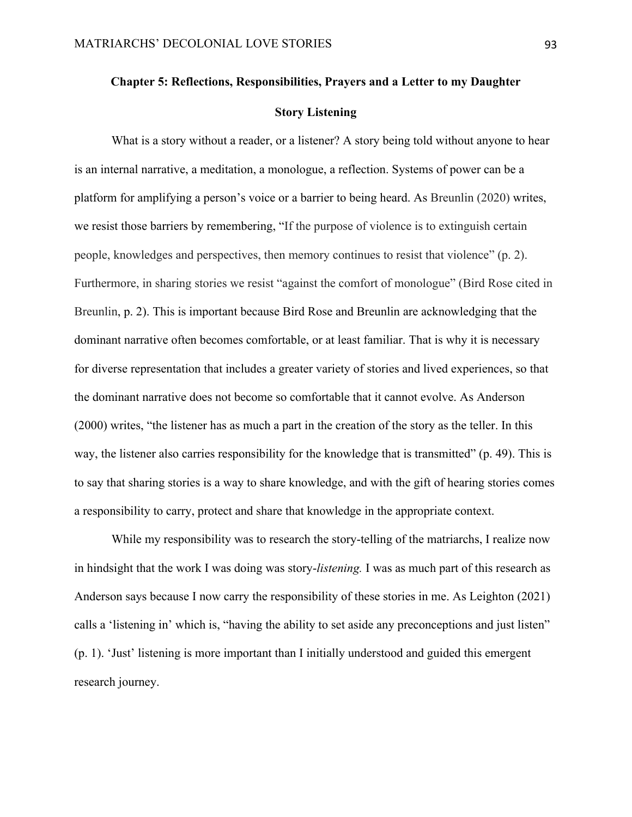### **Chapter 5: Reflections, Responsibilities, Prayers and a Letter to my Daughter**

## **Story Listening**

What is a story without a reader, or a listener? A story being told without anyone to hear is an internal narrative, a meditation, a monologue, a reflection. Systems of power can be a platform for amplifying a person's voice or a barrier to being heard. As Breunlin (2020) writes, we resist those barriers by remembering, "If the purpose of violence is to extinguish certain people, knowledges and perspectives, then memory continues to resist that violence" (p. 2). Furthermore, in sharing stories we resist "against the comfort of monologue" (Bird Rose cited in Breunlin, p. 2). This is important because Bird Rose and Breunlin are acknowledging that the dominant narrative often becomes comfortable, or at least familiar. That is why it is necessary for diverse representation that includes a greater variety of stories and lived experiences, so that the dominant narrative does not become so comfortable that it cannot evolve. As Anderson (2000) writes, "the listener has as much a part in the creation of the story as the teller. In this way, the listener also carries responsibility for the knowledge that is transmitted" (p. 49). This is to say that sharing stories is a way to share knowledge, and with the gift of hearing stories comes a responsibility to carry, protect and share that knowledge in the appropriate context.

While my responsibility was to research the story-telling of the matriarchs, I realize now in hindsight that the work I was doing was story-*listening.* I was as much part of this research as Anderson says because I now carry the responsibility of these stories in me. As Leighton (2021) calls a 'listening in' which is, "having the ability to set aside any preconceptions and just listen" (p. 1). 'Just' listening is more important than I initially understood and guided this emergent research journey.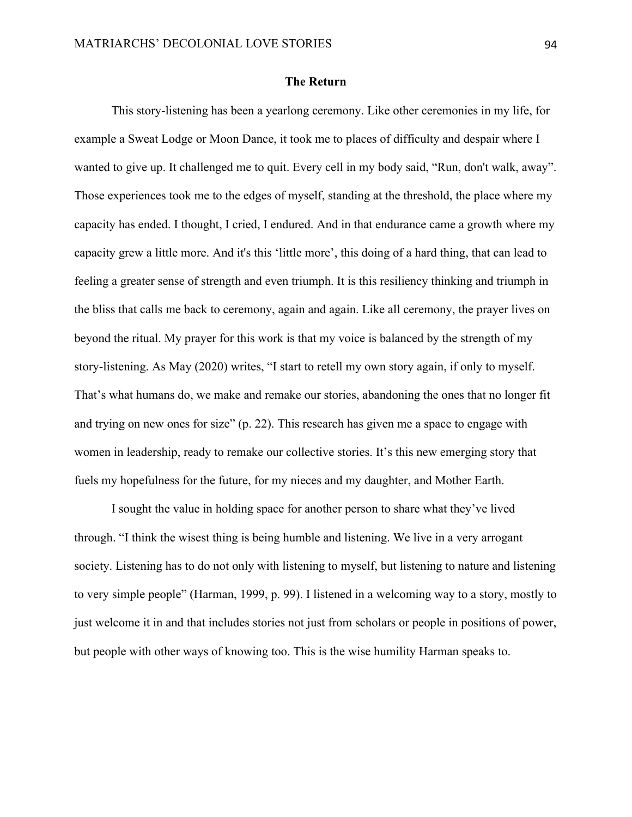### **The Return**

This story-listening has been a yearlong ceremony. Like other ceremonies in my life, for example a Sweat Lodge or Moon Dance, it took me to places of difficulty and despair where I wanted to give up. It challenged me to quit. Every cell in my body said, "Run, don't walk, away". Those experiences took me to the edges of myself, standing at the threshold, the place where my capacity has ended. I thought, I cried, I endured. And in that endurance came a growth where my capacity grew a little more. And it's this 'little more', this doing of a hard thing, that can lead to feeling a greater sense of strength and even triumph. It is this resiliency thinking and triumph in the bliss that calls me back to ceremony, again and again. Like all ceremony, the prayer lives on beyond the ritual. My prayer for this work is that my voice is balanced by the strength of my story-listening. As May (2020) writes, "I start to retell my own story again, if only to myself. That's what humans do, we make and remake our stories, abandoning the ones that no longer fit and trying on new ones for size" (p. 22). This research has given me a space to engage with women in leadership, ready to remake our collective stories. It's this new emerging story that fuels my hopefulness for the future, for my nieces and my daughter, and Mother Earth.

I sought the value in holding space for another person to share what they've lived through. "I think the wisest thing is being humble and listening. We live in a very arrogant society. Listening has to do not only with listening to myself, but listening to nature and listening to very simple people" (Harman, 1999, p. 99). I listened in a welcoming way to a story, mostly to just welcome it in and that includes stories not just from scholars or people in positions of power, but people with other ways of knowing too. This is the wise humility Harman speaks to.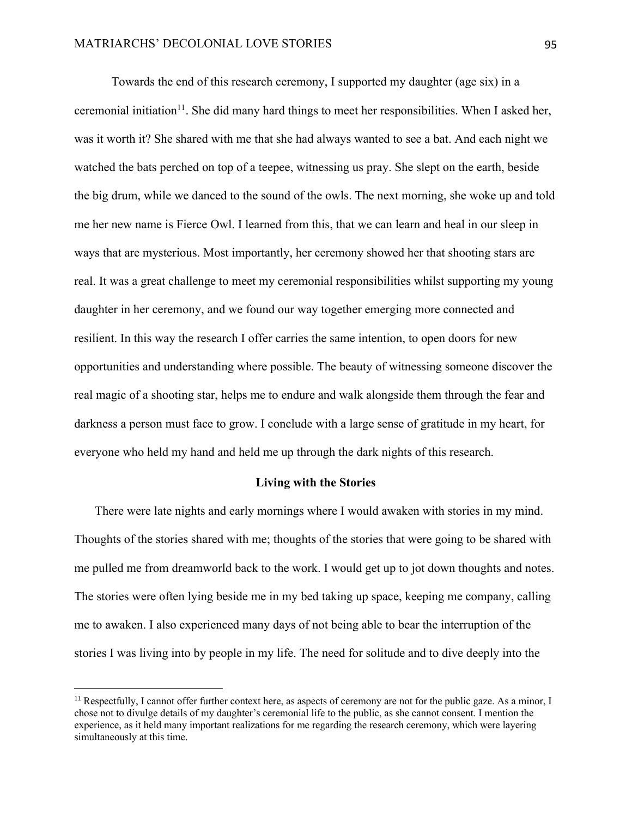Towards the end of this research ceremony, I supported my daughter (age six) in a ceremonial initiation<sup>11</sup>. She did many hard things to meet her responsibilities. When I asked her, was it worth it? She shared with me that she had always wanted to see a bat. And each night we watched the bats perched on top of a teepee, witnessing us pray. She slept on the earth, beside the big drum, while we danced to the sound of the owls. The next morning, she woke up and told me her new name is Fierce Owl. I learned from this, that we can learn and heal in our sleep in ways that are mysterious. Most importantly, her ceremony showed her that shooting stars are real. It was a great challenge to meet my ceremonial responsibilities whilst supporting my young daughter in her ceremony, and we found our way together emerging more connected and resilient. In this way the research I offer carries the same intention, to open doors for new opportunities and understanding where possible. The beauty of witnessing someone discover the real magic of a shooting star, helps me to endure and walk alongside them through the fear and darkness a person must face to grow. I conclude with a large sense of gratitude in my heart, for everyone who held my hand and held me up through the dark nights of this research.

#### **Living with the Stories**

There were late nights and early mornings where I would awaken with stories in my mind. Thoughts of the stories shared with me; thoughts of the stories that were going to be shared with me pulled me from dreamworld back to the work. I would get up to jot down thoughts and notes. The stories were often lying beside me in my bed taking up space, keeping me company, calling me to awaken. I also experienced many days of not being able to bear the interruption of the stories I was living into by people in my life. The need for solitude and to dive deeply into the

<sup>&</sup>lt;sup>11</sup> Respectfully, I cannot offer further context here, as aspects of ceremony are not for the public gaze. As a minor, I chose not to divulge details of my daughter's ceremonial life to the public, as she cannot consent. I mention the experience, as it held many important realizations for me regarding the research ceremony, which were layering simultaneously at this time.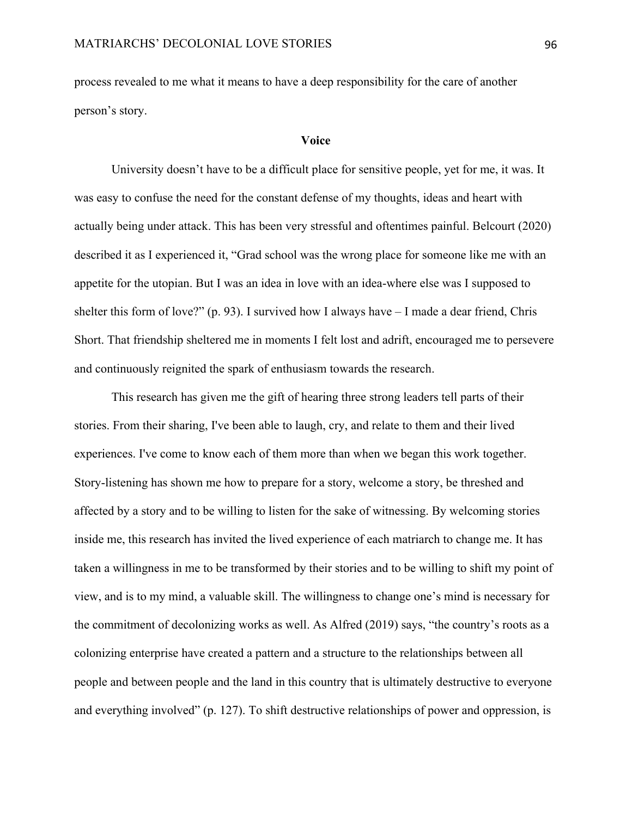process revealed to me what it means to have a deep responsibility for the care of another person's story.

#### **Voice**

University doesn't have to be a difficult place for sensitive people, yet for me, it was. It was easy to confuse the need for the constant defense of my thoughts, ideas and heart with actually being under attack. This has been very stressful and oftentimes painful. Belcourt (2020) described it as I experienced it, "Grad school was the wrong place for someone like me with an appetite for the utopian. But I was an idea in love with an idea-where else was I supposed to shelter this form of love?" (p. 93). I survived how I always have  $-$  I made a dear friend, Chris Short. That friendship sheltered me in moments I felt lost and adrift, encouraged me to persevere and continuously reignited the spark of enthusiasm towards the research.

This research has given me the gift of hearing three strong leaders tell parts of their stories. From their sharing, I've been able to laugh, cry, and relate to them and their lived experiences. I've come to know each of them more than when we began this work together. Story-listening has shown me how to prepare for a story, welcome a story, be threshed and affected by a story and to be willing to listen for the sake of witnessing. By welcoming stories inside me, this research has invited the lived experience of each matriarch to change me. It has taken a willingness in me to be transformed by their stories and to be willing to shift my point of view, and is to my mind, a valuable skill. The willingness to change one's mind is necessary for the commitment of decolonizing works as well. As Alfred (2019) says, "the country's roots as a colonizing enterprise have created a pattern and a structure to the relationships between all people and between people and the land in this country that is ultimately destructive to everyone and everything involved" (p. 127). To shift destructive relationships of power and oppression, is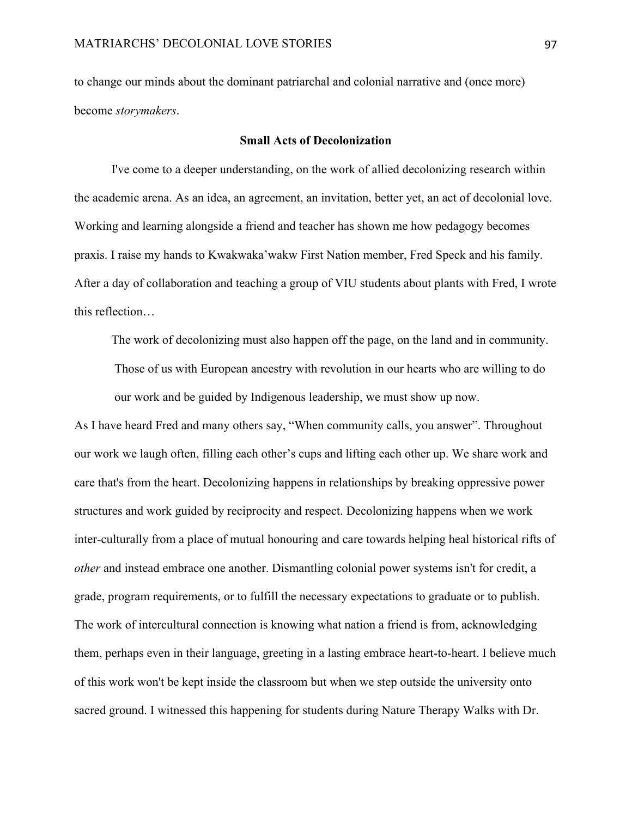to change our minds about the dominant patriarchal and colonial narrative and (once more) become *storymakers*.

## **Small Acts of Decolonization**

I've come to a deeper understanding, on the work of allied decolonizing research within the academic arena. As an idea, an agreement, an invitation, better yet, an act of decolonial love. Working and learning alongside a friend and teacher has shown me how pedagogy becomes praxis. I raise my hands to Kwakwaka'wakw First Nation member, Fred Speck and his family. After a day of collaboration and teaching a group of VIU students about plants with Fred, I wrote this reflection…

The work of decolonizing must also happen off the page, on the land and in community. Those of us with European ancestry with revolution in our hearts who are willing to do our work and be guided by Indigenous leadership, we must show up now.

As I have heard Fred and many others say, "When community calls, you answer". Throughout our work we laugh often, filling each other's cups and lifting each other up. We share work and care that's from the heart. Decolonizing happens in relationships by breaking oppressive power structures and work guided by reciprocity and respect. Decolonizing happens when we work inter-culturally from a place of mutual honouring and care towards helping heal historical rifts of *other* and instead embrace one another. Dismantling colonial power systems isn't for credit, a grade, program requirements, or to fulfill the necessary expectations to graduate or to publish. The work of intercultural connection is knowing what nation a friend is from, acknowledging them, perhaps even in their language, greeting in a lasting embrace heart-to-heart. I believe much of this work won't be kept inside the classroom but when we step outside the university onto sacred ground. I witnessed this happening for students during Nature Therapy Walks with Dr.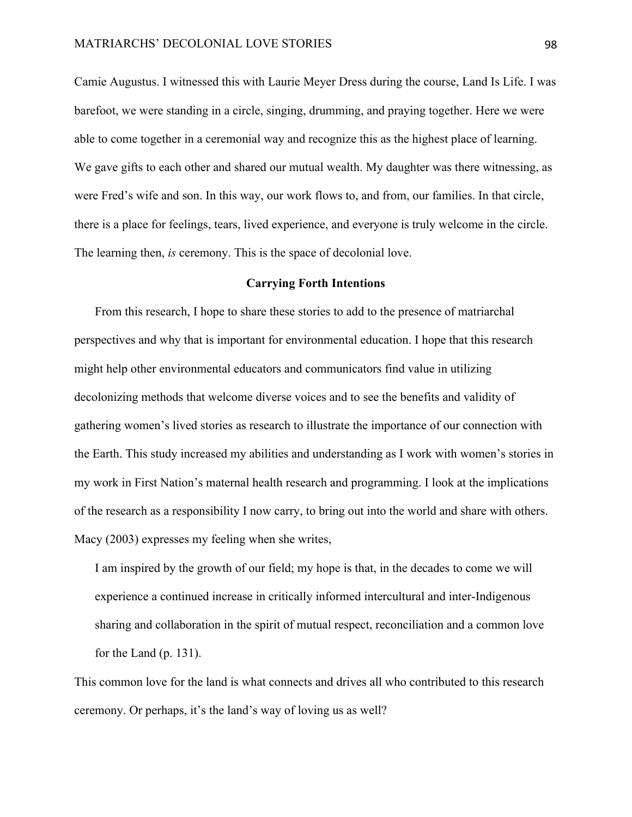Camie Augustus. I witnessed this with Laurie Meyer Dress during the course, Land Is Life. I was barefoot, we were standing in a circle, singing, drumming, and praying together. Here we were able to come together in a ceremonial way and recognize this as the highest place of learning. We gave gifts to each other and shared our mutual wealth. My daughter was there witnessing, as were Fred's wife and son. In this way, our work flows to, and from, our families. In that circle, there is a place for feelings, tears, lived experience, and everyone is truly welcome in the circle. The learning then, *is* ceremony. This is the space of decolonial love.

## **Carrying Forth Intentions**

From this research, I hope to share these stories to add to the presence of matriarchal perspectives and why that is important for environmental education. I hope that this research might help other environmental educators and communicators find value in utilizing decolonizing methods that welcome diverse voices and to see the benefits and validity of gathering women's lived stories as research to illustrate the importance of our connection with the Earth. This study increased my abilities and understanding as I work with women's stories in my work in First Nation's maternal health research and programming. I look at the implications of the research as a responsibility I now carry, to bring out into the world and share with others. Macy (2003) expresses my feeling when she writes,

I am inspired by the growth of our field; my hope is that, in the decades to come we will experience a continued increase in critically informed intercultural and inter-Indigenous sharing and collaboration in the spirit of mutual respect, reconciliation and a common love for the Land (p. 131).

This common love for the land is what connects and drives all who contributed to this research ceremony. Or perhaps, it's the land's way of loving us as well?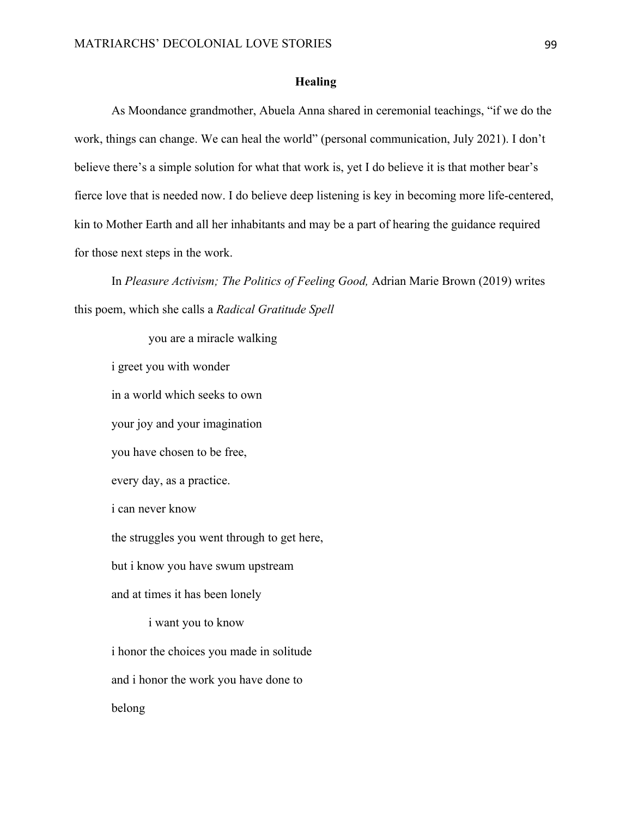## **Healing**

As Moondance grandmother, Abuela Anna shared in ceremonial teachings, "if we do the work, things can change. We can heal the world" (personal communication, July 2021). I don't believe there's a simple solution for what that work is, yet I do believe it is that mother bear's fierce love that is needed now. I do believe deep listening is key in becoming more life-centered, kin to Mother Earth and all her inhabitants and may be a part of hearing the guidance required for those next steps in the work.

In *Pleasure Activism; The Politics of Feeling Good,* Adrian Marie Brown (2019) writes this poem, which she calls a *Radical Gratitude Spell*

you are a miracle walking i greet you with wonder in a world which seeks to own your joy and your imagination you have chosen to be free, every day, as a practice. i can never know the struggles you went through to get here, but i know you have swum upstream and at times it has been lonely i want you to know i honor the choices you made in solitude and i honor the work you have done to belong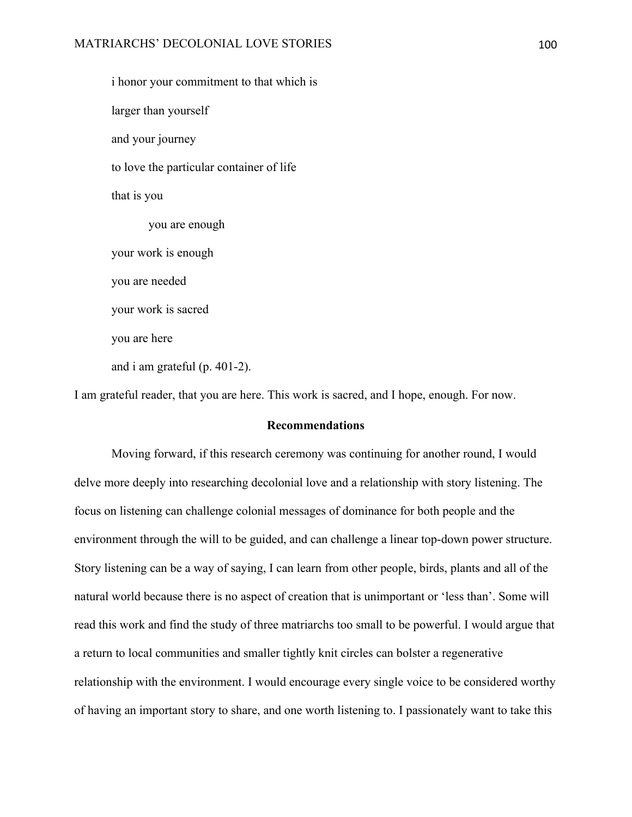i honor your commitment to that which is larger than yourself and your journey to love the particular container of life that is you you are enough your work is enough you are needed your work is sacred you are here and i am grateful (p. 401-2).

I am grateful reader, that you are here. This work is sacred, and I hope, enough. For now.

# **Recommendations**

Moving forward, if this research ceremony was continuing for another round, I would delve more deeply into researching decolonial love and a relationship with story listening. The focus on listening can challenge colonial messages of dominance for both people and the environment through the will to be guided, and can challenge a linear top-down power structure. Story listening can be a way of saying, I can learn from other people, birds, plants and all of the natural world because there is no aspect of creation that is unimportant or 'less than'. Some will read this work and find the study of three matriarchs too small to be powerful. I would argue that a return to local communities and smaller tightly knit circles can bolster a regenerative relationship with the environment. I would encourage every single voice to be considered worthy of having an important story to share, and one worth listening to. I passionately want to take this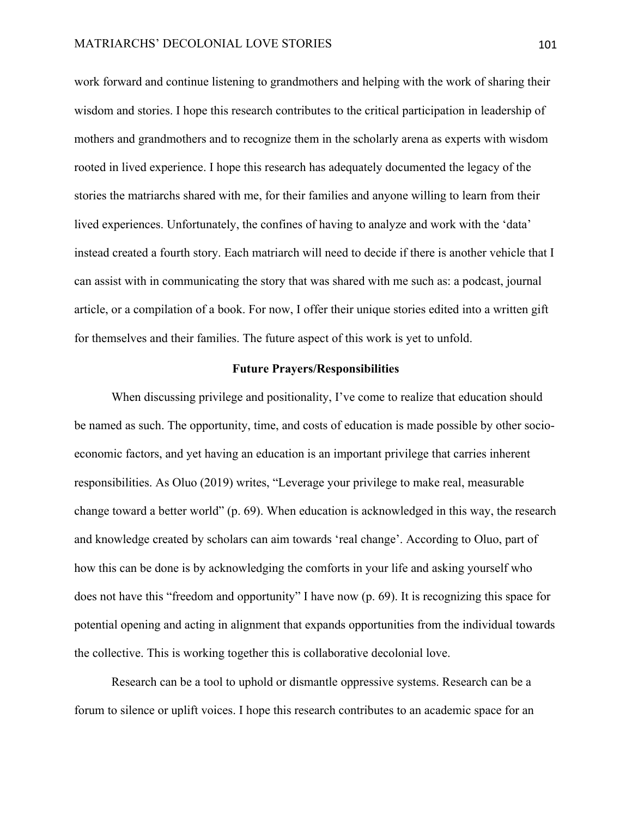work forward and continue listening to grandmothers and helping with the work of sharing their wisdom and stories. I hope this research contributes to the critical participation in leadership of mothers and grandmothers and to recognize them in the scholarly arena as experts with wisdom rooted in lived experience. I hope this research has adequately documented the legacy of the stories the matriarchs shared with me, for their families and anyone willing to learn from their lived experiences. Unfortunately, the confines of having to analyze and work with the 'data' instead created a fourth story. Each matriarch will need to decide if there is another vehicle that I can assist with in communicating the story that was shared with me such as: a podcast, journal article, or a compilation of a book. For now, I offer their unique stories edited into a written gift for themselves and their families. The future aspect of this work is yet to unfold.

# **Future Prayers/Responsibilities**

When discussing privilege and positionality, I've come to realize that education should be named as such. The opportunity, time, and costs of education is made possible by other socioeconomic factors, and yet having an education is an important privilege that carries inherent responsibilities. As Oluo (2019) writes, "Leverage your privilege to make real, measurable change toward a better world" (p. 69). When education is acknowledged in this way, the research and knowledge created by scholars can aim towards 'real change'. According to Oluo, part of how this can be done is by acknowledging the comforts in your life and asking yourself who does not have this "freedom and opportunity" I have now (p. 69). It is recognizing this space for potential opening and acting in alignment that expands opportunities from the individual towards the collective. This is working together this is collaborative decolonial love.

Research can be a tool to uphold or dismantle oppressive systems. Research can be a forum to silence or uplift voices. I hope this research contributes to an academic space for an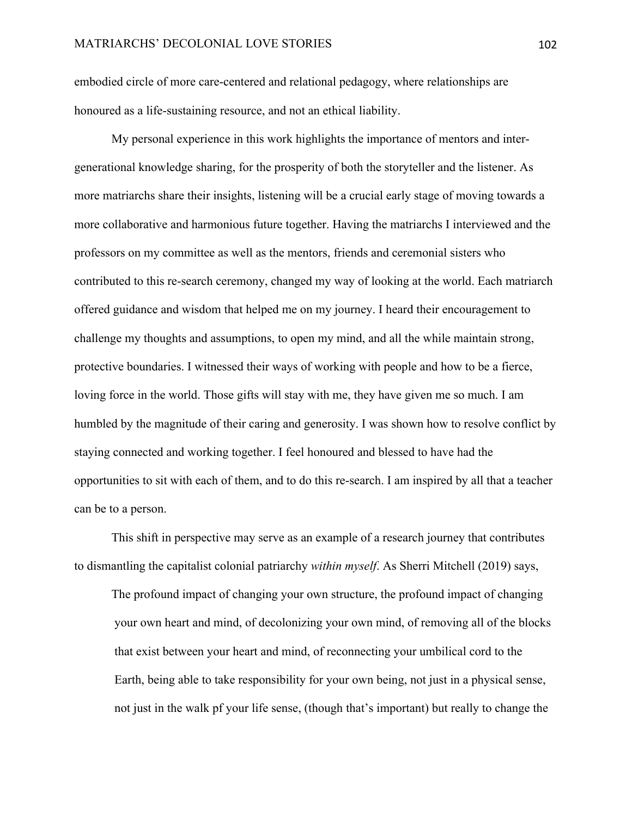embodied circle of more care-centered and relational pedagogy, where relationships are honoured as a life-sustaining resource, and not an ethical liability.

My personal experience in this work highlights the importance of mentors and intergenerational knowledge sharing, for the prosperity of both the storyteller and the listener. As more matriarchs share their insights, listening will be a crucial early stage of moving towards a more collaborative and harmonious future together. Having the matriarchs I interviewed and the professors on my committee as well as the mentors, friends and ceremonial sisters who contributed to this re-search ceremony, changed my way of looking at the world. Each matriarch offered guidance and wisdom that helped me on my journey. I heard their encouragement to challenge my thoughts and assumptions, to open my mind, and all the while maintain strong, protective boundaries. I witnessed their ways of working with people and how to be a fierce, loving force in the world. Those gifts will stay with me, they have given me so much. I am humbled by the magnitude of their caring and generosity. I was shown how to resolve conflict by staying connected and working together. I feel honoured and blessed to have had the opportunities to sit with each of them, and to do this re-search. I am inspired by all that a teacher can be to a person.

This shift in perspective may serve as an example of a research journey that contributes to dismantling the capitalist colonial patriarchy *within myself*. As Sherri Mitchell (2019) says,

The profound impact of changing your own structure, the profound impact of changing your own heart and mind, of decolonizing your own mind, of removing all of the blocks that exist between your heart and mind, of reconnecting your umbilical cord to the Earth, being able to take responsibility for your own being, not just in a physical sense, not just in the walk pf your life sense, (though that's important) but really to change the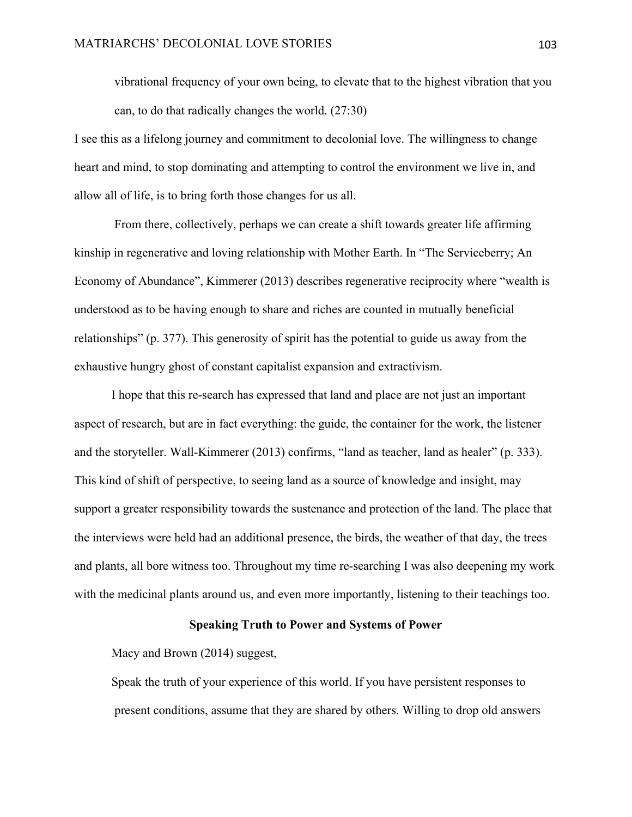vibrational frequency of your own being, to elevate that to the highest vibration that you can, to do that radically changes the world. (27:30)

I see this as a lifelong journey and commitment to decolonial love. The willingness to change heart and mind, to stop dominating and attempting to control the environment we live in, and allow all of life, is to bring forth those changes for us all.

From there, collectively, perhaps we can create a shift towards greater life affirming kinship in regenerative and loving relationship with Mother Earth. In "The Serviceberry; An Economy of Abundance", Kimmerer (2013) describes regenerative reciprocity where "wealth is understood as to be having enough to share and riches are counted in mutually beneficial relationships" (p. 377). This generosity of spirit has the potential to guide us away from the exhaustive hungry ghost of constant capitalist expansion and extractivism.

I hope that this re-search has expressed that land and place are not just an important aspect of research, but are in fact everything: the guide, the container for the work, the listener and the storyteller. Wall-Kimmerer (2013) confirms, "land as teacher, land as healer" (p. 333). This kind of shift of perspective, to seeing land as a source of knowledge and insight, may support a greater responsibility towards the sustenance and protection of the land. The place that the interviews were held had an additional presence, the birds, the weather of that day, the trees and plants, all bore witness too. Throughout my time re-searching I was also deepening my work with the medicinal plants around us, and even more importantly, listening to their teachings too.

# **Speaking Truth to Power and Systems of Power**

Macy and Brown (2014) suggest,

Speak the truth of your experience of this world. If you have persistent responses to present conditions, assume that they are shared by others. Willing to drop old answers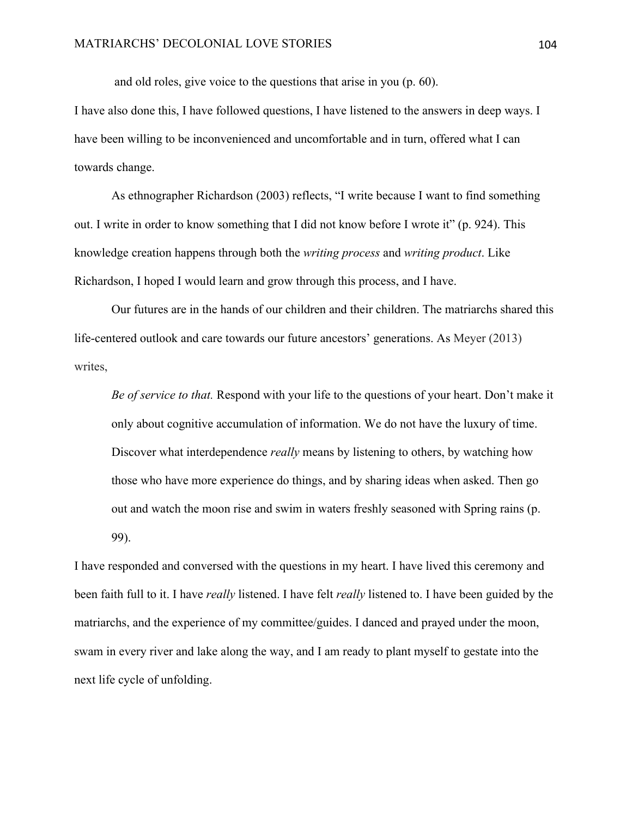and old roles, give voice to the questions that arise in you (p. 60).

I have also done this, I have followed questions, I have listened to the answers in deep ways. I have been willing to be inconvenienced and uncomfortable and in turn, offered what I can towards change.

As ethnographer Richardson (2003) reflects, "I write because I want to find something out. I write in order to know something that I did not know before I wrote it" (p. 924). This knowledge creation happens through both the *writing process* and *writing product*. Like Richardson, I hoped I would learn and grow through this process, and I have.

Our futures are in the hands of our children and their children. The matriarchs shared this life-centered outlook and care towards our future ancestors' generations. As Meyer (2013) writes,

*Be of service to that.* Respond with your life to the questions of your heart. Don't make it only about cognitive accumulation of information. We do not have the luxury of time. Discover what interdependence *really* means by listening to others, by watching how those who have more experience do things, and by sharing ideas when asked. Then go out and watch the moon rise and swim in waters freshly seasoned with Spring rains (p. 99).

I have responded and conversed with the questions in my heart. I have lived this ceremony and been faith full to it. I have *really* listened. I have felt *really* listened to. I have been guided by the matriarchs, and the experience of my committee/guides. I danced and prayed under the moon, swam in every river and lake along the way, and I am ready to plant myself to gestate into the next life cycle of unfolding.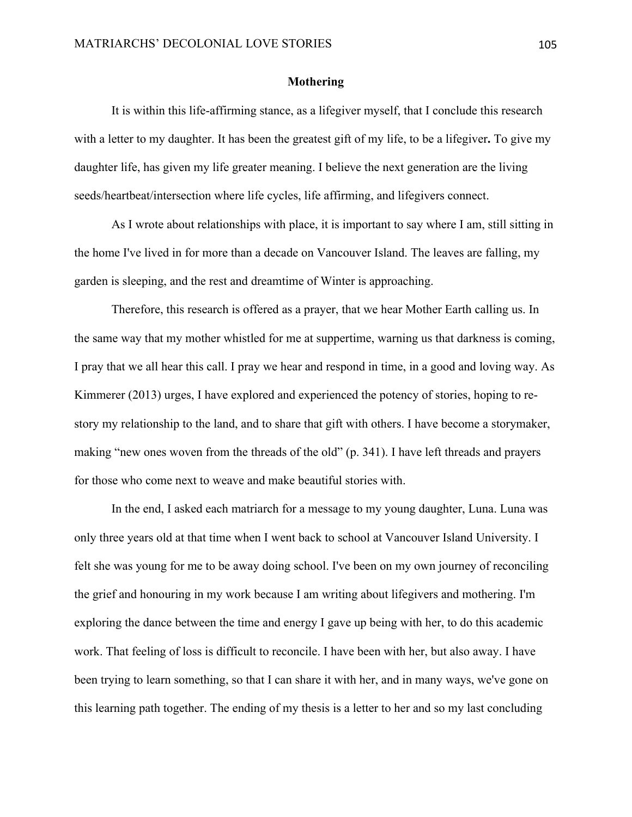## **Mothering**

It is within this life-affirming stance, as a lifegiver myself, that I conclude this research with a letter to my daughter. It has been the greatest gift of my life, to be a lifegiver**.** To give my daughter life, has given my life greater meaning. I believe the next generation are the living seeds/heartbeat/intersection where life cycles, life affirming, and lifegivers connect.

As I wrote about relationships with place, it is important to say where I am, still sitting in the home I've lived in for more than a decade on Vancouver Island. The leaves are falling, my garden is sleeping, and the rest and dreamtime of Winter is approaching.

Therefore, this research is offered as a prayer, that we hear Mother Earth calling us. In the same way that my mother whistled for me at suppertime, warning us that darkness is coming, I pray that we all hear this call. I pray we hear and respond in time, in a good and loving way. As Kimmerer (2013) urges, I have explored and experienced the potency of stories, hoping to restory my relationship to the land, and to share that gift with others. I have become a storymaker, making "new ones woven from the threads of the old" (p. 341). I have left threads and prayers for those who come next to weave and make beautiful stories with.

In the end, I asked each matriarch for a message to my young daughter, Luna. Luna was only three years old at that time when I went back to school at Vancouver Island University. I felt she was young for me to be away doing school. I've been on my own journey of reconciling the grief and honouring in my work because I am writing about lifegivers and mothering. I'm exploring the dance between the time and energy I gave up being with her, to do this academic work. That feeling of loss is difficult to reconcile. I have been with her, but also away. I have been trying to learn something, so that I can share it with her, and in many ways, we've gone on this learning path together. The ending of my thesis is a letter to her and so my last concluding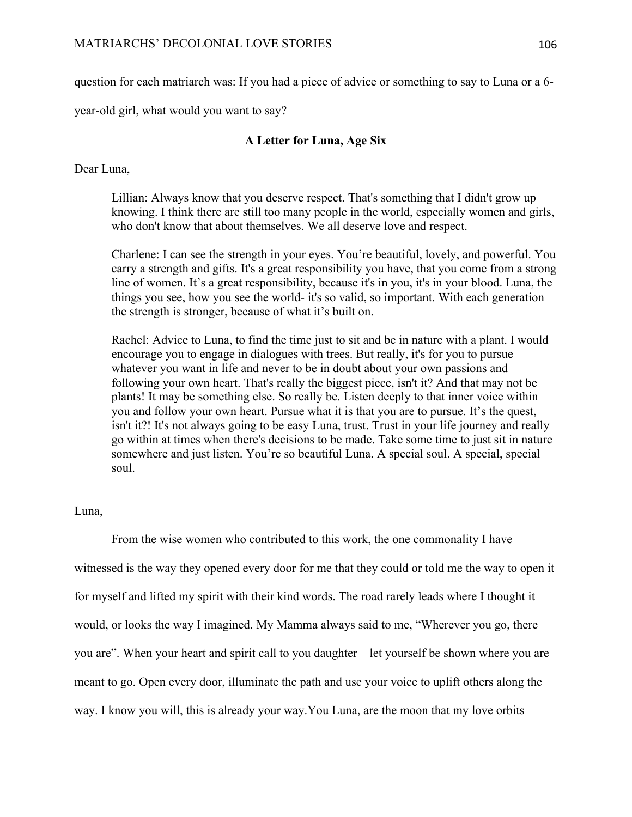question for each matriarch was: If you had a piece of advice or something to say to Luna or a 6-

year-old girl, what would you want to say?

# **A Letter for Luna, Age Six**

Dear Luna,

Lillian: Always know that you deserve respect. That's something that I didn't grow up knowing. I think there are still too many people in the world, especially women and girls, who don't know that about themselves. We all deserve love and respect.

Charlene: I can see the strength in your eyes. You're beautiful, lovely, and powerful. You carry a strength and gifts. It's a great responsibility you have, that you come from a strong line of women. It's a great responsibility, because it's in you, it's in your blood. Luna, the things you see, how you see the world- it's so valid, so important. With each generation the strength is stronger, because of what it's built on.

Rachel: Advice to Luna, to find the time just to sit and be in nature with a plant. I would encourage you to engage in dialogues with trees. But really, it's for you to pursue whatever you want in life and never to be in doubt about your own passions and following your own heart. That's really the biggest piece, isn't it? And that may not be plants! It may be something else. So really be. Listen deeply to that inner voice within you and follow your own heart. Pursue what it is that you are to pursue. It's the quest, isn't it?! It's not always going to be easy Luna, trust. Trust in your life journey and really go within at times when there's decisions to be made. Take some time to just sit in nature somewhere and just listen. You're so beautiful Luna. A special soul. A special, special soul.

## Luna,

From the wise women who contributed to this work, the one commonality I have witnessed is the way they opened every door for me that they could or told me the way to open it for myself and lifted my spirit with their kind words. The road rarely leads where I thought it would, or looks the way I imagined. My Mamma always said to me, "Wherever you go, there you are". When your heart and spirit call to you daughter – let yourself be shown where you are meant to go. Open every door, illuminate the path and use your voice to uplift others along the way. I know you will, this is already your way.You Luna, are the moon that my love orbits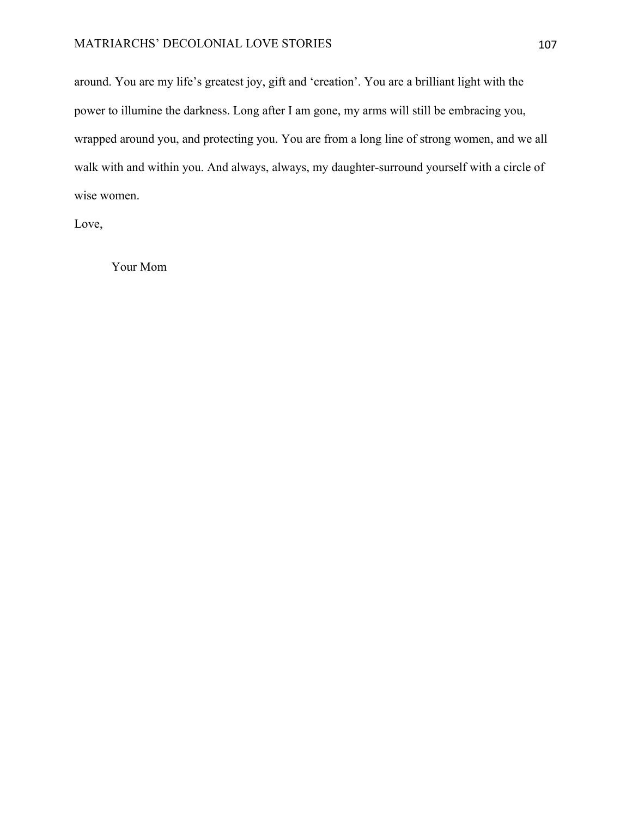# MATRIARCHS' DECOLONIAL LOVE STORIES 107

around. You are my life's greatest joy, gift and 'creation'. You are a brilliant light with the power to illumine the darkness. Long after I am gone, my arms will still be embracing you, wrapped around you, and protecting you. You are from a long line of strong women, and we all walk with and within you. And always, always, my daughter-surround yourself with a circle of wise women.

Love,

Your Mom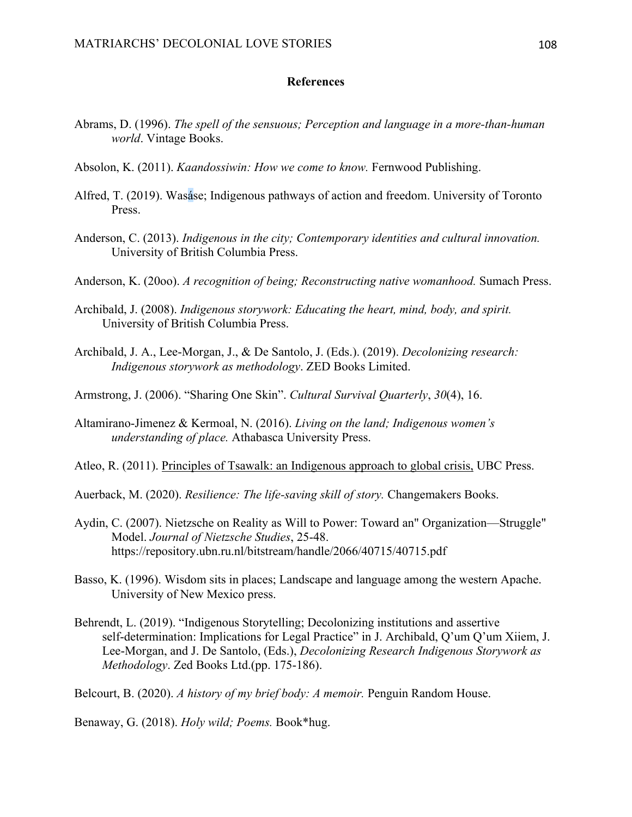## **References**

- Abrams, D. (1996). *The spell of the sensuous; Perception and language in a more-than-human world*. Vintage Books.
- Absolon, K. (2011). *Kaandossiwin: How we come to know.* Fernwood Publishing.
- Alfred, T. (2019). Wasáse; Indigenous pathways of action and freedom. University of Toronto Press.
- Anderson, C. (2013). *Indigenous in the city; Contemporary identities and cultural innovation.*  University of British Columbia Press.
- Anderson, K. (20oo). *A recognition of being; Reconstructing native womanhood.* Sumach Press.
- Archibald, J. (2008). *Indigenous storywork: Educating the heart, mind, body, and spirit.* University of British Columbia Press.
- Archibald, J. A., Lee-Morgan, J., & De Santolo, J. (Eds.). (2019). *Decolonizing research: Indigenous storywork as methodology*. ZED Books Limited.
- Armstrong, J. (2006). "Sharing One Skin". *Cultural Survival Quarterly*, *30*(4), 16.
- Altamirano-Jimenez & Kermoal, N. (2016). *Living on the land; Indigenous women's understanding of place.* Athabasca University Press.

Atleo, R. (2011). Principles of Tsawalk: an Indigenous approach to global crisis, UBC Press.

Auerback, M. (2020). *Resilience: The life-saving skill of story.* Changemakers Books.

- Aydin, C. (2007). Nietzsche on Reality as Will to Power: Toward an" Organization—Struggle" Model. *Journal of Nietzsche Studies*, 25-48. https://repository.ubn.ru.nl/bitstream/handle/2066/40715/40715.pdf
- Basso, K. (1996). Wisdom sits in places; Landscape and language among the western Apache. University of New Mexico press.
- Behrendt, L. (2019). "Indigenous Storytelling; Decolonizing institutions and assertive self-determination: Implications for Legal Practice" in J. Archibald, Q'um Q'um Xiiem, J. Lee-Morgan, and J. De Santolo, (Eds.), *Decolonizing Research Indigenous Storywork as Methodology*. Zed Books Ltd.(pp. 175-186).

Belcourt, B. (2020). *A history of my brief body: A memoir.* Penguin Random House.

Benaway, G. (2018). *Holy wild; Poems.* Book\*hug.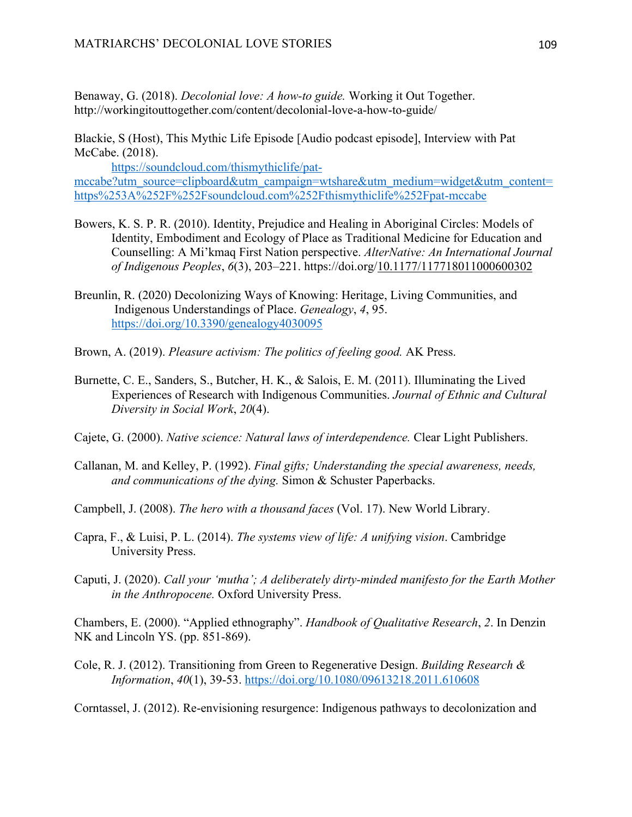Benaway, G. (2018). *Decolonial love: A how-to guide.* Working it Out Together. http://workingitouttogether.com/content/decolonial-love-a-how-to-guide/

Blackie, S (Host), This Mythic Life Episode [Audio podcast episode], Interview with Pat McCabe. (2018).

https://soundcloud.com/thismythiclife/patmccabe?utm\_source=clipboard&utm\_campaign=wtshare&utm\_medium=widget&utm\_content= https%253A%252F%252Fsoundcloud.com%252Fthismythiclife%252Fpat-mccabe

- Bowers, K. S. P. R. (2010). Identity, Prejudice and Healing in Aboriginal Circles: Models of Identity, Embodiment and Ecology of Place as Traditional Medicine for Education and Counselling: A Mi'kmaq First Nation perspective. *AlterNative: An International Journal of Indigenous Peoples*, *6*(3), 203–221. https://doi.org/10.1177/117718011000600302
- Breunlin, R. (2020) Decolonizing Ways of Knowing: Heritage, Living Communities, and Indigenous Understandings of Place. *Genealogy*, *4*, 95. https://doi.org/10.3390/genealogy4030095
- Brown, A. (2019). *Pleasure activism: The politics of feeling good.* AK Press.
- Burnette, C. E., Sanders, S., Butcher, H. K., & Salois, E. M. (2011). Illuminating the Lived Experiences of Research with Indigenous Communities. *Journal of Ethnic and Cultural Diversity in Social Work*, *20*(4).
- Cajete, G. (2000). *Native science: Natural laws of interdependence.* Clear Light Publishers.
- Callanan, M. and Kelley, P. (1992). *Final gifts; Understanding the special awareness, needs, and communications of the dying.* Simon & Schuster Paperbacks.
- Campbell, J. (2008). *The hero with a thousand faces* (Vol. 17). New World Library.
- Capra, F., & Luisi, P. L. (2014). *The systems view of life: A unifying vision*. Cambridge University Press.
- Caputi, J. (2020). *Call your 'mutha'; A deliberately dirty-minded manifesto for the Earth Mother in the Anthropocene.* Oxford University Press.

Chambers, E. (2000). "Applied ethnography". *Handbook of Qualitative Research*, *2*. In Denzin NK and Lincoln YS. (pp. 851-869).

Cole, R. J. (2012). Transitioning from Green to Regenerative Design. *Building Research & Information*, *40*(1), 39-53. https://doi.org/10.1080/09613218.2011.610608

Corntassel, J. (2012). Re-envisioning resurgence: Indigenous pathways to decolonization and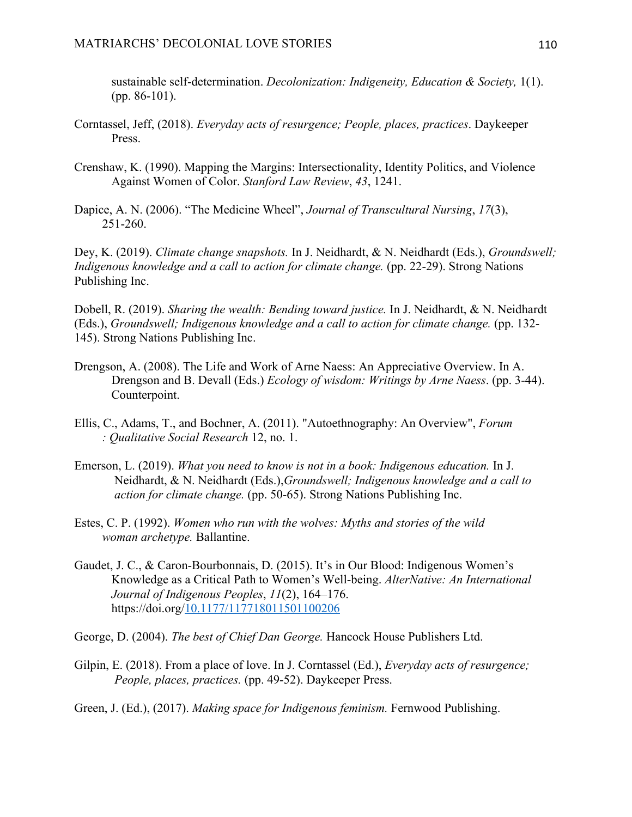sustainable self-determination. *Decolonization: Indigeneity, Education & Society,* 1(1). (pp. 86-101).

- Corntassel, Jeff, (2018). *Everyday acts of resurgence; People, places, practices*. Daykeeper Press.
- Crenshaw, K. (1990). Mapping the Margins: Intersectionality, Identity Politics, and Violence Against Women of Color. *Stanford Law Review*, *43*, 1241.
- Dapice, A. N. (2006). "The Medicine Wheel", *Journal of Transcultural Nursing*, *17*(3), 251-260.

Dey, K. (2019). *Climate change snapshots.* In J. Neidhardt, & N. Neidhardt (Eds.), *Groundswell; Indigenous knowledge and a call to action for climate change.* (pp. 22-29). Strong Nations Publishing Inc.

Dobell, R. (2019). *Sharing the wealth: Bending toward justice.* In J. Neidhardt, & N. Neidhardt (Eds.), *Groundswell; Indigenous knowledge and a call to action for climate change.* (pp. 132- 145). Strong Nations Publishing Inc.

- Drengson, A. (2008). The Life and Work of Arne Naess: An Appreciative Overview. In A. Drengson and B. Devall (Eds.) *Ecology of wisdom: Writings by Arne Naess*. (pp. 3-44). Counterpoint.
- Ellis, C., Adams, T., and Bochner, A. (2011). "Autoethnography: An Overview", *Forum : Qualitative Social Research* 12, no. 1.
- Emerson, L. (2019). *What you need to know is not in a book: Indigenous education.* In J. Neidhardt, & N. Neidhardt (Eds.),*Groundswell; Indigenous knowledge and a call to action for climate change.* (pp. 50-65). Strong Nations Publishing Inc.
- Estes, C. P. (1992). *Women who run with the wolves: Myths and stories of the wild woman archetype.* Ballantine.
- Gaudet, J. C., & Caron-Bourbonnais, D. (2015). It's in Our Blood: Indigenous Women's Knowledge as a Critical Path to Women's Well-being. *AlterNative: An International Journal of Indigenous Peoples*, *11*(2), 164–176. https://doi.org/10.1177/117718011501100206
- George, D. (2004). *The best of Chief Dan George.* Hancock House Publishers Ltd.
- Gilpin, E. (2018). From a place of love. In J. Corntassel (Ed.), *Everyday acts of resurgence; People, places, practices.* (pp. 49-52). Daykeeper Press.
- Green, J. (Ed.), (2017). *Making space for Indigenous feminism.* Fernwood Publishing.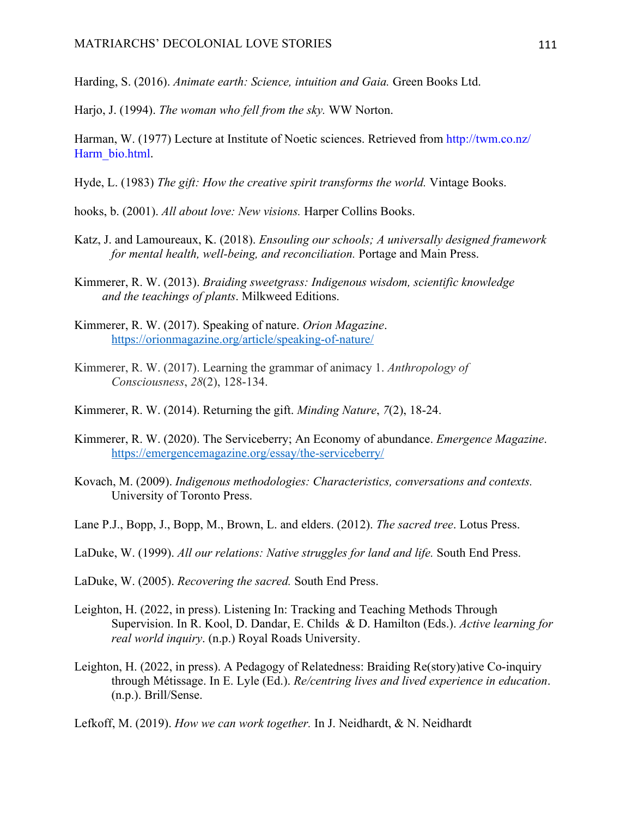Harding, S. (2016). *Animate earth: Science, intuition and Gaia.* Green Books Ltd.

Harjo, J. (1994). *The woman who fell from the sky.* WW Norton.

- Harman, W. (1977) Lecture at Institute of Noetic sciences. Retrieved from http://twm.co.nz/ Harm\_bio.html.
- Hyde, L. (1983) *The gift: How the creative spirit transforms the world.* Vintage Books.

hooks, b. (2001). *All about love: New visions.* Harper Collins Books.

- Katz, J. and Lamoureaux, K. (2018). *Ensouling our schools; A universally designed framework for mental health, well-being, and reconciliation.* Portage and Main Press.
- Kimmerer, R. W. (2013). *Braiding sweetgrass: Indigenous wisdom, scientific knowledge and the teachings of plants*. Milkweed Editions.
- Kimmerer, R. W. (2017). Speaking of nature. *Orion Magazine*. https://orionmagazine.org/article/speaking-of-nature/
- Kimmerer, R. W. (2017). Learning the grammar of animacy 1. *Anthropology of Consciousness*, *28*(2), 128-134.
- Kimmerer, R. W. (2014). Returning the gift. *Minding Nature*, *7*(2), 18-24.
- Kimmerer, R. W. (2020). The Serviceberry; An Economy of abundance. *Emergence Magazine*. https://emergencemagazine.org/essay/the-serviceberry/
- Kovach, M. (2009). *Indigenous methodologies: Characteristics, conversations and contexts.*  University of Toronto Press.
- Lane P.J., Bopp, J., Bopp, M., Brown, L. and elders. (2012). *The sacred tree*. Lotus Press.
- LaDuke, W. (1999). *All our relations: Native struggles for land and life.* South End Press.

LaDuke, W. (2005). *Recovering the sacred.* South End Press.

- Leighton, H. (2022, in press). Listening In: Tracking and Teaching Methods Through Supervision. In R. Kool, D. Dandar, E. Childs & D. Hamilton (Eds.). *Active learning for real world inquiry*. (n.p.) Royal Roads University.
- Leighton, H. (2022, in press). A Pedagogy of Relatedness: Braiding Re(story)ative Co-inquiry through Métissage. In E. Lyle (Ed.). *Re/centring lives and lived experience in education*. (n.p.). Brill/Sense.
- Lefkoff, M. (2019). *How we can work together.* In J. Neidhardt, & N. Neidhardt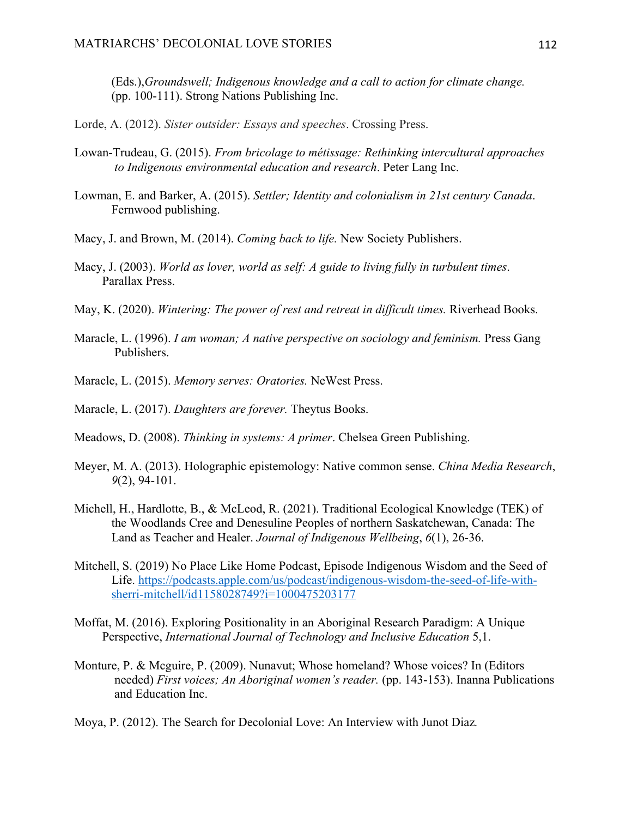(Eds.),*Groundswell; Indigenous knowledge and a call to action for climate change.*  (pp. 100-111). Strong Nations Publishing Inc.

Lorde, A. (2012). *Sister outsider: Essays and speeches*. Crossing Press.

- Lowan-Trudeau, G. (2015). *From bricolage to métissage: Rethinking intercultural approaches to Indigenous environmental education and research*. Peter Lang Inc.
- Lowman, E. and Barker, A. (2015). *Settler; Identity and colonialism in 21st century Canada*. Fernwood publishing.
- Macy, J. and Brown, M. (2014). *Coming back to life.* New Society Publishers.
- Macy, J. (2003). *World as lover, world as self: A guide to living fully in turbulent times*. Parallax Press.
- May, K. (2020). *Wintering: The power of rest and retreat in difficult times.* Riverhead Books.
- Maracle, L. (1996). *I am woman; A native perspective on sociology and feminism.* Press Gang Publishers.
- Maracle, L. (2015). *Memory serves: Oratories.* NeWest Press.
- Maracle, L. (2017). *Daughters are forever.* Theytus Books.
- Meadows, D. (2008). *Thinking in systems: A primer*. Chelsea Green Publishing.
- Meyer, M. A. (2013). Holographic epistemology: Native common sense. *China Media Research*, *9*(2), 94-101.
- Michell, H., Hardlotte, B., & McLeod, R. (2021). Traditional Ecological Knowledge (TEK) of the Woodlands Cree and Denesuline Peoples of northern Saskatchewan, Canada: The Land as Teacher and Healer. *Journal of Indigenous Wellbeing*, *6*(1), 26-36.
- Mitchell, S. (2019) No Place Like Home Podcast, Episode Indigenous Wisdom and the Seed of Life. https://podcasts.apple.com/us/podcast/indigenous-wisdom-the-seed-of-life-withsherri-mitchell/id1158028749?i=1000475203177
- Moffat, M. (2016). Exploring Positionality in an Aboriginal Research Paradigm: A Unique Perspective, *International Journal of Technology and Inclusive Education* 5,1.
- Monture, P. & Mcguire, P. (2009). Nunavut; Whose homeland? Whose voices? In (Editors needed) *First voices; An Aboriginal women's reader.* (pp. 143-153). Inanna Publications and Education Inc.
- Moya, P. (2012). The Search for Decolonial Love: An Interview with Junot Diaz*.*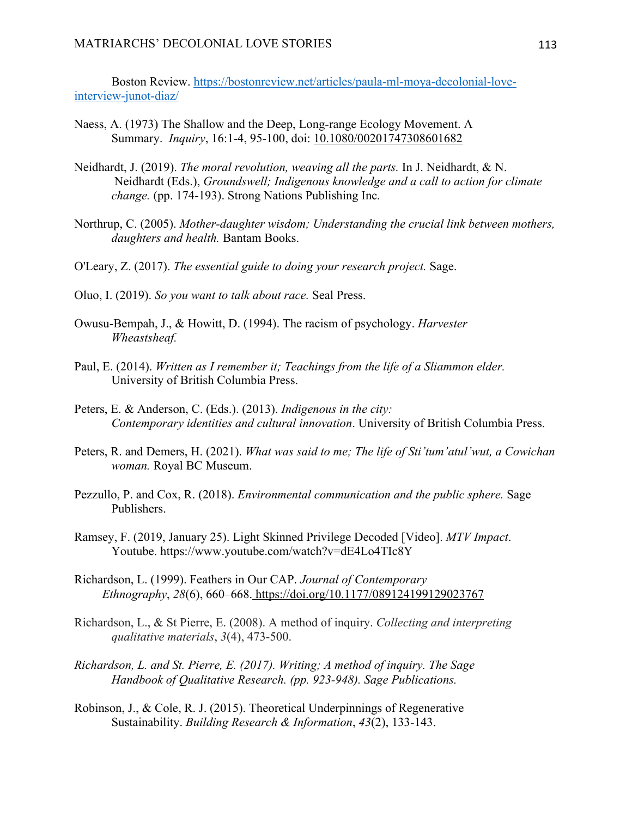Boston Review. https://bostonreview.net/articles/paula-ml-moya-decolonial-loveinterview-junot-diaz/

- Naess, A. (1973) The Shallow and the Deep, Long‐range Ecology Movement. A Summary. *Inquiry*, 16:1-4, 95-100, doi: 10.1080/00201747308601682
- Neidhardt, J. (2019). *The moral revolution, weaving all the parts.* In J. Neidhardt, & N. Neidhardt (Eds.), *Groundswell; Indigenous knowledge and a call to action for climate change.* (pp. 174-193). Strong Nations Publishing Inc*.*
- Northrup, C. (2005). *Mother-daughter wisdom; Understanding the crucial link between mothers, daughters and health.* Bantam Books.
- O'Leary, Z. (2017). *The essential guide to doing your research project.* Sage.
- Oluo, I. (2019). *So you want to talk about race.* Seal Press.
- Owusu-Bempah, J., & Howitt, D. (1994). The racism of psychology. *Harvester Wheastsheaf.*
- Paul, E. (2014). *Written as I remember it; Teachings from the life of a Sliammon elder.*  University of British Columbia Press.
- Peters, E. & Anderson, C. (Eds.). (2013). *Indigenous in the city: Contemporary identities and cultural innovation*. University of British Columbia Press.
- Peters, R. and Demers, H. (2021). *What was said to me; The life of Sti'tum'atul'wut, a Cowichan woman.* Royal BC Museum.
- Pezzullo, P. and Cox, R. (2018). *Environmental communication and the public sphere.* Sage Publishers.
- Ramsey, F. (2019, January 25). Light Skinned Privilege Decoded [Video]. *MTV Impact*. Youtube. https://www.youtube.com/watch?v=dE4Lo4TIc8Y
- Richardson, L. (1999). Feathers in Our CAP. *Journal of Contemporary Ethnography*, *28*(6), 660–668. https://doi.org/10.1177/089124199129023767
- Richardson, L., & St Pierre, E. (2008). A method of inquiry. *Collecting and interpreting qualitative materials*, *3*(4), 473-500.
- *Richardson, L. and St. Pierre, E. (2017). Writing; A method of inquiry. The Sage Handbook of Qualitative Research. (pp. 923-948). Sage Publications.*
- Robinson, J., & Cole, R. J. (2015). Theoretical Underpinnings of Regenerative Sustainability. *Building Research & Information*, *43*(2), 133-143.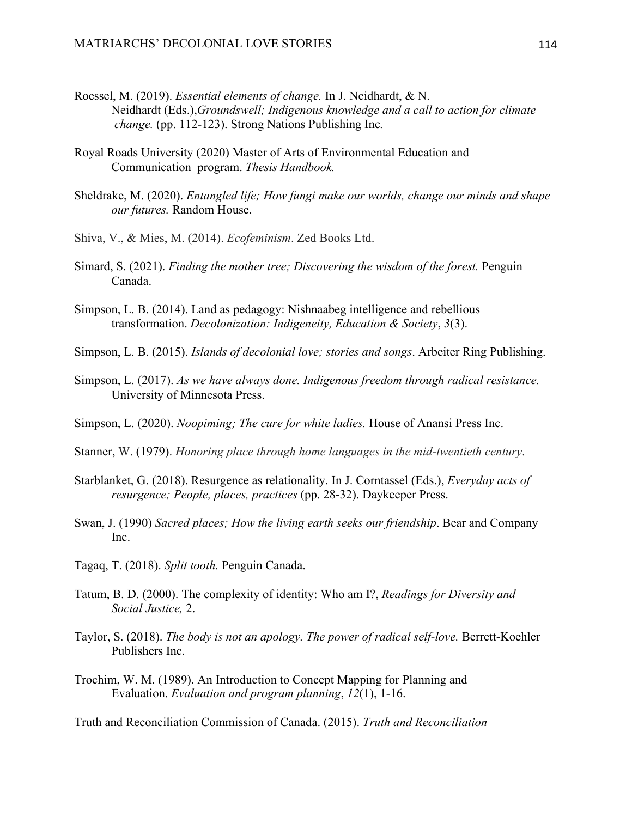- Roessel, M. (2019). *Essential elements of change.* In J. Neidhardt, & N. Neidhardt (Eds.),*Groundswell; Indigenous knowledge and a call to action for climate change.* (pp. 112-123). Strong Nations Publishing Inc*.*
- Royal Roads University (2020) Master of Arts of Environmental Education and Communication program. *Thesis Handbook.*
- Sheldrake, M. (2020). *Entangled life; How fungi make our worlds, change our minds and shape our futures.* Random House.
- Shiva, V., & Mies, M. (2014). *Ecofeminism*. Zed Books Ltd.
- Simard, S. (2021). *Finding the mother tree; Discovering the wisdom of the forest.* Penguin Canada.
- Simpson, L. B. (2014). Land as pedagogy: Nishnaabeg intelligence and rebellious transformation. *Decolonization: Indigeneity, Education & Society*, *3*(3).
- Simpson, L. B. (2015). *Islands of decolonial love; stories and songs*. Arbeiter Ring Publishing.
- Simpson, L. (2017). *As we have always done. Indigenous freedom through radical resistance.*  University of Minnesota Press.
- Simpson, L. (2020). *Noopiming; The cure for white ladies.* House of Anansi Press Inc.
- Stanner, W. (1979). *Honoring place through home languages in the mid-twentieth century*.
- Starblanket, G. (2018). Resurgence as relationality. In J. Corntassel (Eds.), *Everyday acts of resurgence; People, places, practices* (pp. 28-32). Daykeeper Press.
- Swan, J. (1990) *Sacred places; How the living earth seeks our friendship*. Bear and Company Inc.
- Tagaq, T. (2018). *Split tooth.* Penguin Canada.
- Tatum, B. D. (2000). The complexity of identity: Who am I?, *Readings for Diversity and Social Justice,* 2.
- Taylor, S. (2018). *The body is not an apology. The power of radical self-love.* Berrett-Koehler Publishers Inc.
- Trochim, W. M. (1989). An Introduction to Concept Mapping for Planning and Evaluation. *Evaluation and program planning*, *12*(1), 1-16.

Truth and Reconciliation Commission of Canada. (2015). *Truth and Reconciliation*